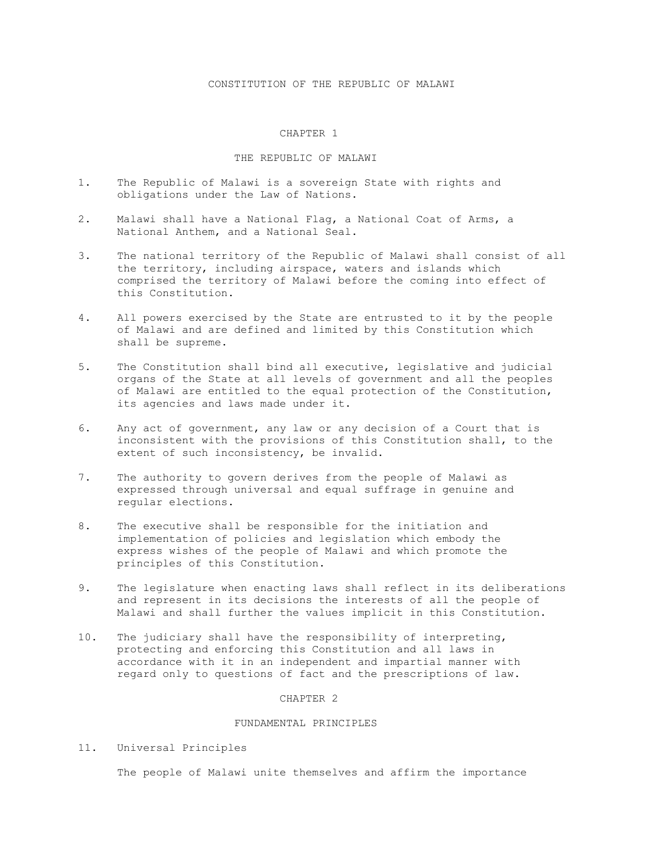## CONSTITUTION OF THE REPUBLIC OF MALAWI

#### CHAPTER 1

#### THE REPUBLIC OF MALAWI

- 1. The Republic of Malawi is a sovereign State with rights and obligations under the Law of Nations.
- 2. Malawi shall have a National Flag, a National Coat of Arms, a National Anthem, and a National Seal.
- 3. The national territory of the Republic of Malawi shall consist of all the territory, including airspace, waters and islands which comprised the territory of Malawi before the coming into effect of this Constitution.
- 4. All powers exercised by the State are entrusted to it by the people of Malawi and are defined and limited by this Constitution which shall be supreme.
- 5. The Constitution shall bind all executive, legislative and judicial organs of the State at all levels of government and all the peoples of Malawi are entitled to the equal protection of the Constitution, its agencies and laws made under it.
- 6. Any act of government, any law or any decision of a Court that is inconsistent with the provisions of this Constitution shall, to the extent of such inconsistency, be invalid.
- 7. The authority to govern derives from the people of Malawi as expressed through universal and equal suffrage in genuine and regular elections.
- 8. The executive shall be responsible for the initiation and implementation of policies and legislation which embody the express wishes of the people of Malawi and which promote the principles of this Constitution.
- 9. The legislature when enacting laws shall reflect in its deliberations and represent in its decisions the interests of all the people of Malawi and shall further the values implicit in this Constitution.
- 10. The judiciary shall have the responsibility of interpreting, protecting and enforcing this Constitution and all laws in accordance with it in an independent and impartial manner with regard only to questions of fact and the prescriptions of law.

#### CHAPTER 2

## FUNDAMENTAL PRINCIPLES

11. Universal Principles

The people of Malawi unite themselves and affirm the importance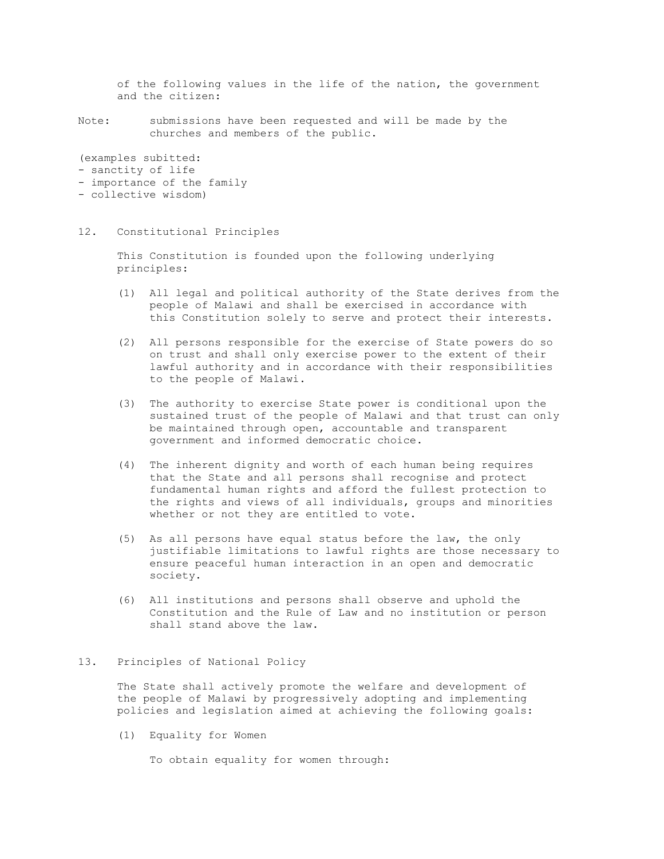of the following values in the life of the nation, the government and the citizen:

Note: submissions have been requested and will be made by the churches and members of the public.

(examples subitted:

- sanctity of life
- importance of the family
- collective wisdom)

#### 12. Constitutional Principles

 This Constitution is founded upon the following underlying principles:

- (1) All legal and political authority of the State derives from the people of Malawi and shall be exercised in accordance with this Constitution solely to serve and protect their interests.
- (2) All persons responsible for the exercise of State powers do so on trust and shall only exercise power to the extent of their lawful authority and in accordance with their responsibilities to the people of Malawi.
- (3) The authority to exercise State power is conditional upon the sustained trust of the people of Malawi and that trust can only be maintained through open, accountable and transparent government and informed democratic choice.
- (4) The inherent dignity and worth of each human being requires that the State and all persons shall recognise and protect fundamental human rights and afford the fullest protection to the rights and views of all individuals, groups and minorities whether or not they are entitled to vote.
- (5) As all persons have equal status before the law, the only justifiable limitations to lawful rights are those necessary to ensure peaceful human interaction in an open and democratic society.
- (6) All institutions and persons shall observe and uphold the Constitution and the Rule of Law and no institution or person shall stand above the law.

## 13. Principles of National Policy

 The State shall actively promote the welfare and development of the people of Malawi by progressively adopting and implementing policies and legislation aimed at achieving the following goals:

(1) Equality for Women

To obtain equality for women through: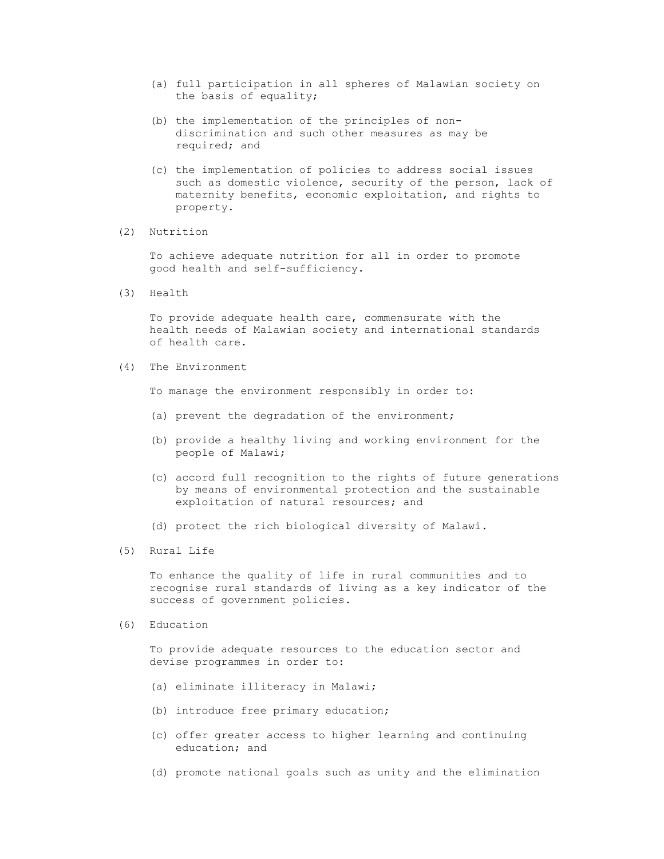- (a) full participation in all spheres of Malawian society on the basis of equality;
- (b) the implementation of the principles of non discrimination and such other measures as may be required; and
- (c) the implementation of policies to address social issues such as domestic violence, security of the person, lack of maternity benefits, economic exploitation, and rights to property.
- (2) Nutrition

 To achieve adequate nutrition for all in order to promote good health and self-sufficiency.

(3) Health

 To provide adequate health care, commensurate with the health needs of Malawian society and international standards of health care.

(4) The Environment

To manage the environment responsibly in order to:

- (a) prevent the degradation of the environment;
- (b) provide a healthy living and working environment for the people of Malawi;
- (c) accord full recognition to the rights of future generations by means of environmental protection and the sustainable exploitation of natural resources; and
- (d) protect the rich biological diversity of Malawi.
- (5) Rural Life

 To enhance the quality of life in rural communities and to recognise rural standards of living as a key indicator of the success of government policies.

(6) Education

 To provide adequate resources to the education sector and devise programmes in order to:

- (a) eliminate illiteracy in Malawi;
- (b) introduce free primary education;
- (c) offer greater access to higher learning and continuing education; and
- (d) promote national goals such as unity and the elimination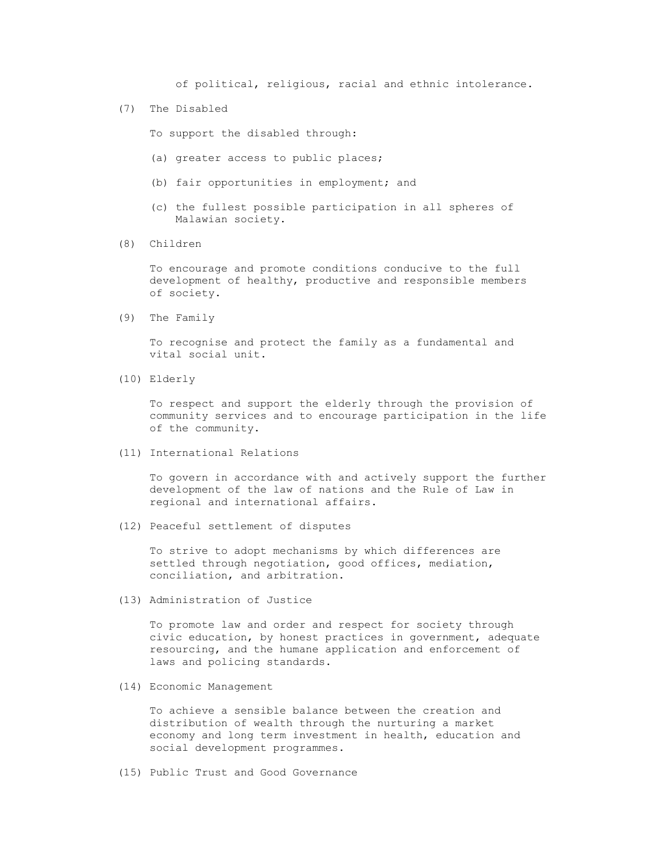of political, religious, racial and ethnic intolerance.

(7) The Disabled

To support the disabled through:

- (a) greater access to public places;
- (b) fair opportunities in employment; and
- (c) the fullest possible participation in all spheres of Malawian society.
- (8) Children

 To encourage and promote conditions conducive to the full development of healthy, productive and responsible members of society.

(9) The Family

 To recognise and protect the family as a fundamental and vital social unit.

(10) Elderly

 To respect and support the elderly through the provision of community services and to encourage participation in the life of the community.

(11) International Relations

 To govern in accordance with and actively support the further development of the law of nations and the Rule of Law in regional and international affairs.

(12) Peaceful settlement of disputes

 To strive to adopt mechanisms by which differences are settled through negotiation, good offices, mediation, conciliation, and arbitration.

(13) Administration of Justice

 To promote law and order and respect for society through civic education, by honest practices in government, adequate resourcing, and the humane application and enforcement of laws and policing standards.

(14) Economic Management

 To achieve a sensible balance between the creation and distribution of wealth through the nurturing a market economy and long term investment in health, education and social development programmes.

(15) Public Trust and Good Governance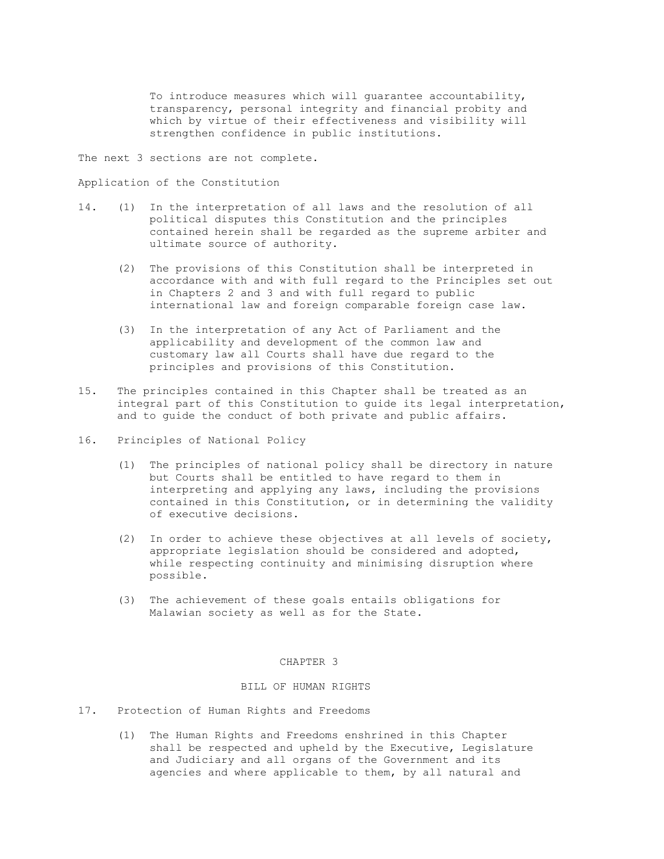To introduce measures which will guarantee accountability, transparency, personal integrity and financial probity and which by virtue of their effectiveness and visibility will strengthen confidence in public institutions.

The next 3 sections are not complete.

Application of the Constitution

- 14. (1) In the interpretation of all laws and the resolution of all political disputes this Constitution and the principles contained herein shall be regarded as the supreme arbiter and ultimate source of authority.
	- (2) The provisions of this Constitution shall be interpreted in accordance with and with full regard to the Principles set out in Chapters 2 and 3 and with full regard to public international law and foreign comparable foreign case law.
	- (3) In the interpretation of any Act of Parliament and the applicability and development of the common law and customary law all Courts shall have due regard to the principles and provisions of this Constitution.
- 15. The principles contained in this Chapter shall be treated as an integral part of this Constitution to guide its legal interpretation, and to guide the conduct of both private and public affairs.
- 16. Principles of National Policy
	- (1) The principles of national policy shall be directory in nature but Courts shall be entitled to have regard to them in interpreting and applying any laws, including the provisions contained in this Constitution, or in determining the validity of executive decisions.
	- (2) In order to achieve these objectives at all levels of society, appropriate legislation should be considered and adopted, while respecting continuity and minimising disruption where possible.
	- (3) The achievement of these goals entails obligations for Malawian society as well as for the State.

### CHAPTER 3

# BILL OF HUMAN RIGHTS

- 17. Protection of Human Rights and Freedoms
	- (1) The Human Rights and Freedoms enshrined in this Chapter shall be respected and upheld by the Executive, Legislature and Judiciary and all organs of the Government and its agencies and where applicable to them, by all natural and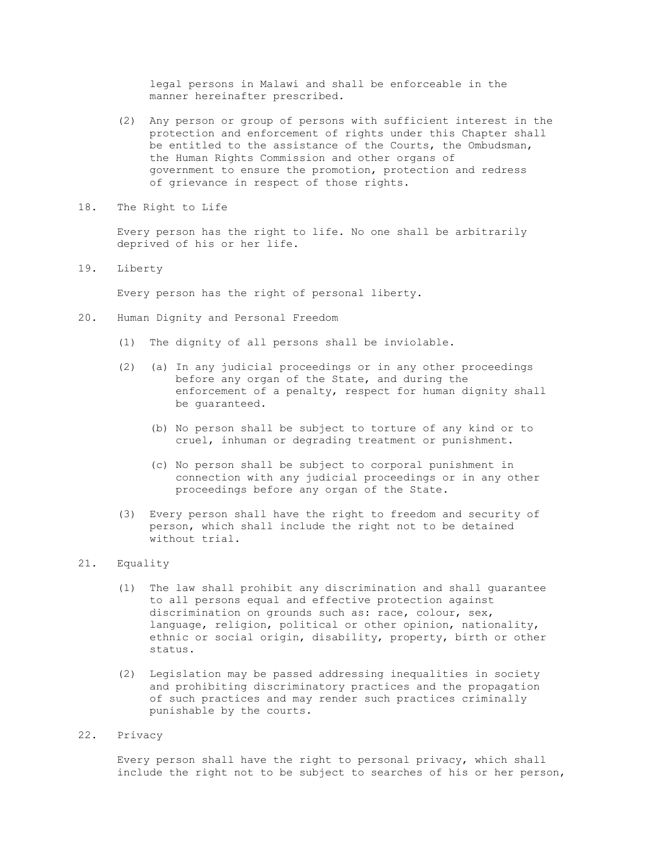legal persons in Malawi and shall be enforceable in the manner hereinafter prescribed.

- (2) Any person or group of persons with sufficient interest in the protection and enforcement of rights under this Chapter shall be entitled to the assistance of the Courts, the Ombudsman, the Human Rights Commission and other organs of government to ensure the promotion, protection and redress of grievance in respect of those rights.
- 18. The Right to Life

 Every person has the right to life. No one shall be arbitrarily deprived of his or her life.

19. Liberty

Every person has the right of personal liberty.

- 20. Human Dignity and Personal Freedom
	- (1) The dignity of all persons shall be inviolable.
	- (2) (a) In any judicial proceedings or in any other proceedings before any organ of the State, and during the enforcement of a penalty, respect for human dignity shall be guaranteed.
		- (b) No person shall be subject to torture of any kind or to cruel, inhuman or degrading treatment or punishment.
		- (c) No person shall be subject to corporal punishment in connection with any judicial proceedings or in any other proceedings before any organ of the State.
	- (3) Every person shall have the right to freedom and security of person, which shall include the right not to be detained without trial.

## 21. Equality

- (1) The law shall prohibit any discrimination and shall guarantee to all persons equal and effective protection against discrimination on grounds such as: race, colour, sex, language, religion, political or other opinion, nationality, ethnic or social origin, disability, property, birth or other status.
- (2) Legislation may be passed addressing inequalities in society and prohibiting discriminatory practices and the propagation of such practices and may render such practices criminally punishable by the courts.
- 22. Privacy

 Every person shall have the right to personal privacy, which shall include the right not to be subject to searches of his or her person,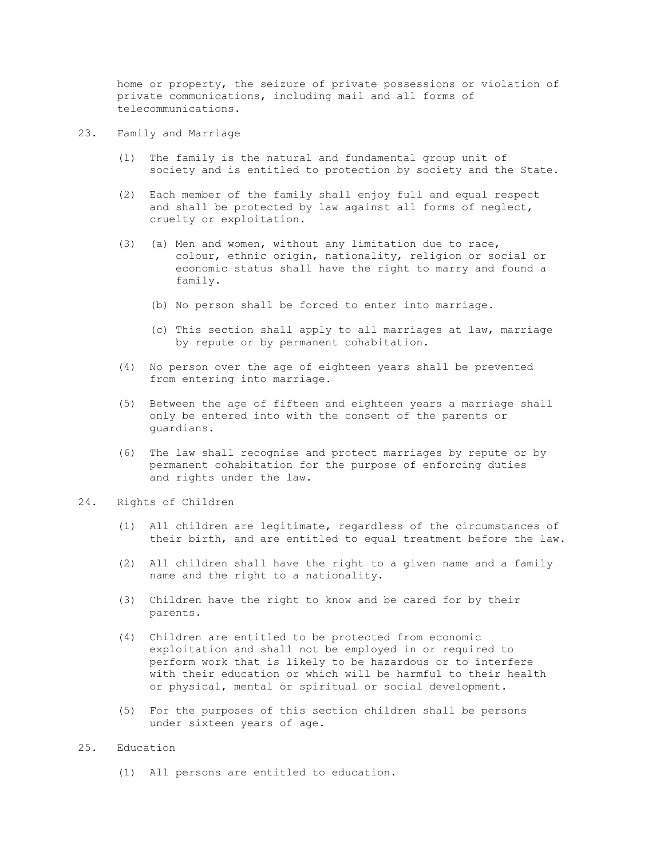home or property, the seizure of private possessions or violation of private communications, including mail and all forms of telecommunications.

- 23. Family and Marriage
	- (1) The family is the natural and fundamental group unit of society and is entitled to protection by society and the State.
	- (2) Each member of the family shall enjoy full and equal respect and shall be protected by law against all forms of neglect, cruelty or exploitation.
	- (3) (a) Men and women, without any limitation due to race, colour, ethnic origin, nationality, religion or social or economic status shall have the right to marry and found a family.
		- (b) No person shall be forced to enter into marriage.
		- (c) This section shall apply to all marriages at law, marriage by repute or by permanent cohabitation.
	- (4) No person over the age of eighteen years shall be prevented from entering into marriage.
	- (5) Between the age of fifteen and eighteen years a marriage shall only be entered into with the consent of the parents or guardians.
	- (6) The law shall recognise and protect marriages by repute or by permanent cohabitation for the purpose of enforcing duties and rights under the law.

## 24. Rights of Children

- (1) All children are legitimate, regardless of the circumstances of their birth, and are entitled to equal treatment before the law.
- (2) All children shall have the right to a given name and a family name and the right to a nationality.
- (3) Children have the right to know and be cared for by their parents.
- (4) Children are entitled to be protected from economic exploitation and shall not be employed in or required to perform work that is likely to be hazardous or to interfere with their education or which will be harmful to their health or physical, mental or spiritual or social development.
- (5) For the purposes of this section children shall be persons under sixteen years of age.

## 25. Education

(1) All persons are entitled to education.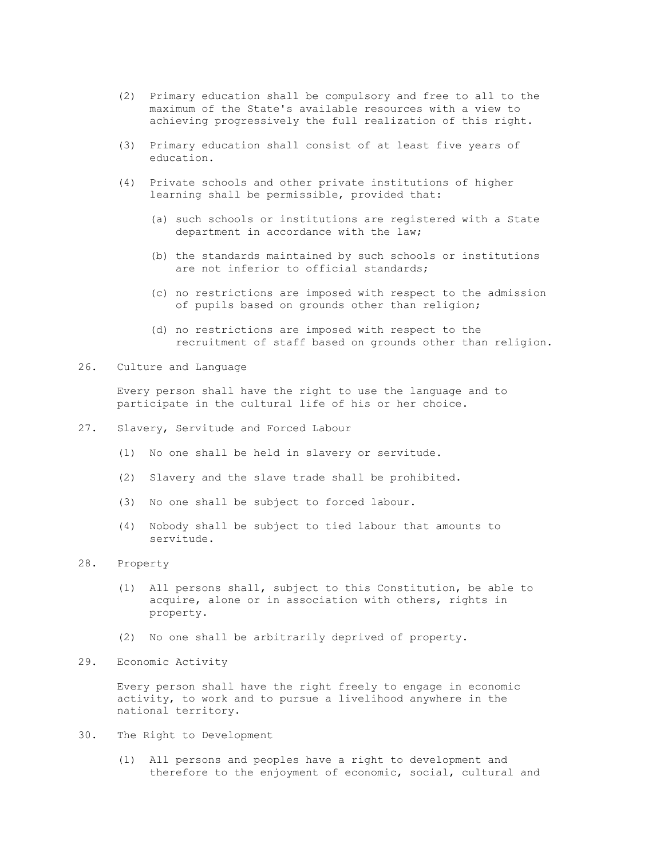- (2) Primary education shall be compulsory and free to all to the maximum of the State's available resources with a view to achieving progressively the full realization of this right.
- (3) Primary education shall consist of at least five years of education.
- (4) Private schools and other private institutions of higher learning shall be permissible, provided that:
	- (a) such schools or institutions are registered with a State department in accordance with the law;
	- (b) the standards maintained by such schools or institutions are not inferior to official standards;
	- (c) no restrictions are imposed with respect to the admission of pupils based on grounds other than religion;
	- (d) no restrictions are imposed with respect to the recruitment of staff based on grounds other than religion.
- 26. Culture and Language

 Every person shall have the right to use the language and to participate in the cultural life of his or her choice.

- 27. Slavery, Servitude and Forced Labour
	- (1) No one shall be held in slavery or servitude.
	- (2) Slavery and the slave trade shall be prohibited.
	- (3) No one shall be subject to forced labour.
	- (4) Nobody shall be subject to tied labour that amounts to servitude.
- 28. Property
	- (1) All persons shall, subject to this Constitution, be able to acquire, alone or in association with others, rights in property.
	- (2) No one shall be arbitrarily deprived of property.
- 29. Economic Activity

 Every person shall have the right freely to engage in economic activity, to work and to pursue a livelihood anywhere in the national territory.

- 30. The Right to Development
	- (1) All persons and peoples have a right to development and therefore to the enjoyment of economic, social, cultural and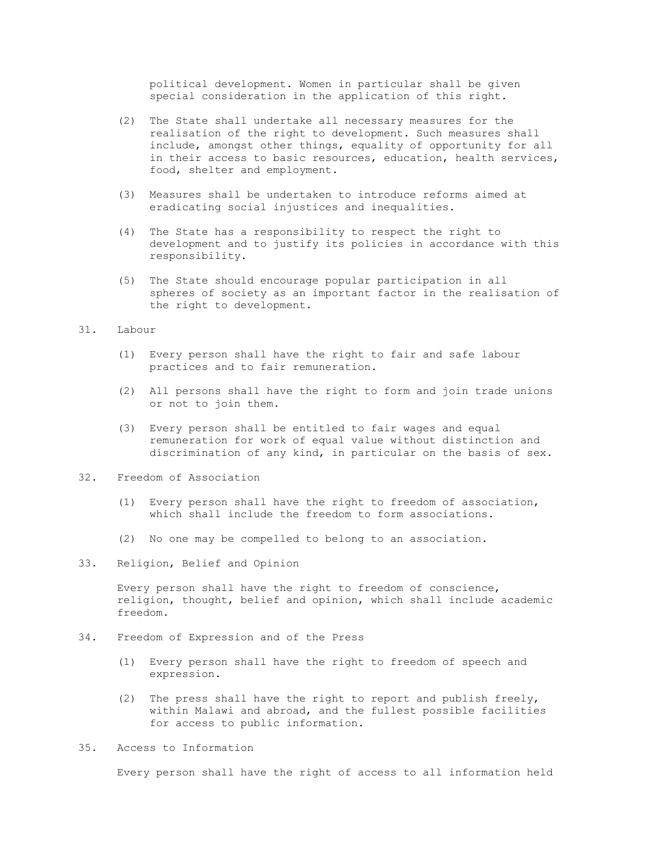political development. Women in particular shall be given special consideration in the application of this right.

- (2) The State shall undertake all necessary measures for the realisation of the right to development. Such measures shall include, amongst other things, equality of opportunity for all in their access to basic resources, education, health services, food, shelter and employment.
- (3) Measures shall be undertaken to introduce reforms aimed at eradicating social injustices and inequalities.
- (4) The State has a responsibility to respect the right to development and to justify its policies in accordance with this responsibility.
- (5) The State should encourage popular participation in all spheres of society as an important factor in the realisation of the right to development.

### 31. Labour

- (1) Every person shall have the right to fair and safe labour practices and to fair remuneration.
- (2) All persons shall have the right to form and join trade unions or not to join them.
- (3) Every person shall be entitled to fair wages and equal remuneration for work of equal value without distinction and discrimination of any kind, in particular on the basis of sex.
- 32. Freedom of Association
	- (1) Every person shall have the right to freedom of association, which shall include the freedom to form associations.
	- (2) No one may be compelled to belong to an association.
- 33. Religion, Belief and Opinion

 Every person shall have the right to freedom of conscience, religion, thought, belief and opinion, which shall include academic freedom.

- 34. Freedom of Expression and of the Press
	- (1) Every person shall have the right to freedom of speech and expression.
	- (2) The press shall have the right to report and publish freely, within Malawi and abroad, and the fullest possible facilities for access to public information.
- 35. Access to Information

Every person shall have the right of access to all information held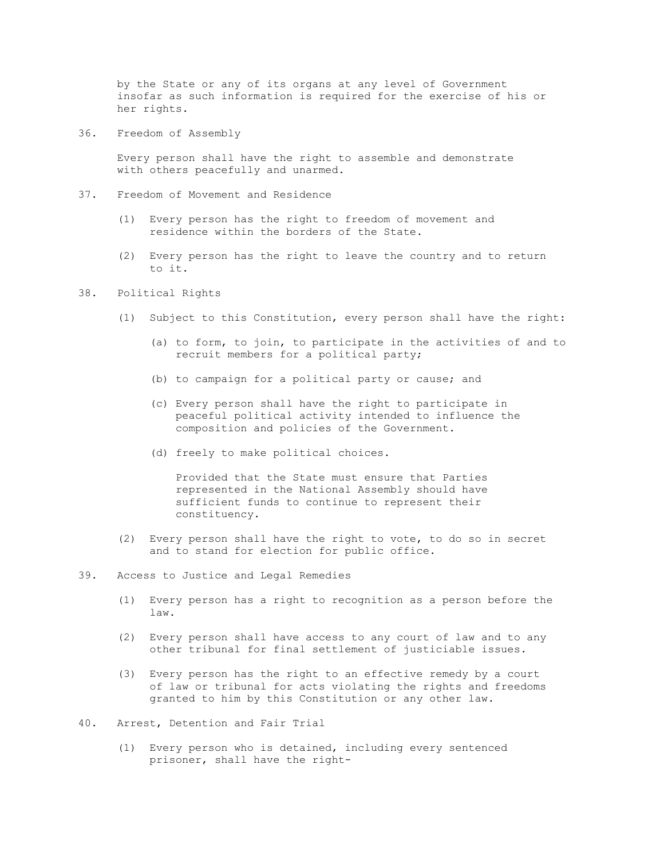by the State or any of its organs at any level of Government insofar as such information is required for the exercise of his or her rights.

36. Freedom of Assembly

 Every person shall have the right to assemble and demonstrate with others peacefully and unarmed.

- 37. Freedom of Movement and Residence
	- (1) Every person has the right to freedom of movement and residence within the borders of the State.
	- (2) Every person has the right to leave the country and to return to it.

# 38. Political Rights

- (1) Subject to this Constitution, every person shall have the right:
	- (a) to form, to join, to participate in the activities of and to recruit members for a political party;
	- (b) to campaign for a political party or cause; and
	- (c) Every person shall have the right to participate in peaceful political activity intended to influence the composition and policies of the Government.
	- (d) freely to make political choices.

 Provided that the State must ensure that Parties represented in the National Assembly should have sufficient funds to continue to represent their constituency.

- (2) Every person shall have the right to vote, to do so in secret and to stand for election for public office.
- 39. Access to Justice and Legal Remedies
	- (1) Every person has a right to recognition as a person before the law.
	- (2) Every person shall have access to any court of law and to any other tribunal for final settlement of justiciable issues.
	- (3) Every person has the right to an effective remedy by a court of law or tribunal for acts violating the rights and freedoms granted to him by this Constitution or any other law.
- 40. Arrest, Detention and Fair Trial
	- (1) Every person who is detained, including every sentenced prisoner, shall have the right-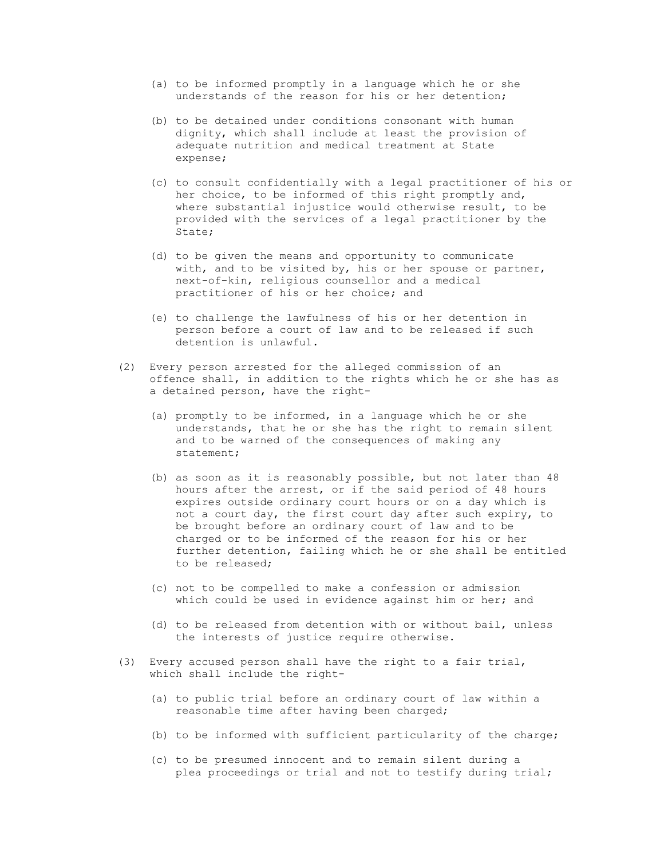- (a) to be informed promptly in a language which he or she understands of the reason for his or her detention;
- (b) to be detained under conditions consonant with human dignity, which shall include at least the provision of adequate nutrition and medical treatment at State expense;
- (c) to consult confidentially with a legal practitioner of his or her choice, to be informed of this right promptly and, where substantial injustice would otherwise result, to be provided with the services of a legal practitioner by the State;
- (d) to be given the means and opportunity to communicate with, and to be visited by, his or her spouse or partner, next-of-kin, religious counsellor and a medical practitioner of his or her choice; and
- (e) to challenge the lawfulness of his or her detention in person before a court of law and to be released if such detention is unlawful.
- (2) Every person arrested for the alleged commission of an offence shall, in addition to the rights which he or she has as a detained person, have the right-
	- (a) promptly to be informed, in a language which he or she understands, that he or she has the right to remain silent and to be warned of the consequences of making any statement;
	- (b) as soon as it is reasonably possible, but not later than 48 hours after the arrest, or if the said period of 48 hours expires outside ordinary court hours or on a day which is not a court day, the first court day after such expiry, to be brought before an ordinary court of law and to be charged or to be informed of the reason for his or her further detention, failing which he or she shall be entitled to be released;
	- (c) not to be compelled to make a confession or admission which could be used in evidence against him or her; and
	- (d) to be released from detention with or without bail, unless the interests of justice require otherwise.
- (3) Every accused person shall have the right to a fair trial, which shall include the right-
	- (a) to public trial before an ordinary court of law within a reasonable time after having been charged;
	- (b) to be informed with sufficient particularity of the charge;
	- (c) to be presumed innocent and to remain silent during a plea proceedings or trial and not to testify during trial;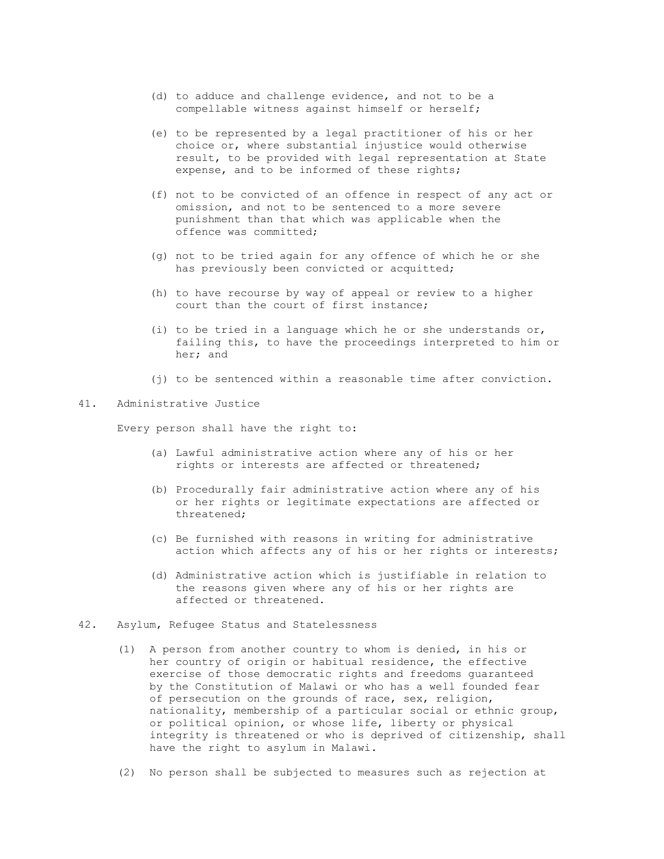- (d) to adduce and challenge evidence, and not to be a compellable witness against himself or herself;
- (e) to be represented by a legal practitioner of his or her choice or, where substantial injustice would otherwise result, to be provided with legal representation at State expense, and to be informed of these rights;
- (f) not to be convicted of an offence in respect of any act or omission, and not to be sentenced to a more severe punishment than that which was applicable when the offence was committed;
- (g) not to be tried again for any offence of which he or she has previously been convicted or acquitted;
- (h) to have recourse by way of appeal or review to a higher court than the court of first instance;
- (i) to be tried in a language which he or she understands  $or$ , failing this, to have the proceedings interpreted to him or her; and
- (j) to be sentenced within a reasonable time after conviction.

#### 41. Administrative Justice

Every person shall have the right to:

- (a) Lawful administrative action where any of his or her rights or interests are affected or threatened;
- (b) Procedurally fair administrative action where any of his or her rights or legitimate expectations are affected or threatened;
- (c) Be furnished with reasons in writing for administrative action which affects any of his or her rights or interests;
- (d) Administrative action which is justifiable in relation to the reasons given where any of his or her rights are affected or threatened.
- 42. Asylum, Refugee Status and Statelessness
	- (1) A person from another country to whom is denied, in his or her country of origin or habitual residence, the effective exercise of those democratic rights and freedoms guaranteed by the Constitution of Malawi or who has a well founded fear of persecution on the grounds of race, sex, religion, nationality, membership of a particular social or ethnic group, or political opinion, or whose life, liberty or physical integrity is threatened or who is deprived of citizenship, shall have the right to asylum in Malawi.
	- (2) No person shall be subjected to measures such as rejection at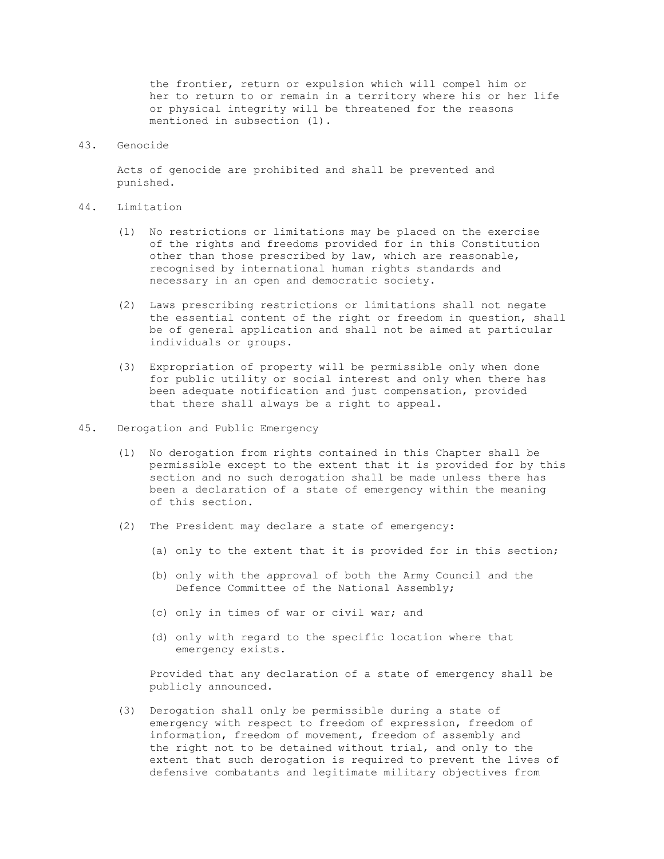the frontier, return or expulsion which will compel him or her to return to or remain in a territory where his or her life or physical integrity will be threatened for the reasons mentioned in subsection (1).

## 43. Genocide

 Acts of genocide are prohibited and shall be prevented and punished.

#### 44. Limitation

- (1) No restrictions or limitations may be placed on the exercise of the rights and freedoms provided for in this Constitution other than those prescribed by law, which are reasonable, recognised by international human rights standards and necessary in an open and democratic society.
- (2) Laws prescribing restrictions or limitations shall not negate the essential content of the right or freedom in question, shall be of general application and shall not be aimed at particular individuals or groups.
- (3) Expropriation of property will be permissible only when done for public utility or social interest and only when there has been adequate notification and just compensation, provided that there shall always be a right to appeal.
- 45. Derogation and Public Emergency
	- (1) No derogation from rights contained in this Chapter shall be permissible except to the extent that it is provided for by this section and no such derogation shall be made unless there has been a declaration of a state of emergency within the meaning of this section.
	- (2) The President may declare a state of emergency:
		- (a) only to the extent that it is provided for in this section;
		- (b) only with the approval of both the Army Council and the Defence Committee of the National Assembly;
		- (c) only in times of war or civil war; and
		- (d) only with regard to the specific location where that emergency exists.

 Provided that any declaration of a state of emergency shall be publicly announced.

 (3) Derogation shall only be permissible during a state of emergency with respect to freedom of expression, freedom of information, freedom of movement, freedom of assembly and the right not to be detained without trial, and only to the extent that such derogation is required to prevent the lives of defensive combatants and legitimate military objectives from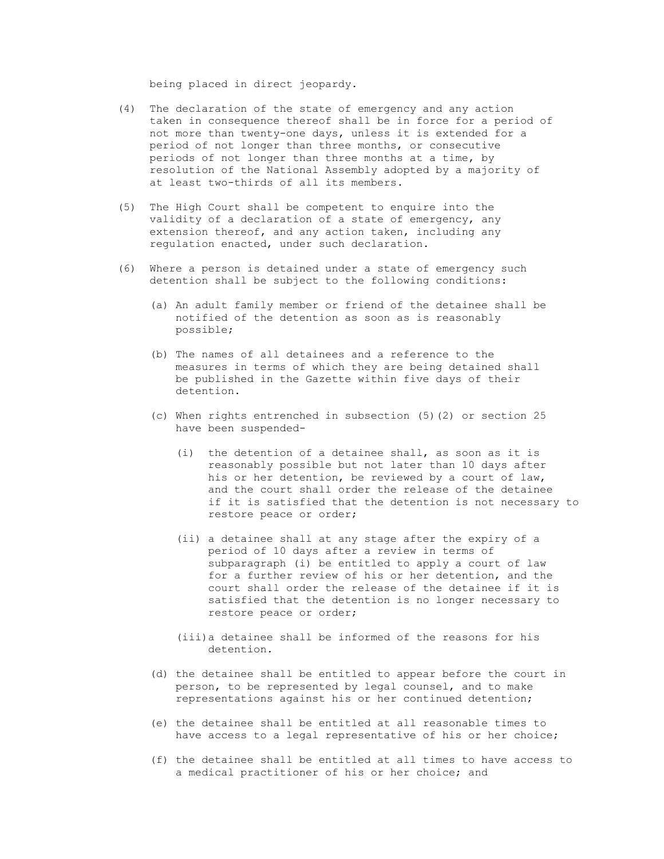being placed in direct jeopardy.

- (4) The declaration of the state of emergency and any action taken in consequence thereof shall be in force for a period of not more than twenty-one days, unless it is extended for a period of not longer than three months, or consecutive periods of not longer than three months at a time, by resolution of the National Assembly adopted by a majority of at least two-thirds of all its members.
- (5) The High Court shall be competent to enquire into the validity of a declaration of a state of emergency, any extension thereof, and any action taken, including any regulation enacted, under such declaration.
- (6) Where a person is detained under a state of emergency such detention shall be subject to the following conditions:
	- (a) An adult family member or friend of the detainee shall be notified of the detention as soon as is reasonably possible;
	- (b) The names of all detainees and a reference to the measures in terms of which they are being detained shall be published in the Gazette within five days of their detention.
	- (c) When rights entrenched in subsection (5)(2) or section 25 have been suspended-
		- (i) the detention of a detainee shall, as soon as it is reasonably possible but not later than 10 days after his or her detention, be reviewed by a court of law, and the court shall order the release of the detainee if it is satisfied that the detention is not necessary to restore peace or order;
		- (ii) a detainee shall at any stage after the expiry of a period of 10 days after a review in terms of subparagraph (i) be entitled to apply a court of law for a further review of his or her detention, and the court shall order the release of the detainee if it is satisfied that the detention is no longer necessary to restore peace or order;
		- (iii)a detainee shall be informed of the reasons for his detention.
	- (d) the detainee shall be entitled to appear before the court in person, to be represented by legal counsel, and to make representations against his or her continued detention;
	- (e) the detainee shall be entitled at all reasonable times to have access to a legal representative of his or her choice;
	- (f) the detainee shall be entitled at all times to have access to a medical practitioner of his or her choice; and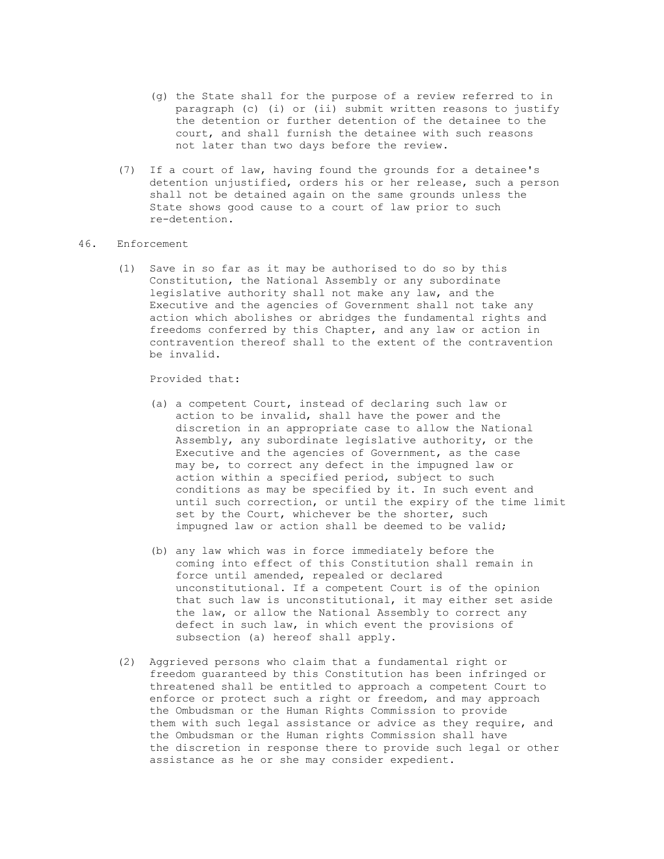- (g) the State shall for the purpose of a review referred to in paragraph (c) (i) or (ii) submit written reasons to justify the detention or further detention of the detainee to the court, and shall furnish the detainee with such reasons not later than two days before the review.
- (7) If a court of law, having found the grounds for a detainee's detention unjustified, orders his or her release, such a person shall not be detained again on the same grounds unless the State shows good cause to a court of law prior to such re-detention.

## 46. Enforcement

 (1) Save in so far as it may be authorised to do so by this Constitution, the National Assembly or any subordinate legislative authority shall not make any law, and the Executive and the agencies of Government shall not take any action which abolishes or abridges the fundamental rights and freedoms conferred by this Chapter, and any law or action in contravention thereof shall to the extent of the contravention be invalid.

## Provided that:

- (a) a competent Court, instead of declaring such law or action to be invalid, shall have the power and the discretion in an appropriate case to allow the National Assembly, any subordinate legislative authority, or the Executive and the agencies of Government, as the case may be, to correct any defect in the impugned law or action within a specified period, subject to such conditions as may be specified by it. In such event and until such correction, or until the expiry of the time limit set by the Court, whichever be the shorter, such impugned law or action shall be deemed to be valid;
- (b) any law which was in force immediately before the coming into effect of this Constitution shall remain in force until amended, repealed or declared unconstitutional. If a competent Court is of the opinion that such law is unconstitutional, it may either set aside the law, or allow the National Assembly to correct any defect in such law, in which event the provisions of subsection (a) hereof shall apply.
- (2) Aggrieved persons who claim that a fundamental right or freedom guaranteed by this Constitution has been infringed or threatened shall be entitled to approach a competent Court to enforce or protect such a right or freedom, and may approach the Ombudsman or the Human Rights Commission to provide them with such legal assistance or advice as they require, and the Ombudsman or the Human rights Commission shall have the discretion in response there to provide such legal or other assistance as he or she may consider expedient.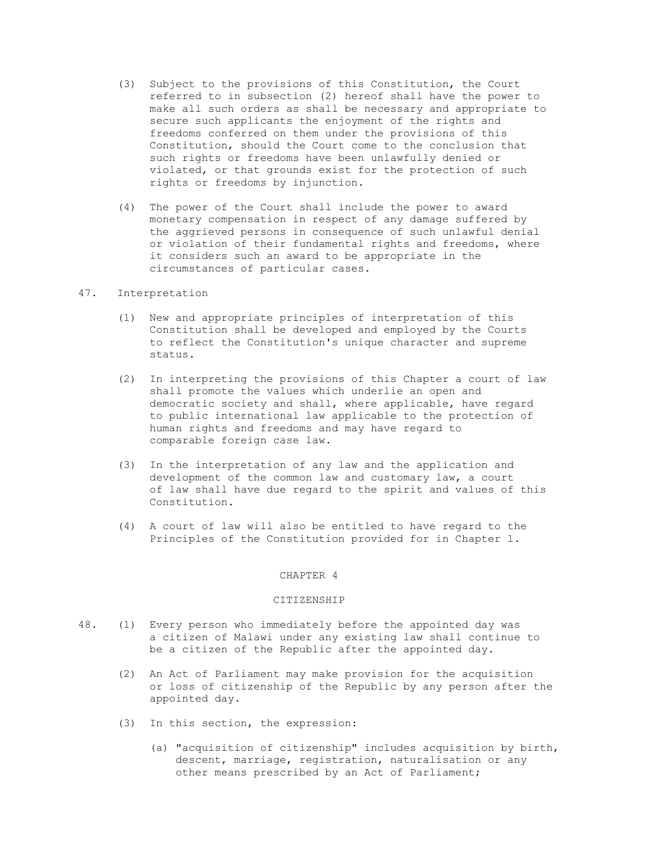- (3) Subject to the provisions of this Constitution, the Court referred to in subsection (2) hereof shall have the power to make all such orders as shall be necessary and appropriate to secure such applicants the enjoyment of the rights and freedoms conferred on them under the provisions of this Constitution, should the Court come to the conclusion that such rights or freedoms have been unlawfully denied or violated, or that grounds exist for the protection of such rights or freedoms by injunction.
- (4) The power of the Court shall include the power to award monetary compensation in respect of any damage suffered by the aggrieved persons in consequence of such unlawful denial or violation of their fundamental rights and freedoms, where it considers such an award to be appropriate in the circumstances of particular cases.

# 47. Interpretation

- (1) New and appropriate principles of interpretation of this Constitution shall be developed and employed by the Courts to reflect the Constitution's unique character and supreme status.
- (2) In interpreting the provisions of this Chapter a court of law shall promote the values which underlie an open and democratic society and shall, where applicable, have regard to public international law applicable to the protection of human rights and freedoms and may have regard to comparable foreign case law.
- (3) In the interpretation of any law and the application and development of the common law and customary law, a court of law shall have due regard to the spirit and values of this Constitution.
- (4) A court of law will also be entitled to have regard to the Principles of the Constitution provided for in Chapter 1.

### CHAPTER 4

## CITIZENSHIP

- 48. (1) Every person who immediately before the appointed day was a citizen of Malawi under any existing law shall continue to be a citizen of the Republic after the appointed day.
	- (2) An Act of Parliament may make provision for the acquisition or loss of citizenship of the Republic by any person after the appointed day.
	- (3) In this section, the expression:
		- (a) "acquisition of citizenship" includes acquisition by birth, descent, marriage, registration, naturalisation or any other means prescribed by an Act of Parliament;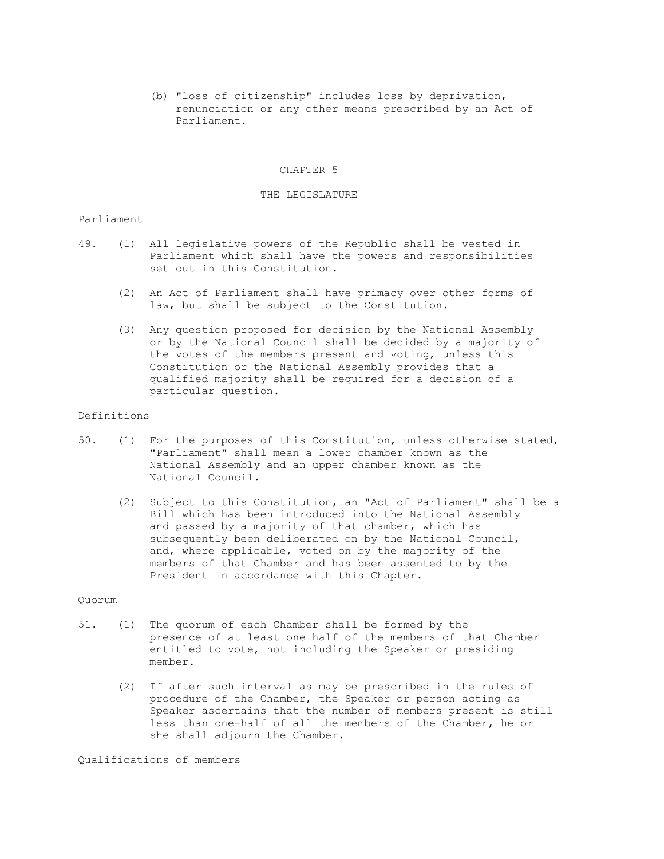(b) "loss of citizenship" includes loss by deprivation, renunciation or any other means prescribed by an Act of Parliament.

#### CHAPTER 5

## THE LEGISLATURE

## Parliament

- 49. (1) All legislative powers of the Republic shall be vested in Parliament which shall have the powers and responsibilities set out in this Constitution.
	- (2) An Act of Parliament shall have primacy over other forms of law, but shall be subject to the Constitution.
	- (3) Any question proposed for decision by the National Assembly or by the National Council shall be decided by a majority of the votes of the members present and voting, unless this Constitution or the National Assembly provides that a qualified majority shall be required for a decision of a particular question.

### Definitions

- 50. (1) For the purposes of this Constitution, unless otherwise stated, "Parliament" shall mean a lower chamber known as the National Assembly and an upper chamber known as the National Council.
	- (2) Subject to this Constitution, an "Act of Parliament" shall be a Bill which has been introduced into the National Assembly and passed by a majority of that chamber, which has subsequently been deliberated on by the National Council, and, where applicable, voted on by the majority of the members of that Chamber and has been assented to by the President in accordance with this Chapter.

#### Quorum

- 51. (1) The quorum of each Chamber shall be formed by the presence of at least one half of the members of that Chamber entitled to vote, not including the Speaker or presiding member.
	- (2) If after such interval as may be prescribed in the rules of procedure of the Chamber, the Speaker or person acting as Speaker ascertains that the number of members present is still less than one-half of all the members of the Chamber, he or she shall adjourn the Chamber.

Qualifications of members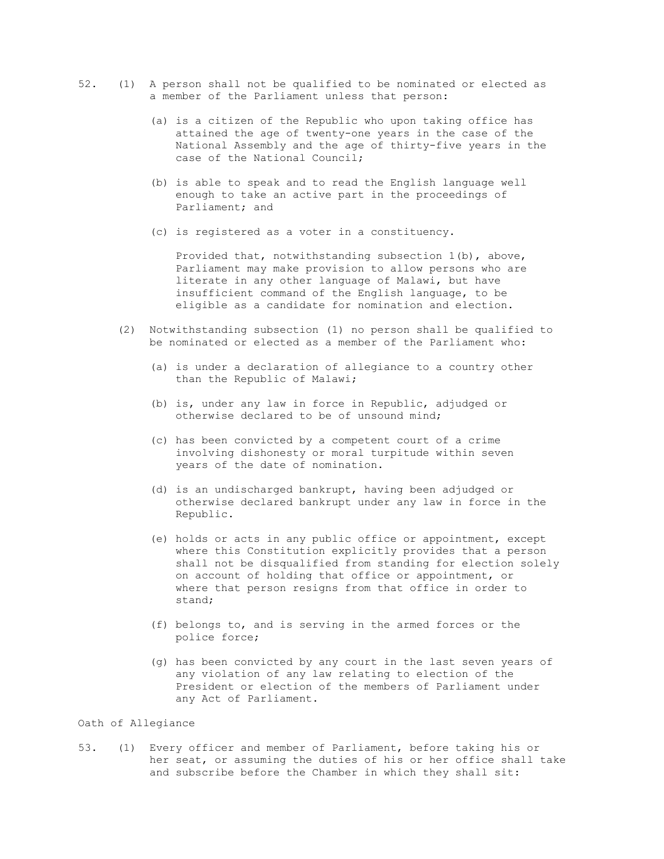- 52. (1) A person shall not be qualified to be nominated or elected as a member of the Parliament unless that person:
	- (a) is a citizen of the Republic who upon taking office has attained the age of twenty-one years in the case of the National Assembly and the age of thirty-five years in the case of the National Council;
	- (b) is able to speak and to read the English language well enough to take an active part in the proceedings of Parliament; and
	- (c) is registered as a voter in a constituency.

 Provided that, notwithstanding subsection 1(b), above, Parliament may make provision to allow persons who are literate in any other language of Malawi, but have insufficient command of the English language, to be eligible as a candidate for nomination and election.

- (2) Notwithstanding subsection (1) no person shall be qualified to be nominated or elected as a member of the Parliament who:
	- (a) is under a declaration of allegiance to a country other than the Republic of Malawi;
	- (b) is, under any law in force in Republic, adjudged or otherwise declared to be of unsound mind;
	- (c) has been convicted by a competent court of a crime involving dishonesty or moral turpitude within seven years of the date of nomination.
	- (d) is an undischarged bankrupt, having been adjudged or otherwise declared bankrupt under any law in force in the Republic.
	- (e) holds or acts in any public office or appointment, except where this Constitution explicitly provides that a person shall not be disqualified from standing for election solely on account of holding that office or appointment, or where that person resigns from that office in order to stand;
	- (f) belongs to, and is serving in the armed forces or the police force;
	- (g) has been convicted by any court in the last seven years of any violation of any law relating to election of the President or election of the members of Parliament under any Act of Parliament.

## Oath of Allegiance

53. (1) Every officer and member of Parliament, before taking his or her seat, or assuming the duties of his or her office shall take and subscribe before the Chamber in which they shall sit: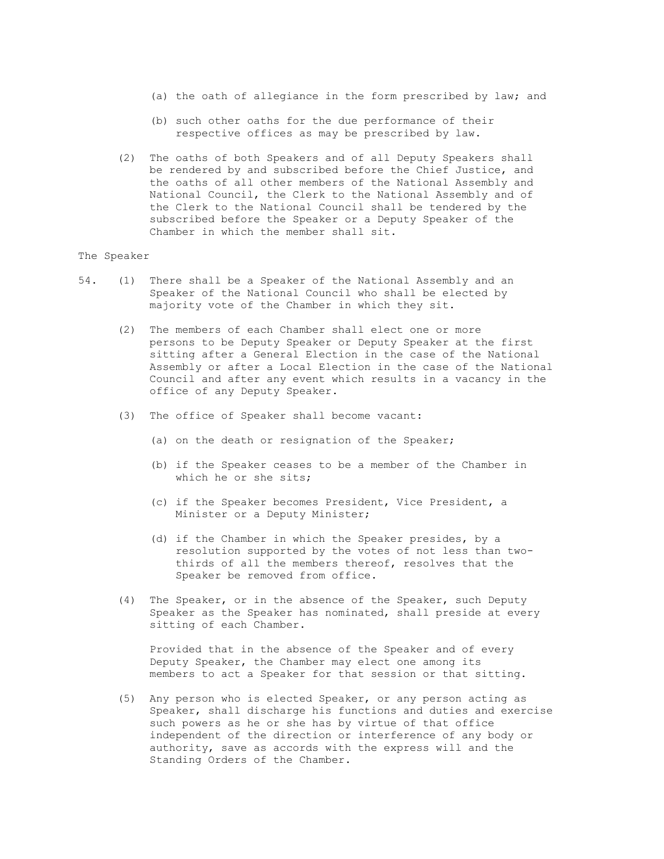- (a) the oath of allegiance in the form prescribed by law; and
- (b) such other oaths for the due performance of their respective offices as may be prescribed by law.
- (2) The oaths of both Speakers and of all Deputy Speakers shall be rendered by and subscribed before the Chief Justice, and the oaths of all other members of the National Assembly and National Council, the Clerk to the National Assembly and of the Clerk to the National Council shall be tendered by the subscribed before the Speaker or a Deputy Speaker of the Chamber in which the member shall sit.

## The Speaker

- 54. (1) There shall be a Speaker of the National Assembly and an Speaker of the National Council who shall be elected by majority vote of the Chamber in which they sit.
	- (2) The members of each Chamber shall elect one or more persons to be Deputy Speaker or Deputy Speaker at the first sitting after a General Election in the case of the National Assembly or after a Local Election in the case of the National Council and after any event which results in a vacancy in the office of any Deputy Speaker.
	- (3) The office of Speaker shall become vacant:
		- (a) on the death or resignation of the Speaker;
		- (b) if the Speaker ceases to be a member of the Chamber in which he or she sits;
		- (c) if the Speaker becomes President, Vice President, a Minister or a Deputy Minister;
		- (d) if the Chamber in which the Speaker presides, by a resolution supported by the votes of not less than two thirds of all the members thereof, resolves that the Speaker be removed from office.
	- (4) The Speaker, or in the absence of the Speaker, such Deputy Speaker as the Speaker has nominated, shall preside at every sitting of each Chamber.

 Provided that in the absence of the Speaker and of every Deputy Speaker, the Chamber may elect one among its members to act a Speaker for that session or that sitting.

 (5) Any person who is elected Speaker, or any person acting as Speaker, shall discharge his functions and duties and exercise such powers as he or she has by virtue of that office independent of the direction or interference of any body or authority, save as accords with the express will and the Standing Orders of the Chamber.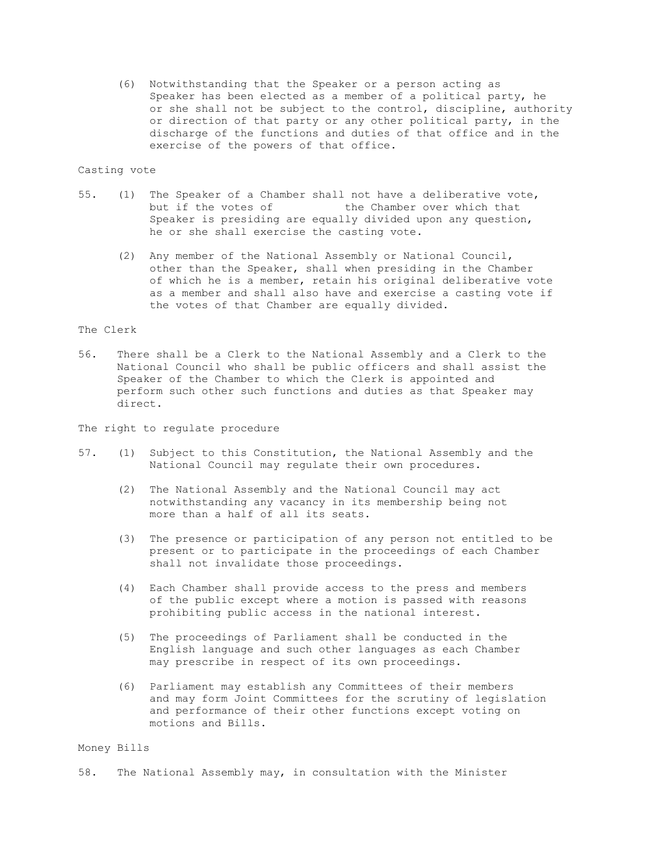(6) Notwithstanding that the Speaker or a person acting as Speaker has been elected as a member of a political party, he or she shall not be subject to the control, discipline, authority or direction of that party or any other political party, in the discharge of the functions and duties of that office and in the exercise of the powers of that office.

## Casting vote

- 55. (1) The Speaker of a Chamber shall not have a deliberative vote, but if the votes of the Chamber over which that Speaker is presiding are equally divided upon any question, he or she shall exercise the casting vote.
	- (2) Any member of the National Assembly or National Council, other than the Speaker, shall when presiding in the Chamber of which he is a member, retain his original deliberative vote as a member and shall also have and exercise a casting vote if the votes of that Chamber are equally divided.

## The Clerk

56. There shall be a Clerk to the National Assembly and a Clerk to the National Council who shall be public officers and shall assist the Speaker of the Chamber to which the Clerk is appointed and perform such other such functions and duties as that Speaker may direct.

## The right to regulate procedure

- 57. (1) Subject to this Constitution, the National Assembly and the National Council may regulate their own procedures.
	- (2) The National Assembly and the National Council may act notwithstanding any vacancy in its membership being not more than a half of all its seats.
	- (3) The presence or participation of any person not entitled to be present or to participate in the proceedings of each Chamber shall not invalidate those proceedings.
	- (4) Each Chamber shall provide access to the press and members of the public except where a motion is passed with reasons prohibiting public access in the national interest.
	- (5) The proceedings of Parliament shall be conducted in the English language and such other languages as each Chamber may prescribe in respect of its own proceedings.
	- (6) Parliament may establish any Committees of their members and may form Joint Committees for the scrutiny of legislation and performance of their other functions except voting on motions and Bills.

#### Money Bills

58. The National Assembly may, in consultation with the Minister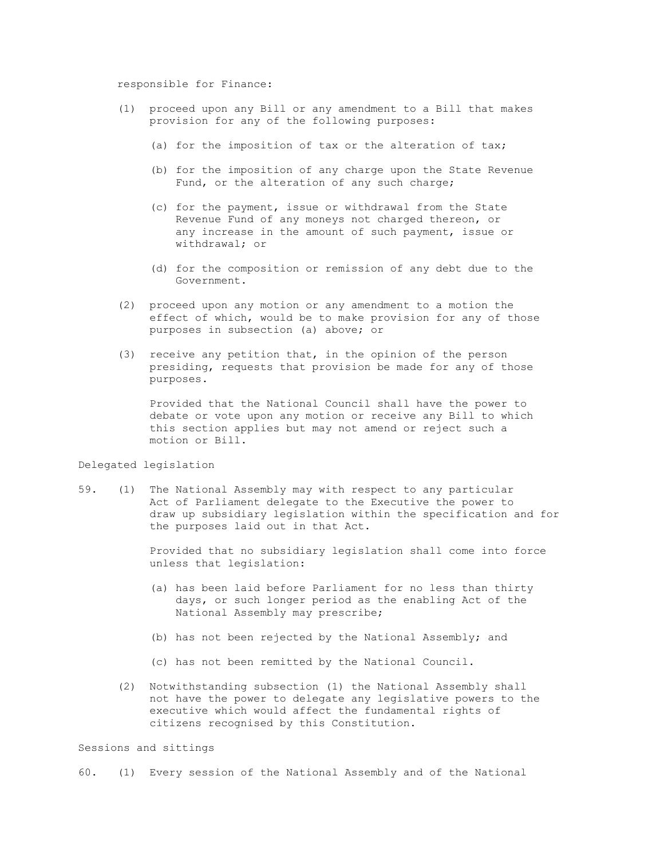## responsible for Finance:

- (1) proceed upon any Bill or any amendment to a Bill that makes provision for any of the following purposes:
	- (a) for the imposition of tax or the alteration of tax;
	- (b) for the imposition of any charge upon the State Revenue Fund, or the alteration of any such charge;
	- (c) for the payment, issue or withdrawal from the State Revenue Fund of any moneys not charged thereon, or any increase in the amount of such payment, issue or withdrawal; or
	- (d) for the composition or remission of any debt due to the Government.
- (2) proceed upon any motion or any amendment to a motion the effect of which, would be to make provision for any of those purposes in subsection (a) above; or
- (3) receive any petition that, in the opinion of the person presiding, requests that provision be made for any of those purposes.

 Provided that the National Council shall have the power to debate or vote upon any motion or receive any Bill to which this section applies but may not amend or reject such a motion or Bill.

## Delegated legislation

59. (1) The National Assembly may with respect to any particular Act of Parliament delegate to the Executive the power to draw up subsidiary legislation within the specification and for the purposes laid out in that Act.

> Provided that no subsidiary legislation shall come into force unless that legislation:

- (a) has been laid before Parliament for no less than thirty days, or such longer period as the enabling Act of the National Assembly may prescribe;
- (b) has not been rejected by the National Assembly; and
- (c) has not been remitted by the National Council.
- (2) Notwithstanding subsection (1) the National Assembly shall not have the power to delegate any legislative powers to the executive which would affect the fundamental rights of citizens recognised by this Constitution.

Sessions and sittings

60. (1) Every session of the National Assembly and of the National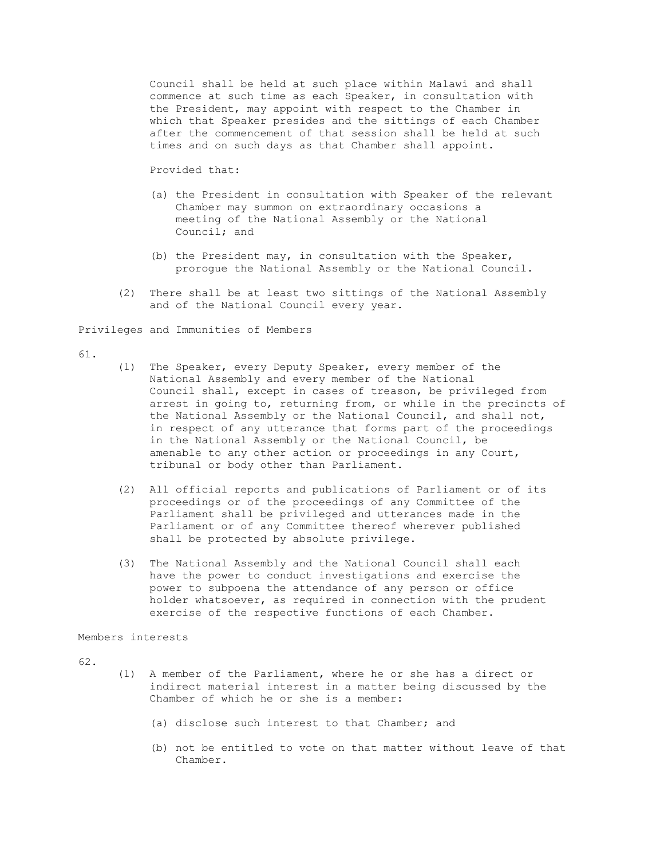Council shall be held at such place within Malawi and shall commence at such time as each Speaker, in consultation with the President, may appoint with respect to the Chamber in which that Speaker presides and the sittings of each Chamber after the commencement of that session shall be held at such times and on such days as that Chamber shall appoint.

Provided that:

- (a) the President in consultation with Speaker of the relevant Chamber may summon on extraordinary occasions a meeting of the National Assembly or the National Council; and
- (b) the President may, in consultation with the Speaker, prorogue the National Assembly or the National Council.
- (2) There shall be at least two sittings of the National Assembly and of the National Council every year.

Privileges and Immunities of Members

#### 61.

- (1) The Speaker, every Deputy Speaker, every member of the National Assembly and every member of the National Council shall, except in cases of treason, be privileged from arrest in going to, returning from, or while in the precincts of the National Assembly or the National Council, and shall not, in respect of any utterance that forms part of the proceedings in the National Assembly or the National Council, be amenable to any other action or proceedings in any Court, tribunal or body other than Parliament.
- (2) All official reports and publications of Parliament or of its proceedings or of the proceedings of any Committee of the Parliament shall be privileged and utterances made in the Parliament or of any Committee thereof wherever published shall be protected by absolute privilege.
- (3) The National Assembly and the National Council shall each have the power to conduct investigations and exercise the power to subpoena the attendance of any person or office holder whatsoever, as required in connection with the prudent exercise of the respective functions of each Chamber.

#### Members interests

62.

- (1) A member of the Parliament, where he or she has a direct or indirect material interest in a matter being discussed by the Chamber of which he or she is a member:
	- (a) disclose such interest to that Chamber; and
	- (b) not be entitled to vote on that matter without leave of that Chamber.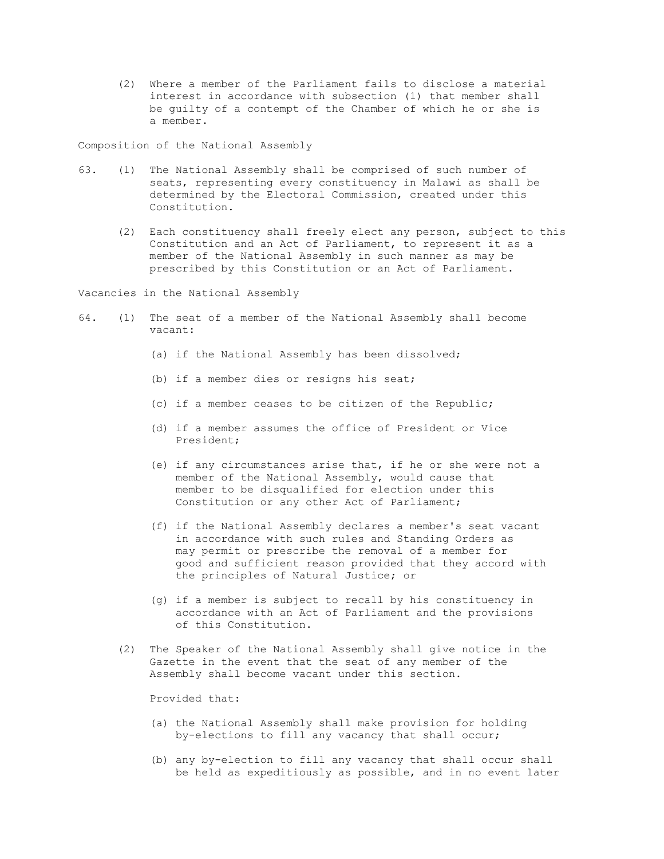(2) Where a member of the Parliament fails to disclose a material interest in accordance with subsection (1) that member shall be guilty of a contempt of the Chamber of which he or she is a member.

Composition of the National Assembly

- 63. (1) The National Assembly shall be comprised of such number of seats, representing every constituency in Malawi as shall be determined by the Electoral Commission, created under this Constitution.
	- (2) Each constituency shall freely elect any person, subject to this Constitution and an Act of Parliament, to represent it as a member of the National Assembly in such manner as may be prescribed by this Constitution or an Act of Parliament.

Vacancies in the National Assembly

- 64. (1) The seat of a member of the National Assembly shall become vacant:
	- (a) if the National Assembly has been dissolved;
	- (b) if a member dies or resigns his seat;
	- (c) if a member ceases to be citizen of the Republic;
	- (d) if a member assumes the office of President or Vice President;
	- (e) if any circumstances arise that, if he or she were not a member of the National Assembly, would cause that member to be disqualified for election under this Constitution or any other Act of Parliament;
	- (f) if the National Assembly declares a member's seat vacant in accordance with such rules and Standing Orders as may permit or prescribe the removal of a member for good and sufficient reason provided that they accord with the principles of Natural Justice; or
	- (g) if a member is subject to recall by his constituency in accordance with an Act of Parliament and the provisions of this Constitution.
	- (2) The Speaker of the National Assembly shall give notice in the Gazette in the event that the seat of any member of the Assembly shall become vacant under this section.

Provided that:

- (a) the National Assembly shall make provision for holding by-elections to fill any vacancy that shall occur;
- (b) any by-election to fill any vacancy that shall occur shall be held as expeditiously as possible, and in no event later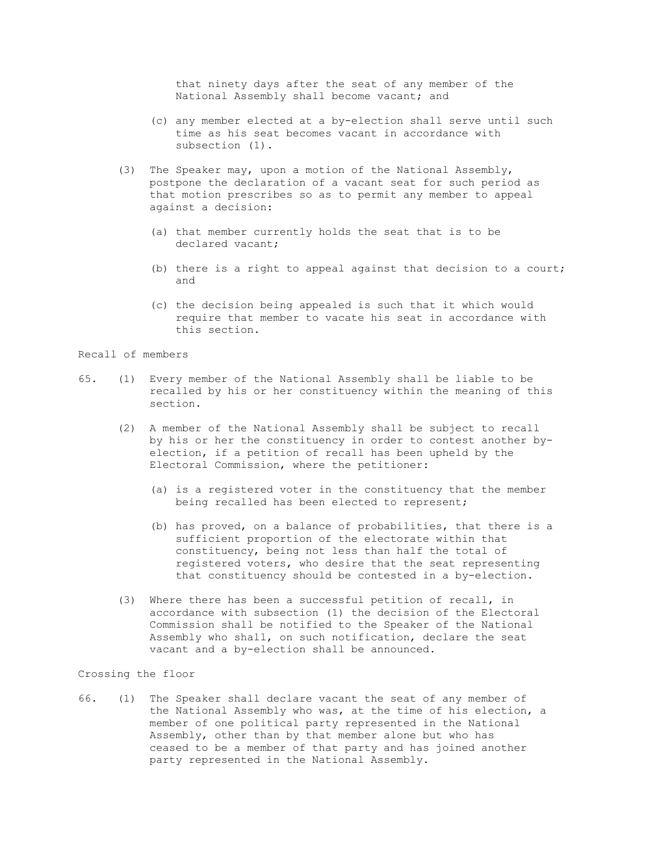that ninety days after the seat of any member of the National Assembly shall become vacant; and

- (c) any member elected at a by-election shall serve until such time as his seat becomes vacant in accordance with subsection (1).
- (3) The Speaker may, upon a motion of the National Assembly, postpone the declaration of a vacant seat for such period as that motion prescribes so as to permit any member to appeal against a decision:
	- (a) that member currently holds the seat that is to be declared vacant;
	- (b) there is a right to appeal against that decision to a court; and
	- (c) the decision being appealed is such that it which would require that member to vacate his seat in accordance with this section.

## Recall of members

- 65. (1) Every member of the National Assembly shall be liable to be recalled by his or her constituency within the meaning of this section.
	- (2) A member of the National Assembly shall be subject to recall by his or her the constituency in order to contest another by election, if a petition of recall has been upheld by the Electoral Commission, where the petitioner:
		- (a) is a registered voter in the constituency that the member being recalled has been elected to represent;
		- (b) has proved, on a balance of probabilities, that there is a sufficient proportion of the electorate within that constituency, being not less than half the total of registered voters, who desire that the seat representing that constituency should be contested in a by-election.
	- (3) Where there has been a successful petition of recall, in accordance with subsection (1) the decision of the Electoral Commission shall be notified to the Speaker of the National Assembly who shall, on such notification, declare the seat vacant and a by-election shall be announced.

# Crossing the floor

66. (1) The Speaker shall declare vacant the seat of any member of the National Assembly who was, at the time of his election, a member of one political party represented in the National Assembly, other than by that member alone but who has ceased to be a member of that party and has joined another party represented in the National Assembly.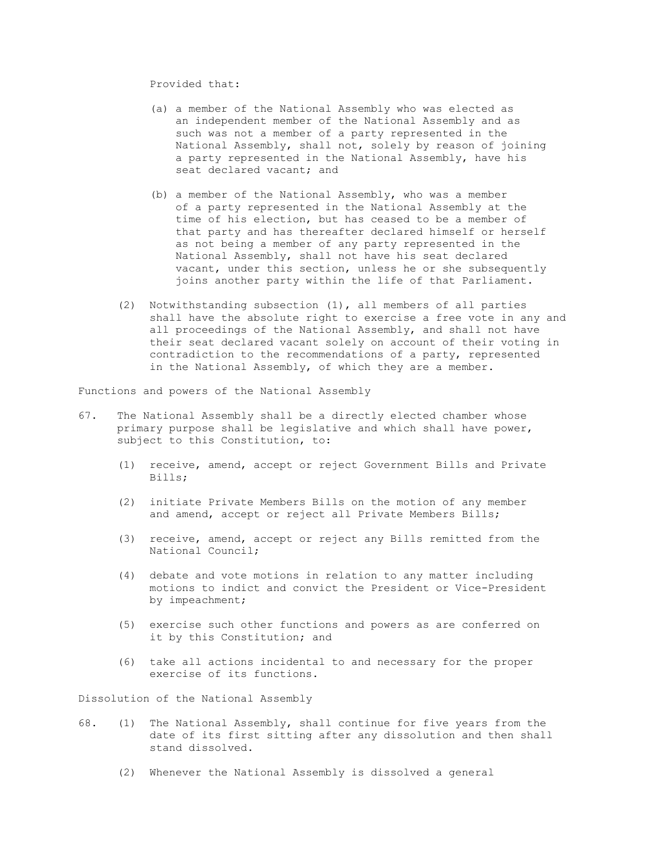Provided that:

- (a) a member of the National Assembly who was elected as an independent member of the National Assembly and as such was not a member of a party represented in the National Assembly, shall not, solely by reason of joining a party represented in the National Assembly, have his seat declared vacant; and
- (b) a member of the National Assembly, who was a member of a party represented in the National Assembly at the time of his election, but has ceased to be a member of that party and has thereafter declared himself or herself as not being a member of any party represented in the National Assembly, shall not have his seat declared vacant, under this section, unless he or she subsequently joins another party within the life of that Parliament.
- (2) Notwithstanding subsection (1), all members of all parties shall have the absolute right to exercise a free vote in any and all proceedings of the National Assembly, and shall not have their seat declared vacant solely on account of their voting in contradiction to the recommendations of a party, represented in the National Assembly, of which they are a member.

Functions and powers of the National Assembly

- 67. The National Assembly shall be a directly elected chamber whose primary purpose shall be legislative and which shall have power, subject to this Constitution, to:
	- (1) receive, amend, accept or reject Government Bills and Private Bills;
	- (2) initiate Private Members Bills on the motion of any member and amend, accept or reject all Private Members Bills;
	- (3) receive, amend, accept or reject any Bills remitted from the National Council;
	- (4) debate and vote motions in relation to any matter including motions to indict and convict the President or Vice-President by impeachment;
	- (5) exercise such other functions and powers as are conferred on it by this Constitution; and
	- (6) take all actions incidental to and necessary for the proper exercise of its functions.

Dissolution of the National Assembly

- 68. (1) The National Assembly, shall continue for five years from the date of its first sitting after any dissolution and then shall stand dissolved.
	- (2) Whenever the National Assembly is dissolved a general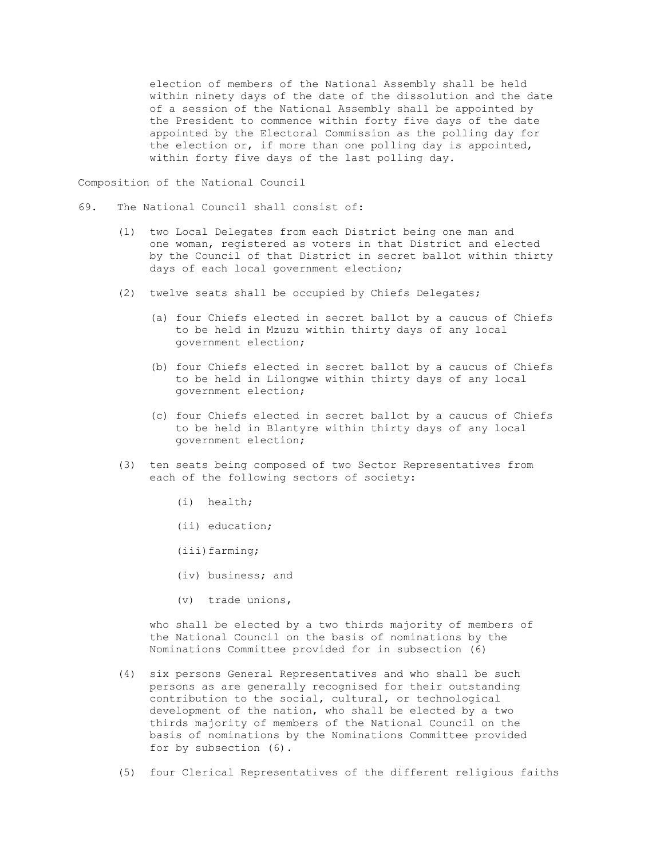election of members of the National Assembly shall be held within ninety days of the date of the dissolution and the date of a session of the National Assembly shall be appointed by the President to commence within forty five days of the date appointed by the Electoral Commission as the polling day for the election or, if more than one polling day is appointed, within forty five days of the last polling day.

Composition of the National Council

- 69. The National Council shall consist of:
	- (1) two Local Delegates from each District being one man and one woman, registered as voters in that District and elected by the Council of that District in secret ballot within thirty days of each local government election;
	- (2) twelve seats shall be occupied by Chiefs Delegates;
		- (a) four Chiefs elected in secret ballot by a caucus of Chiefs to be held in Mzuzu within thirty days of any local government election;
		- (b) four Chiefs elected in secret ballot by a caucus of Chiefs to be held in Lilongwe within thirty days of any local government election;
		- (c) four Chiefs elected in secret ballot by a caucus of Chiefs to be held in Blantyre within thirty days of any local government election;
	- (3) ten seats being composed of two Sector Representatives from each of the following sectors of society:
		- (i) health;
		- (ii) education;
		- (iii)farming;
		- (iv) business; and
		- (v) trade unions,

 who shall be elected by a two thirds majority of members of the National Council on the basis of nominations by the Nominations Committee provided for in subsection (6)

- (4) six persons General Representatives and who shall be such persons as are generally recognised for their outstanding contribution to the social, cultural, or technological development of the nation, who shall be elected by a two thirds majority of members of the National Council on the basis of nominations by the Nominations Committee provided for by subsection (6).
- (5) four Clerical Representatives of the different religious faiths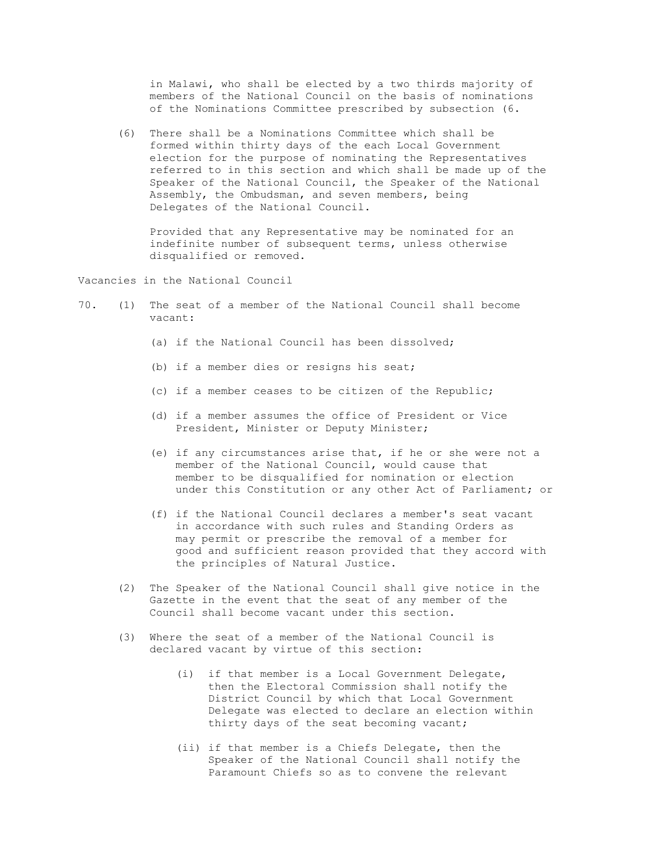in Malawi, who shall be elected by a two thirds majority of members of the National Council on the basis of nominations of the Nominations Committee prescribed by subsection (6.

 (6) There shall be a Nominations Committee which shall be formed within thirty days of the each Local Government election for the purpose of nominating the Representatives referred to in this section and which shall be made up of the Speaker of the National Council, the Speaker of the National Assembly, the Ombudsman, and seven members, being Delegates of the National Council.

 Provided that any Representative may be nominated for an indefinite number of subsequent terms, unless otherwise disqualified or removed.

Vacancies in the National Council

- 70. (1) The seat of a member of the National Council shall become vacant:
	- (a) if the National Council has been dissolved;
	- (b) if a member dies or resigns his seat;
	- (c) if a member ceases to be citizen of the Republic;
	- (d) if a member assumes the office of President or Vice President, Minister or Deputy Minister;
	- (e) if any circumstances arise that, if he or she were not a member of the National Council, would cause that member to be disqualified for nomination or election under this Constitution or any other Act of Parliament; or
	- (f) if the National Council declares a member's seat vacant in accordance with such rules and Standing Orders as may permit or prescribe the removal of a member for good and sufficient reason provided that they accord with the principles of Natural Justice.
	- (2) The Speaker of the National Council shall give notice in the Gazette in the event that the seat of any member of the Council shall become vacant under this section.
	- (3) Where the seat of a member of the National Council is declared vacant by virtue of this section:
		- (i) if that member is a Local Government Delegate, then the Electoral Commission shall notify the District Council by which that Local Government Delegate was elected to declare an election within thirty days of the seat becoming vacant;
		- (ii) if that member is a Chiefs Delegate, then the Speaker of the National Council shall notify the Paramount Chiefs so as to convene the relevant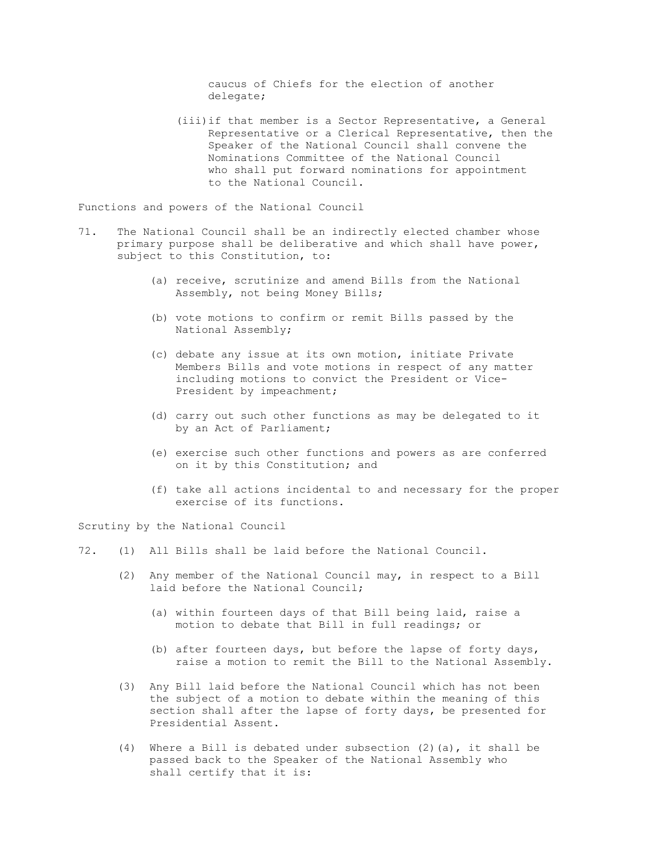caucus of Chiefs for the election of another delegate;

 (iii)if that member is a Sector Representative, a General Representative or a Clerical Representative, then the Speaker of the National Council shall convene the Nominations Committee of the National Council who shall put forward nominations for appointment to the National Council.

Functions and powers of the National Council

- 71. The National Council shall be an indirectly elected chamber whose primary purpose shall be deliberative and which shall have power, subject to this Constitution, to:
	- (a) receive, scrutinize and amend Bills from the National Assembly, not being Money Bills;
	- (b) vote motions to confirm or remit Bills passed by the National Assembly;
	- (c) debate any issue at its own motion, initiate Private Members Bills and vote motions in respect of any matter including motions to convict the President or Vice- President by impeachment;
	- (d) carry out such other functions as may be delegated to it by an Act of Parliament;
	- (e) exercise such other functions and powers as are conferred on it by this Constitution; and
	- (f) take all actions incidental to and necessary for the proper exercise of its functions.

Scrutiny by the National Council

- 72. (1) All Bills shall be laid before the National Council.
	- (2) Any member of the National Council may, in respect to a Bill laid before the National Council;
		- (a) within fourteen days of that Bill being laid, raise a motion to debate that Bill in full readings; or
		- (b) after fourteen days, but before the lapse of forty days, raise a motion to remit the Bill to the National Assembly.
	- (3) Any Bill laid before the National Council which has not been the subject of a motion to debate within the meaning of this section shall after the lapse of forty days, be presented for Presidential Assent.
	- (4) Where a Bill is debated under subsection (2)(a), it shall be passed back to the Speaker of the National Assembly who shall certify that it is: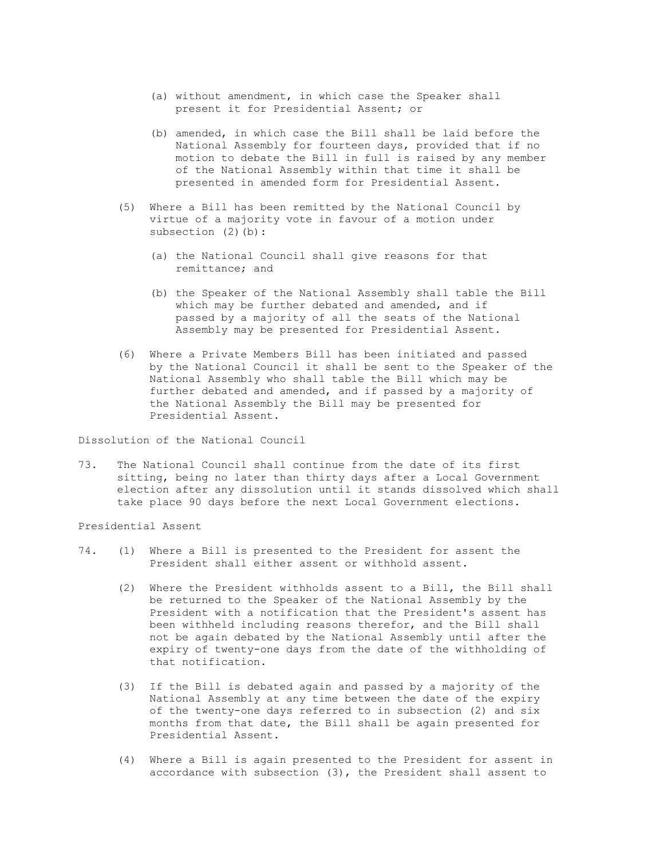- (a) without amendment, in which case the Speaker shall present it for Presidential Assent; or
- (b) amended, in which case the Bill shall be laid before the National Assembly for fourteen days, provided that if no motion to debate the Bill in full is raised by any member of the National Assembly within that time it shall be presented in amended form for Presidential Assent.
- (5) Where a Bill has been remitted by the National Council by virtue of a majority vote in favour of a motion under subsection (2)(b):
	- (a) the National Council shall give reasons for that remittance; and
	- (b) the Speaker of the National Assembly shall table the Bill which may be further debated and amended, and if passed by a majority of all the seats of the National Assembly may be presented for Presidential Assent.
- (6) Where a Private Members Bill has been initiated and passed by the National Council it shall be sent to the Speaker of the National Assembly who shall table the Bill which may be further debated and amended, and if passed by a majority of the National Assembly the Bill may be presented for Presidential Assent.

Dissolution of the National Council

73. The National Council shall continue from the date of its first sitting, being no later than thirty days after a Local Government election after any dissolution until it stands dissolved which shall take place 90 days before the next Local Government elections.

Presidential Assent

- 74. (1) Where a Bill is presented to the President for assent the President shall either assent or withhold assent.
	- (2) Where the President withholds assent to a Bill, the Bill shall be returned to the Speaker of the National Assembly by the President with a notification that the President's assent has been withheld including reasons therefor, and the Bill shall not be again debated by the National Assembly until after the expiry of twenty-one days from the date of the withholding of that notification.
	- (3) If the Bill is debated again and passed by a majority of the National Assembly at any time between the date of the expiry of the twenty-one days referred to in subsection (2) and six months from that date, the Bill shall be again presented for Presidential Assent.
	- (4) Where a Bill is again presented to the President for assent in accordance with subsection (3), the President shall assent to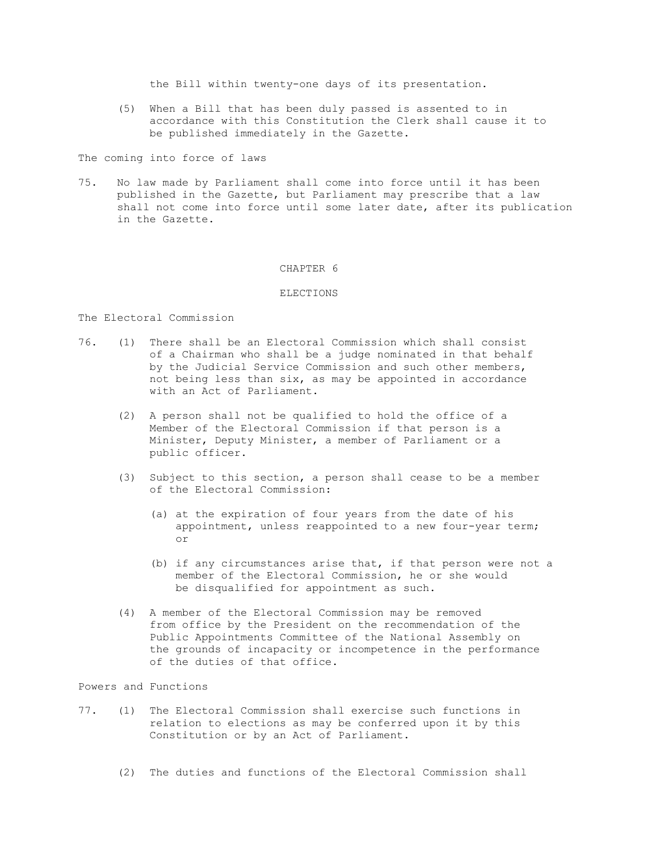the Bill within twenty-one days of its presentation.

 (5) When a Bill that has been duly passed is assented to in accordance with this Constitution the Clerk shall cause it to be published immediately in the Gazette.

The coming into force of laws

75. No law made by Parliament shall come into force until it has been published in the Gazette, but Parliament may prescribe that a law shall not come into force until some later date, after its publication in the Gazette.

## CHAPTER 6

## ELECTIONS

The Electoral Commission

- 76. (1) There shall be an Electoral Commission which shall consist of a Chairman who shall be a judge nominated in that behalf by the Judicial Service Commission and such other members, not being less than six, as may be appointed in accordance with an Act of Parliament.
	- (2) A person shall not be qualified to hold the office of a Member of the Electoral Commission if that person is a Minister, Deputy Minister, a member of Parliament or a public officer.
	- (3) Subject to this section, a person shall cease to be a member of the Electoral Commission:
- (a) at the expiration of four years from the date of his appointment, unless reappointed to a new four-year term; or
	- (b) if any circumstances arise that, if that person were not a member of the Electoral Commission, he or she would be disqualified for appointment as such.
	- (4) A member of the Electoral Commission may be removed from office by the President on the recommendation of the Public Appointments Committee of the National Assembly on the grounds of incapacity or incompetence in the performance of the duties of that office.

Powers and Functions

- 77. (1) The Electoral Commission shall exercise such functions in relation to elections as may be conferred upon it by this Constitution or by an Act of Parliament.
	- (2) The duties and functions of the Electoral Commission shall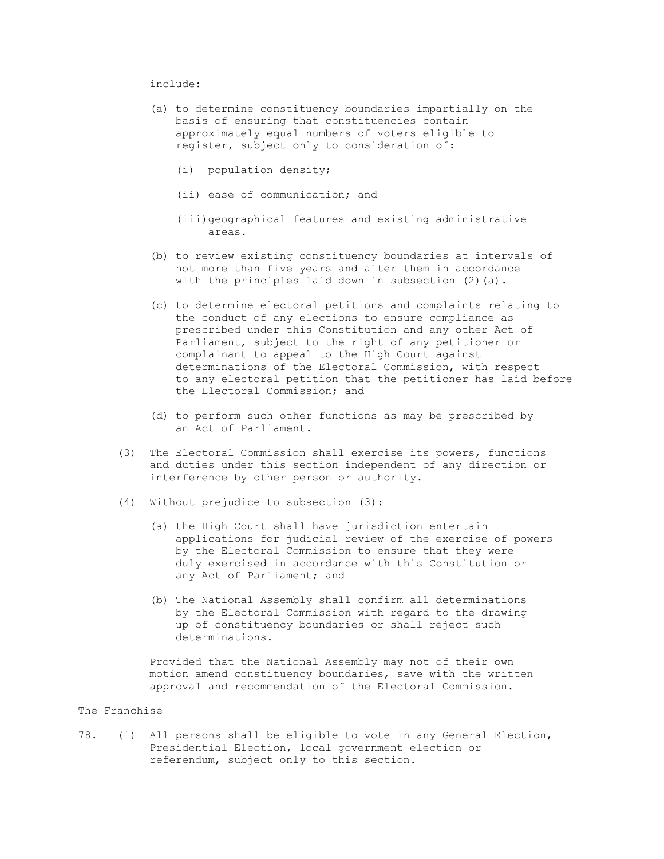## include:

- (a) to determine constituency boundaries impartially on the basis of ensuring that constituencies contain approximately equal numbers of voters eligible to register, subject only to consideration of:
	- (i) population density;
	- (ii) ease of communication; and
	- (iii)geographical features and existing administrative areas.
- (b) to review existing constituency boundaries at intervals of not more than five years and alter them in accordance with the principles laid down in subsection (2)(a).
- (c) to determine electoral petitions and complaints relating to the conduct of any elections to ensure compliance as prescribed under this Constitution and any other Act of Parliament, subject to the right of any petitioner or complainant to appeal to the High Court against determinations of the Electoral Commission, with respect to any electoral petition that the petitioner has laid before the Electoral Commission; and
- (d) to perform such other functions as may be prescribed by an Act of Parliament.
- (3) The Electoral Commission shall exercise its powers, functions and duties under this section independent of any direction or interference by other person or authority.
- (4) Without prejudice to subsection (3):
	- (a) the High Court shall have jurisdiction entertain applications for judicial review of the exercise of powers by the Electoral Commission to ensure that they were duly exercised in accordance with this Constitution or any Act of Parliament; and
	- (b) The National Assembly shall confirm all determinations by the Electoral Commission with regard to the drawing up of constituency boundaries or shall reject such determinations.

 Provided that the National Assembly may not of their own motion amend constituency boundaries, save with the written approval and recommendation of the Electoral Commission.

## The Franchise

78. (1) All persons shall be eligible to vote in any General Election, Presidential Election, local government election or referendum, subject only to this section.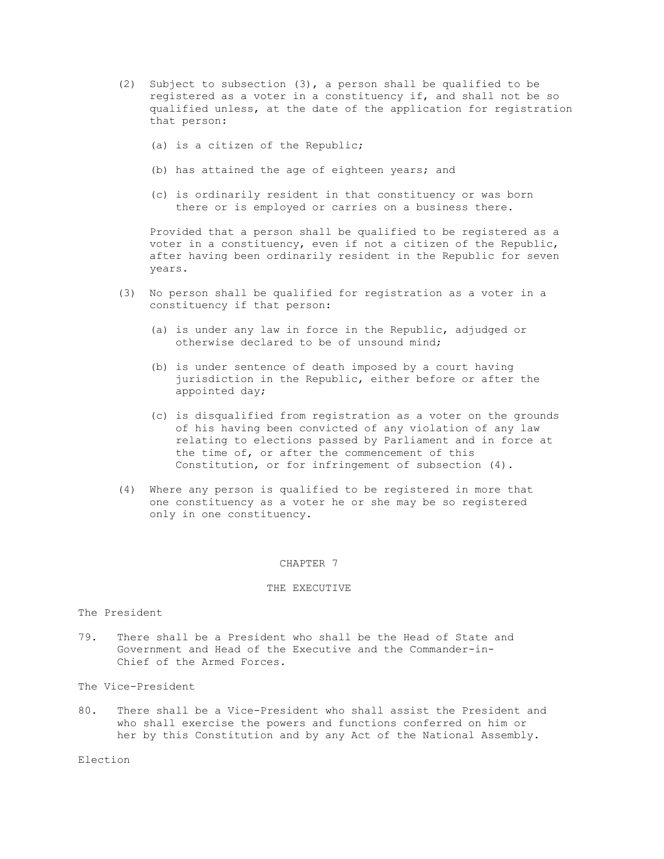- (2) Subject to subsection (3), a person shall be qualified to be registered as a voter in a constituency if, and shall not be so qualified unless, at the date of the application for registration that person:
	- (a) is a citizen of the Republic;
	- (b) has attained the age of eighteen years; and
	- (c) is ordinarily resident in that constituency or was born there or is employed or carries on a business there.

 Provided that a person shall be qualified to be registered as a voter in a constituency, even if not a citizen of the Republic, after having been ordinarily resident in the Republic for seven years.

- (3) No person shall be qualified for registration as a voter in a constituency if that person:
	- (a) is under any law in force in the Republic, adjudged or otherwise declared to be of unsound mind;
	- (b) is under sentence of death imposed by a court having jurisdiction in the Republic, either before or after the appointed day;
	- (c) is disqualified from registration as a voter on the grounds of his having been convicted of any violation of any law relating to elections passed by Parliament and in force at the time of, or after the commencement of this Constitution, or for infringement of subsection (4).
- (4) Where any person is qualified to be registered in more that one constituency as a voter he or she may be so registered only in one constituency.

#### CHAPTER 7

## THE EXECUTIVE

## The President

79. There shall be a President who shall be the Head of State and Government and Head of the Executive and the Commander-in- Chief of the Armed Forces.

The Vice-President

80. There shall be a Vice-President who shall assist the President and who shall exercise the powers and functions conferred on him or her by this Constitution and by any Act of the National Assembly.

Election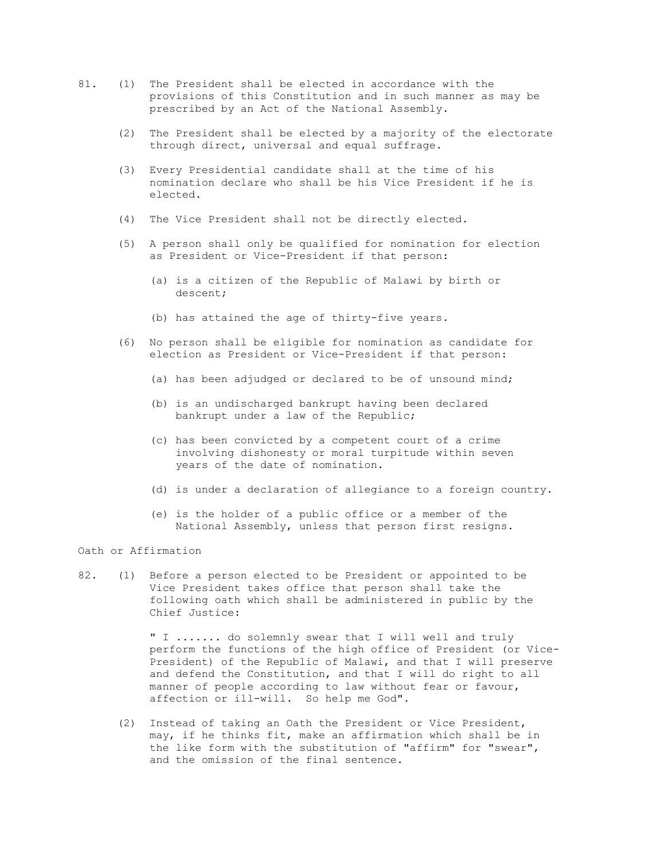- 81. (1) The President shall be elected in accordance with the provisions of this Constitution and in such manner as may be prescribed by an Act of the National Assembly.
	- (2) The President shall be elected by a majority of the electorate through direct, universal and equal suffrage.
	- (3) Every Presidential candidate shall at the time of his nomination declare who shall be his Vice President if he is elected.
	- (4) The Vice President shall not be directly elected.
	- (5) A person shall only be qualified for nomination for election as President or Vice-President if that person:
		- (a) is a citizen of the Republic of Malawi by birth or descent;
		- (b) has attained the age of thirty-five years.
	- (6) No person shall be eligible for nomination as candidate for election as President or Vice-President if that person:
		- (a) has been adjudged or declared to be of unsound mind;
		- (b) is an undischarged bankrupt having been declared bankrupt under a law of the Republic;
		- (c) has been convicted by a competent court of a crime involving dishonesty or moral turpitude within seven years of the date of nomination.
		- (d) is under a declaration of allegiance to a foreign country.
		- (e) is the holder of a public office or a member of the National Assembly, unless that person first resigns.

Oath or Affirmation

82. (1) Before a person elected to be President or appointed to be Vice President takes office that person shall take the following oath which shall be administered in public by the Chief Justice:

> " I ....... do solemnly swear that I will well and truly perform the functions of the high office of President (or Vice- President) of the Republic of Malawi, and that I will preserve and defend the Constitution, and that I will do right to all manner of people according to law without fear or favour, affection or ill-will. So help me God".

 (2) Instead of taking an Oath the President or Vice President, may, if he thinks fit, make an affirmation which shall be in the like form with the substitution of "affirm" for "swear", and the omission of the final sentence.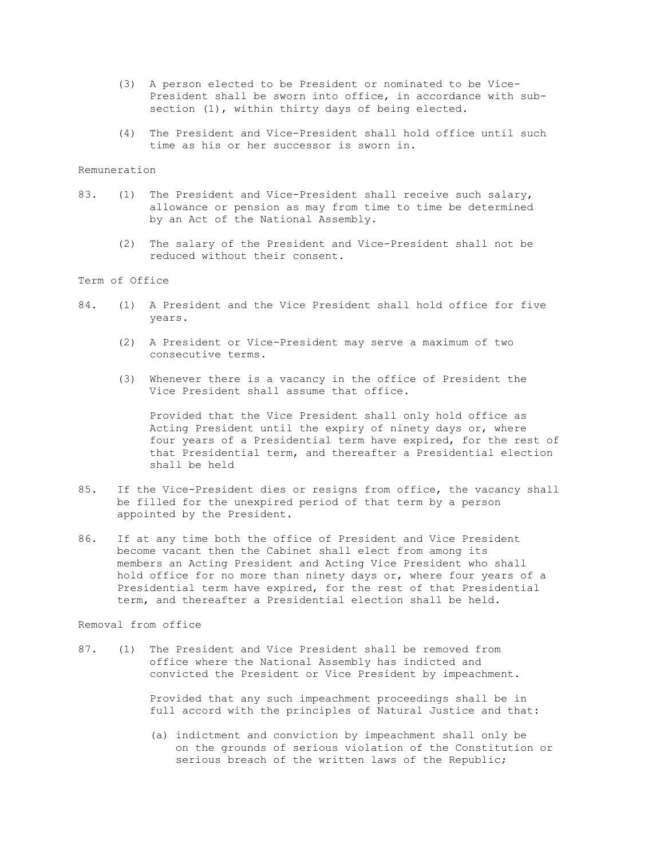- (3) A person elected to be President or nominated to be Vice- President shall be sworn into office, in accordance with sub section (1), within thirty days of being elected.
- (4) The President and Vice-President shall hold office until such time as his or her successor is sworn in.

## Remuneration

- 83. (1) The President and Vice-President shall receive such salary, allowance or pension as may from time to time be determined by an Act of the National Assembly.
	- (2) The salary of the President and Vice-President shall not be reduced without their consent.

# Term of Office

- 84. (1) A President and the Vice President shall hold office for five years.
	- (2) A President or Vice-President may serve a maximum of two consecutive terms.
	- (3) Whenever there is a vacancy in the office of President the Vice President shall assume that office.

 Provided that the Vice President shall only hold office as Acting President until the expiry of ninety days or, where four years of a Presidential term have expired, for the rest of that Presidential term, and thereafter a Presidential election shall be held

- 85. If the Vice-President dies or resigns from office, the vacancy shall be filled for the unexpired period of that term by a person appointed by the President.
- 86. If at any time both the office of President and Vice President become vacant then the Cabinet shall elect from among its members an Acting President and Acting Vice President who shall hold office for no more than ninety days or, where four years of a Presidential term have expired, for the rest of that Presidential term, and thereafter a Presidential election shall be held.

## Removal from office

87. (1) The President and Vice President shall be removed from office where the National Assembly has indicted and convicted the President or Vice President by impeachment.

> Provided that any such impeachment proceedings shall be in full accord with the principles of Natural Justice and that:

 (a) indictment and conviction by impeachment shall only be on the grounds of serious violation of the Constitution or serious breach of the written laws of the Republic;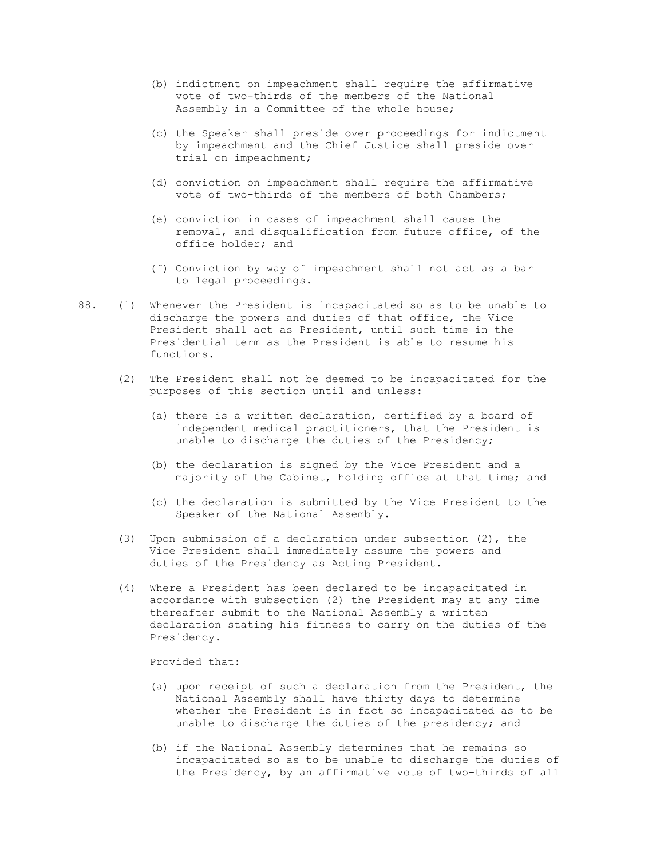- (b) indictment on impeachment shall require the affirmative vote of two-thirds of the members of the National Assembly in a Committee of the whole house;
- (c) the Speaker shall preside over proceedings for indictment by impeachment and the Chief Justice shall preside over trial on impeachment;
- (d) conviction on impeachment shall require the affirmative vote of two-thirds of the members of both Chambers;
- (e) conviction in cases of impeachment shall cause the removal, and disqualification from future office, of the office holder; and
- (f) Conviction by way of impeachment shall not act as a bar to legal proceedings.
- 88. (1) Whenever the President is incapacitated so as to be unable to discharge the powers and duties of that office, the Vice President shall act as President, until such time in the Presidential term as the President is able to resume his functions.
	- (2) The President shall not be deemed to be incapacitated for the purposes of this section until and unless:
		- (a) there is a written declaration, certified by a board of independent medical practitioners, that the President is unable to discharge the duties of the Presidency;
		- (b) the declaration is signed by the Vice President and a majority of the Cabinet, holding office at that time; and
		- (c) the declaration is submitted by the Vice President to the Speaker of the National Assembly.
	- (3) Upon submission of a declaration under subsection (2), the Vice President shall immediately assume the powers and duties of the Presidency as Acting President.
	- (4) Where a President has been declared to be incapacitated in accordance with subsection (2) the President may at any time thereafter submit to the National Assembly a written declaration stating his fitness to carry on the duties of the Presidency.

Provided that:

- (a) upon receipt of such a declaration from the President, the National Assembly shall have thirty days to determine whether the President is in fact so incapacitated as to be unable to discharge the duties of the presidency; and
- (b) if the National Assembly determines that he remains so incapacitated so as to be unable to discharge the duties of the Presidency, by an affirmative vote of two-thirds of all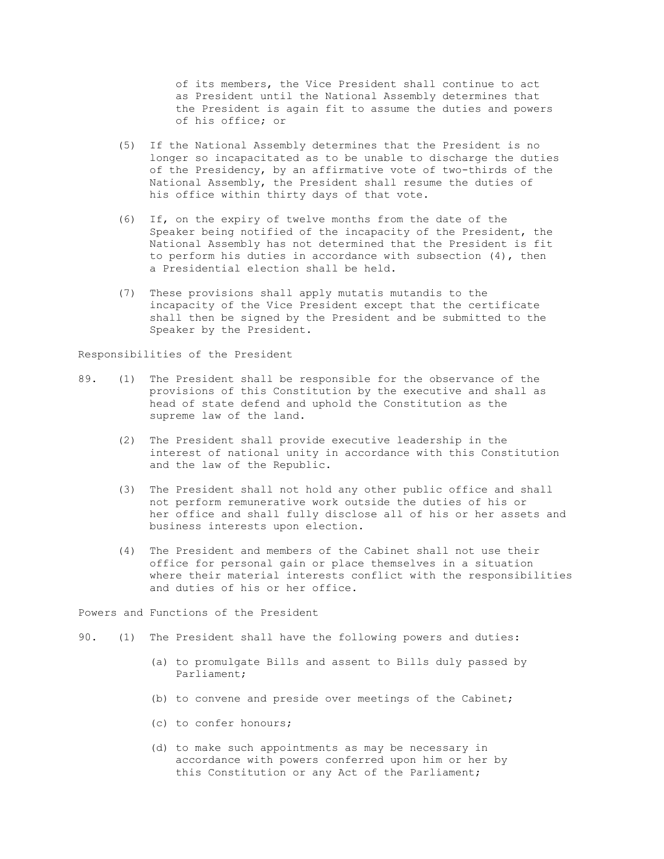of its members, the Vice President shall continue to act as President until the National Assembly determines that the President is again fit to assume the duties and powers of his office; or

- (5) If the National Assembly determines that the President is no longer so incapacitated as to be unable to discharge the duties of the Presidency, by an affirmative vote of two-thirds of the National Assembly, the President shall resume the duties of his office within thirty days of that vote.
- (6) If, on the expiry of twelve months from the date of the Speaker being notified of the incapacity of the President, the National Assembly has not determined that the President is fit to perform his duties in accordance with subsection (4), then a Presidential election shall be held.
- (7) These provisions shall apply mutatis mutandis to the incapacity of the Vice President except that the certificate shall then be signed by the President and be submitted to the Speaker by the President.

Responsibilities of the President

- 89. (1) The President shall be responsible for the observance of the provisions of this Constitution by the executive and shall as head of state defend and uphold the Constitution as the supreme law of the land.
	- (2) The President shall provide executive leadership in the interest of national unity in accordance with this Constitution and the law of the Republic.
	- (3) The President shall not hold any other public office and shall not perform remunerative work outside the duties of his or her office and shall fully disclose all of his or her assets and business interests upon election.
	- (4) The President and members of the Cabinet shall not use their office for personal gain or place themselves in a situation where their material interests conflict with the responsibilities and duties of his or her office.

Powers and Functions of the President

- 90. (1) The President shall have the following powers and duties:
	- (a) to promulgate Bills and assent to Bills duly passed by Parliament;
	- (b) to convene and preside over meetings of the Cabinet;
	- (c) to confer honours;
	- (d) to make such appointments as may be necessary in accordance with powers conferred upon him or her by this Constitution or any Act of the Parliament;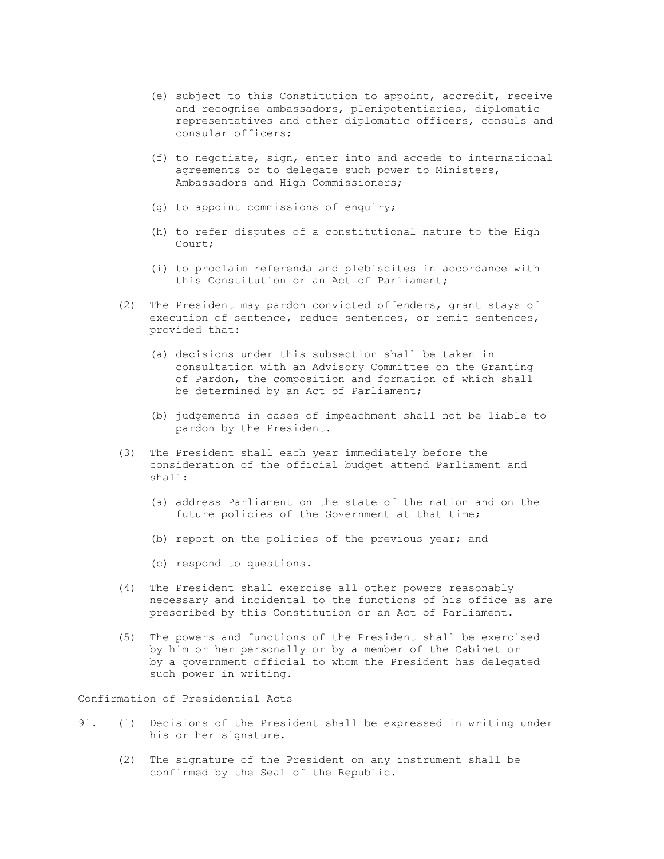- (e) subject to this Constitution to appoint, accredit, receive and recognise ambassadors, plenipotentiaries, diplomatic representatives and other diplomatic officers, consuls and consular officers;
- (f) to negotiate, sign, enter into and accede to international agreements or to delegate such power to Ministers, Ambassadors and High Commissioners;
- (g) to appoint commissions of enquiry;
- (h) to refer disputes of a constitutional nature to the High Court;
- (i) to proclaim referenda and plebiscites in accordance with this Constitution or an Act of Parliament;
- (2) The President may pardon convicted offenders, grant stays of execution of sentence, reduce sentences, or remit sentences, provided that:
	- (a) decisions under this subsection shall be taken in consultation with an Advisory Committee on the Granting of Pardon, the composition and formation of which shall be determined by an Act of Parliament;
	- (b) judgements in cases of impeachment shall not be liable to pardon by the President.
- (3) The President shall each year immediately before the consideration of the official budget attend Parliament and shall:
	- (a) address Parliament on the state of the nation and on the future policies of the Government at that time;
	- (b) report on the policies of the previous year; and
	- (c) respond to questions.
- (4) The President shall exercise all other powers reasonably necessary and incidental to the functions of his office as are prescribed by this Constitution or an Act of Parliament.
- (5) The powers and functions of the President shall be exercised by him or her personally or by a member of the Cabinet or by a government official to whom the President has delegated such power in writing.

Confirmation of Presidential Acts

- 91. (1) Decisions of the President shall be expressed in writing under his or her signature.
	- (2) The signature of the President on any instrument shall be confirmed by the Seal of the Republic.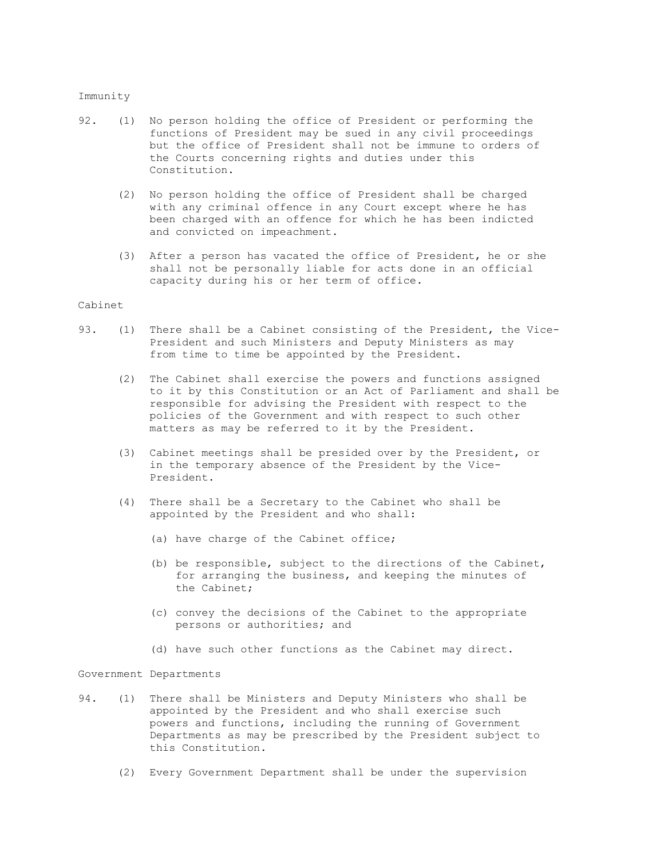### Immunity

- 92. (1) No person holding the office of President or performing the functions of President may be sued in any civil proceedings but the office of President shall not be immune to orders of the Courts concerning rights and duties under this Constitution.
	- (2) No person holding the office of President shall be charged with any criminal offence in any Court except where he has been charged with an offence for which he has been indicted and convicted on impeachment.
	- (3) After a person has vacated the office of President, he or she shall not be personally liable for acts done in an official capacity during his or her term of office.

# Cabinet

- 93. (1) There shall be a Cabinet consisting of the President, the Vice- President and such Ministers and Deputy Ministers as may from time to time be appointed by the President.
	- (2) The Cabinet shall exercise the powers and functions assigned to it by this Constitution or an Act of Parliament and shall be responsible for advising the President with respect to the policies of the Government and with respect to such other matters as may be referred to it by the President.
	- (3) Cabinet meetings shall be presided over by the President, or in the temporary absence of the President by the Vice- President.
	- (4) There shall be a Secretary to the Cabinet who shall be appointed by the President and who shall:
		- (a) have charge of the Cabinet office;
		- (b) be responsible, subject to the directions of the Cabinet, for arranging the business, and keeping the minutes of the Cabinet;
		- (c) convey the decisions of the Cabinet to the appropriate persons or authorities; and
		- (d) have such other functions as the Cabinet may direct.

# Government Departments

- 94. (1) There shall be Ministers and Deputy Ministers who shall be appointed by the President and who shall exercise such powers and functions, including the running of Government Departments as may be prescribed by the President subject to this Constitution.
	- (2) Every Government Department shall be under the supervision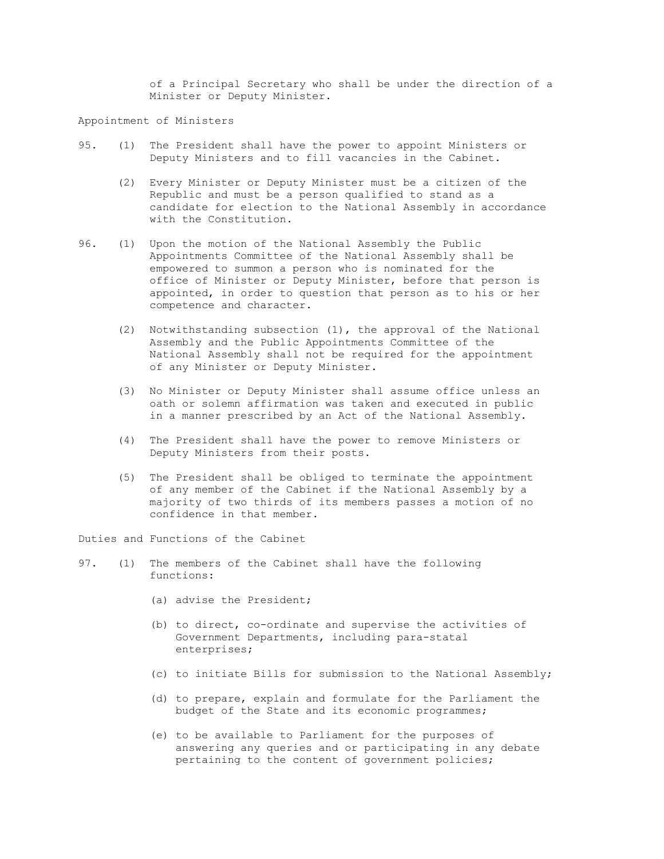of a Principal Secretary who shall be under the direction of a Minister or Deputy Minister.

Appointment of Ministers

- 95. (1) The President shall have the power to appoint Ministers or Deputy Ministers and to fill vacancies in the Cabinet.
	- (2) Every Minister or Deputy Minister must be a citizen of the Republic and must be a person qualified to stand as a candidate for election to the National Assembly in accordance with the Constitution.
- 96. (1) Upon the motion of the National Assembly the Public Appointments Committee of the National Assembly shall be empowered to summon a person who is nominated for the office of Minister or Deputy Minister, before that person is appointed, in order to question that person as to his or her competence and character.
	- (2) Notwithstanding subsection (1), the approval of the National Assembly and the Public Appointments Committee of the National Assembly shall not be required for the appointment of any Minister or Deputy Minister.
	- (3) No Minister or Deputy Minister shall assume office unless an oath or solemn affirmation was taken and executed in public in a manner prescribed by an Act of the National Assembly.
	- (4) The President shall have the power to remove Ministers or Deputy Ministers from their posts.
	- (5) The President shall be obliged to terminate the appointment of any member of the Cabinet if the National Assembly by a majority of two thirds of its members passes a motion of no confidence in that member.

Duties and Functions of the Cabinet

- 97. (1) The members of the Cabinet shall have the following functions:
	- (a) advise the President;
	- (b) to direct, co-ordinate and supervise the activities of Government Departments, including para-statal enterprises;
	- (c) to initiate Bills for submission to the National Assembly;
	- (d) to prepare, explain and formulate for the Parliament the budget of the State and its economic programmes;
	- (e) to be available to Parliament for the purposes of answering any queries and or participating in any debate pertaining to the content of government policies;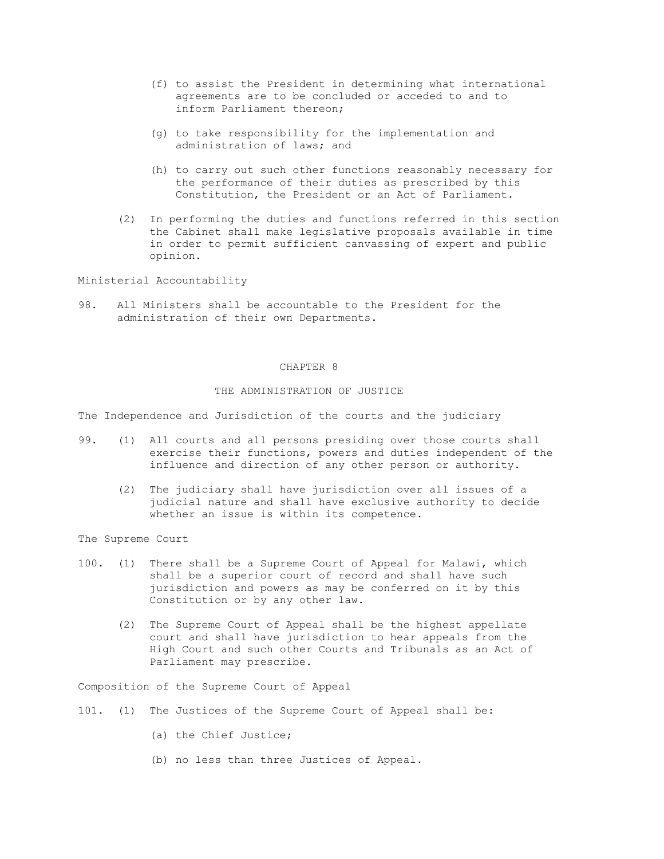- (f) to assist the President in determining what international agreements are to be concluded or acceded to and to inform Parliament thereon;
- (g) to take responsibility for the implementation and administration of laws; and
- (h) to carry out such other functions reasonably necessary for the performance of their duties as prescribed by this Constitution, the President or an Act of Parliament.
- (2) In performing the duties and functions referred in this section the Cabinet shall make legislative proposals available in time in order to permit sufficient canvassing of expert and public opinion.

Ministerial Accountability

98. All Ministers shall be accountable to the President for the administration of their own Departments.

### CHAPTER 8

## THE ADMINISTRATION OF JUSTICE

The Independence and Jurisdiction of the courts and the judiciary

- 99. (1) All courts and all persons presiding over those courts shall exercise their functions, powers and duties independent of the influence and direction of any other person or authority.
	- (2) The judiciary shall have jurisdiction over all issues of a judicial nature and shall have exclusive authority to decide whether an issue is within its competence.

The Supreme Court

- 100. (1) There shall be a Supreme Court of Appeal for Malawi, which shall be a superior court of record and shall have such jurisdiction and powers as may be conferred on it by this Constitution or by any other law.
	- (2) The Supreme Court of Appeal shall be the highest appellate court and shall have jurisdiction to hear appeals from the High Court and such other Courts and Tribunals as an Act of Parliament may prescribe.

Composition of the Supreme Court of Appeal

- 101. (1) The Justices of the Supreme Court of Appeal shall be:
	- (a) the Chief Justice;
	- (b) no less than three Justices of Appeal.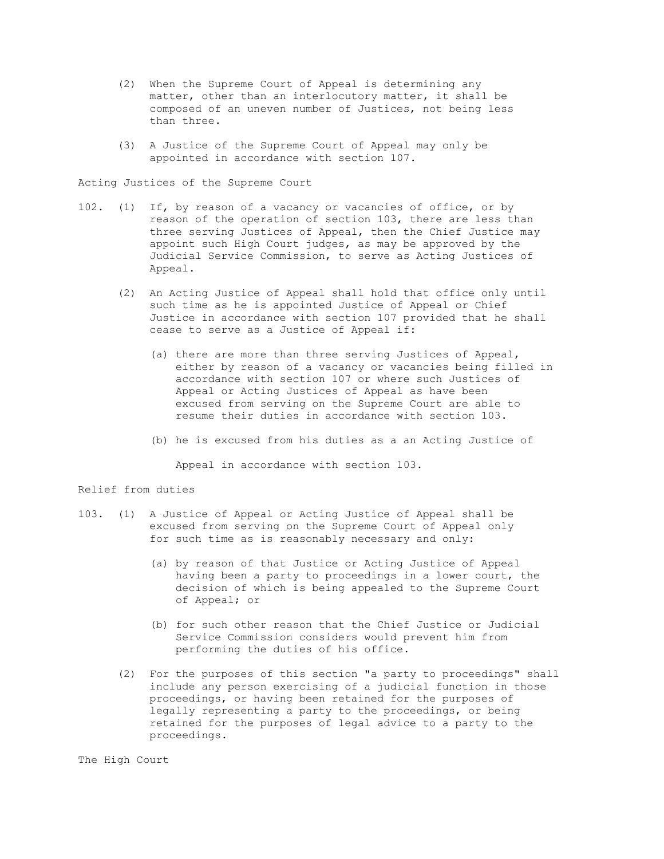- (2) When the Supreme Court of Appeal is determining any matter, other than an interlocutory matter, it shall be composed of an uneven number of Justices, not being less than three.
- (3) A Justice of the Supreme Court of Appeal may only be appointed in accordance with section 107.

Acting Justices of the Supreme Court

- 102. (1) If, by reason of a vacancy or vacancies of office, or by reason of the operation of section 103, there are less than three serving Justices of Appeal, then the Chief Justice may appoint such High Court judges, as may be approved by the Judicial Service Commission, to serve as Acting Justices of Appeal.
	- (2) An Acting Justice of Appeal shall hold that office only until such time as he is appointed Justice of Appeal or Chief Justice in accordance with section 107 provided that he shall cease to serve as a Justice of Appeal if:
		- (a) there are more than three serving Justices of Appeal, either by reason of a vacancy or vacancies being filled in accordance with section 107 or where such Justices of Appeal or Acting Justices of Appeal as have been excused from serving on the Supreme Court are able to resume their duties in accordance with section 103.
		- (b) he is excused from his duties as a an Acting Justice of

Appeal in accordance with section 103.

## Relief from duties

- 103. (1) A Justice of Appeal or Acting Justice of Appeal shall be excused from serving on the Supreme Court of Appeal only for such time as is reasonably necessary and only:
	- (a) by reason of that Justice or Acting Justice of Appeal having been a party to proceedings in a lower court, the decision of which is being appealed to the Supreme Court of Appeal; or
	- (b) for such other reason that the Chief Justice or Judicial Service Commission considers would prevent him from performing the duties of his office.
	- (2) For the purposes of this section "a party to proceedings" shall include any person exercising of a judicial function in those proceedings, or having been retained for the purposes of legally representing a party to the proceedings, or being retained for the purposes of legal advice to a party to the proceedings.

The High Court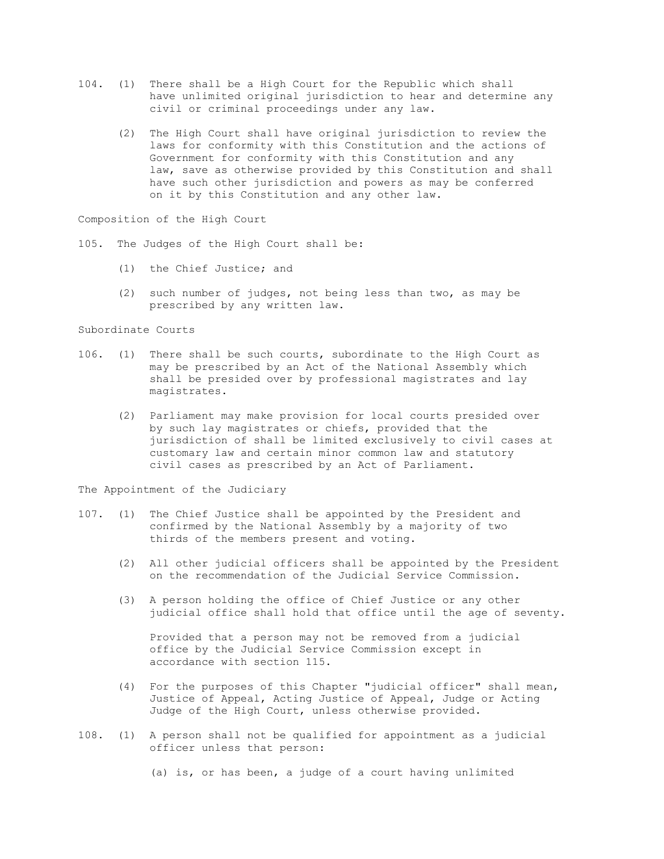- 104. (1) There shall be a High Court for the Republic which shall have unlimited original jurisdiction to hear and determine any civil or criminal proceedings under any law.
	- (2) The High Court shall have original jurisdiction to review the laws for conformity with this Constitution and the actions of Government for conformity with this Constitution and any law, save as otherwise provided by this Constitution and shall have such other jurisdiction and powers as may be conferred on it by this Constitution and any other law.

Composition of the High Court

105. The Judges of the High Court shall be:

- (1) the Chief Justice; and
- (2) such number of judges, not being less than two, as may be prescribed by any written law.

Subordinate Courts

- 106. (1) There shall be such courts, subordinate to the High Court as may be prescribed by an Act of the National Assembly which shall be presided over by professional magistrates and lay magistrates.
	- (2) Parliament may make provision for local courts presided over by such lay magistrates or chiefs, provided that the jurisdiction of shall be limited exclusively to civil cases at customary law and certain minor common law and statutory civil cases as prescribed by an Act of Parliament.

The Appointment of the Judiciary

- 107. (1) The Chief Justice shall be appointed by the President and confirmed by the National Assembly by a majority of two thirds of the members present and voting.
	- (2) All other judicial officers shall be appointed by the President on the recommendation of the Judicial Service Commission.
	- (3) A person holding the office of Chief Justice or any other judicial office shall hold that office until the age of seventy.

 Provided that a person may not be removed from a judicial office by the Judicial Service Commission except in accordance with section 115.

- (4) For the purposes of this Chapter "judicial officer" shall mean, Justice of Appeal, Acting Justice of Appeal, Judge or Acting Judge of the High Court, unless otherwise provided.
- 108. (1) A person shall not be qualified for appointment as a judicial officer unless that person:

(a) is, or has been, a judge of a court having unlimited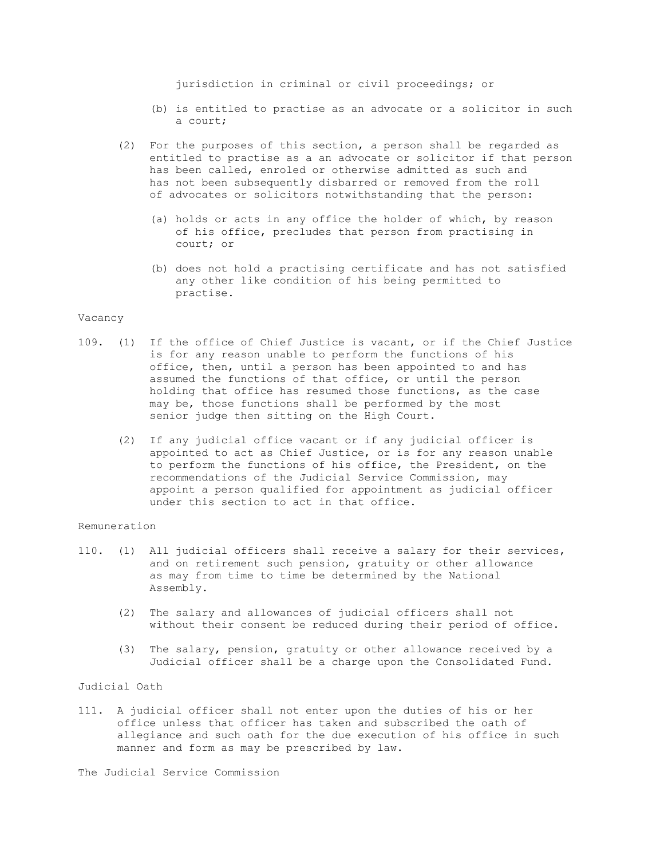jurisdiction in criminal or civil proceedings; or

- (b) is entitled to practise as an advocate or a solicitor in such a court;
- (2) For the purposes of this section, a person shall be regarded as entitled to practise as a an advocate or solicitor if that person has been called, enroled or otherwise admitted as such and has not been subsequently disbarred or removed from the roll of advocates or solicitors notwithstanding that the person:
	- (a) holds or acts in any office the holder of which, by reason of his office, precludes that person from practising in court; or
	- (b) does not hold a practising certificate and has not satisfied any other like condition of his being permitted to practise.

#### Vacancy

- 109. (1) If the office of Chief Justice is vacant, or if the Chief Justice is for any reason unable to perform the functions of his office, then, until a person has been appointed to and has assumed the functions of that office, or until the person holding that office has resumed those functions, as the case may be, those functions shall be performed by the most senior judge then sitting on the High Court.
	- (2) If any judicial office vacant or if any judicial officer is appointed to act as Chief Justice, or is for any reason unable to perform the functions of his office, the President, on the recommendations of the Judicial Service Commission, may appoint a person qualified for appointment as judicial officer under this section to act in that office.

#### Remuneration

- 110. (1) All judicial officers shall receive a salary for their services, and on retirement such pension, gratuity or other allowance as may from time to time be determined by the National Assembly.
	- (2) The salary and allowances of judicial officers shall not without their consent be reduced during their period of office.
	- (3) The salary, pension, gratuity or other allowance received by a Judicial officer shall be a charge upon the Consolidated Fund.

# Judicial Oath

111. A judicial officer shall not enter upon the duties of his or her office unless that officer has taken and subscribed the oath of allegiance and such oath for the due execution of his office in such manner and form as may be prescribed by law.

The Judicial Service Commission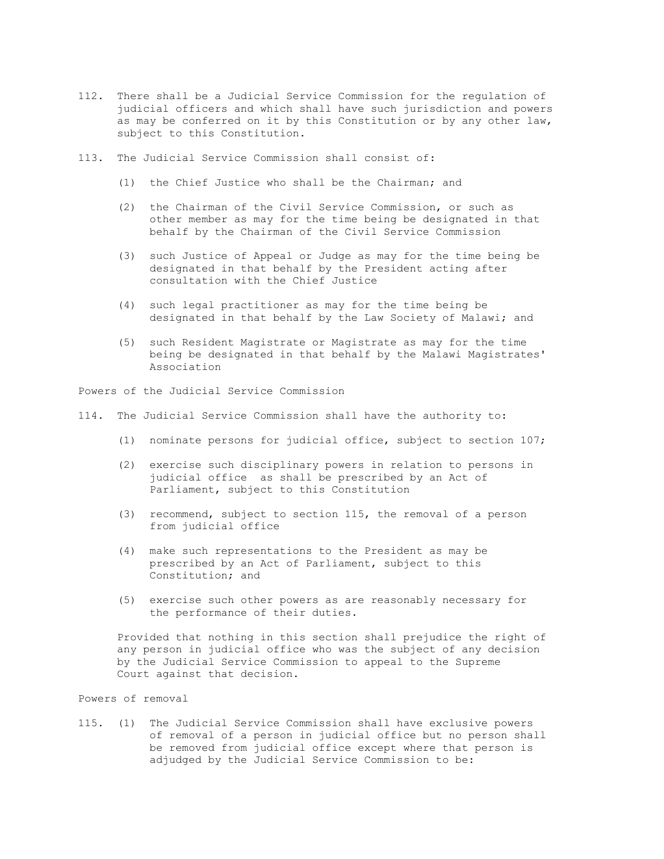- 112. There shall be a Judicial Service Commission for the regulation of judicial officers and which shall have such jurisdiction and powers as may be conferred on it by this Constitution or by any other law, subject to this Constitution.
- 113. The Judicial Service Commission shall consist of:
	- (1) the Chief Justice who shall be the Chairman; and
	- (2) the Chairman of the Civil Service Commission, or such as other member as may for the time being be designated in that behalf by the Chairman of the Civil Service Commission
	- (3) such Justice of Appeal or Judge as may for the time being be designated in that behalf by the President acting after consultation with the Chief Justice
	- (4) such legal practitioner as may for the time being be designated in that behalf by the Law Society of Malawi; and
	- (5) such Resident Magistrate or Magistrate as may for the time being be designated in that behalf by the Malawi Magistrates' Association

Powers of the Judicial Service Commission

114. The Judicial Service Commission shall have the authority to:

- (1) nominate persons for judicial office, subject to section 107;
- (2) exercise such disciplinary powers in relation to persons in judicial office as shall be prescribed by an Act of Parliament, subject to this Constitution
- (3) recommend, subject to section 115, the removal of a person from judicial office
- (4) make such representations to the President as may be prescribed by an Act of Parliament, subject to this Constitution; and
- (5) exercise such other powers as are reasonably necessary for the performance of their duties.

 Provided that nothing in this section shall prejudice the right of any person in judicial office who was the subject of any decision by the Judicial Service Commission to appeal to the Supreme Court against that decision.

Powers of removal

115. (1) The Judicial Service Commission shall have exclusive powers of removal of a person in judicial office but no person shall be removed from judicial office except where that person is adjudged by the Judicial Service Commission to be: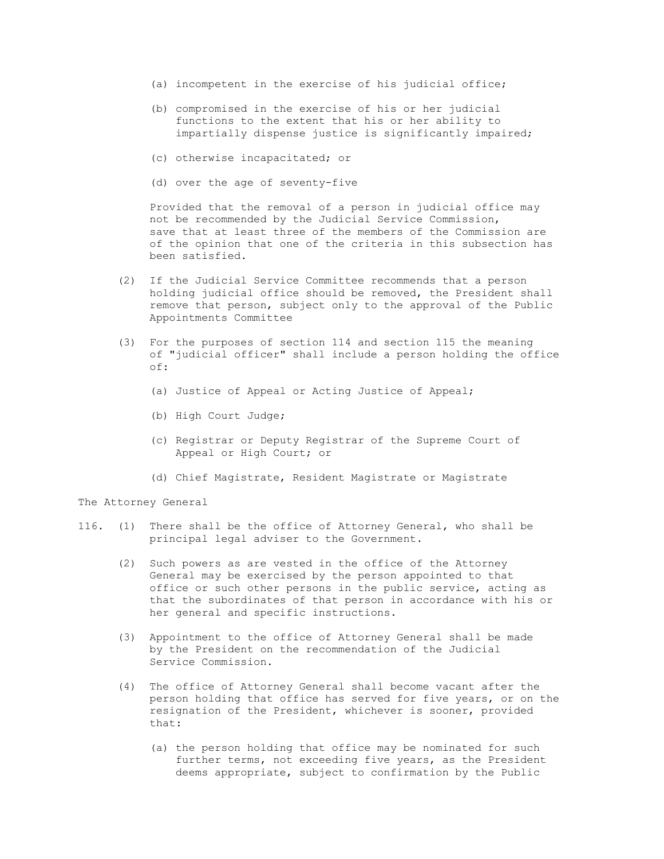- (a) incompetent in the exercise of his judicial office;
- (b) compromised in the exercise of his or her judicial functions to the extent that his or her ability to impartially dispense justice is significantly impaired;
- (c) otherwise incapacitated; or
- (d) over the age of seventy-five

 Provided that the removal of a person in judicial office may not be recommended by the Judicial Service Commission, save that at least three of the members of the Commission are of the opinion that one of the criteria in this subsection has been satisfied.

- (2) If the Judicial Service Committee recommends that a person holding judicial office should be removed, the President shall remove that person, subject only to the approval of the Public Appointments Committee
- (3) For the purposes of section 114 and section 115 the meaning of "judicial officer" shall include a person holding the office of:
	- (a) Justice of Appeal or Acting Justice of Appeal;
	- (b) High Court Judge;
	- (c) Registrar or Deputy Registrar of the Supreme Court of Appeal or High Court; or
	- (d) Chief Magistrate, Resident Magistrate or Magistrate

The Attorney General

- 116. (1) There shall be the office of Attorney General, who shall be principal legal adviser to the Government.
	- (2) Such powers as are vested in the office of the Attorney General may be exercised by the person appointed to that office or such other persons in the public service, acting as that the subordinates of that person in accordance with his or her general and specific instructions.
	- (3) Appointment to the office of Attorney General shall be made by the President on the recommendation of the Judicial Service Commission.
	- (4) The office of Attorney General shall become vacant after the person holding that office has served for five years, or on the resignation of the President, whichever is sooner, provided that:
		- (a) the person holding that office may be nominated for such further terms, not exceeding five years, as the President deems appropriate, subject to confirmation by the Public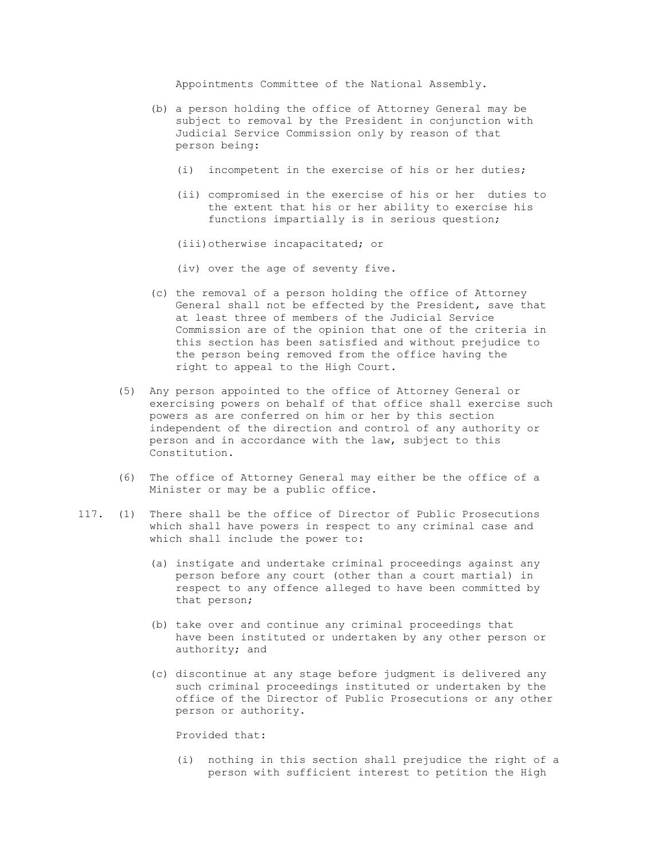Appointments Committee of the National Assembly.

- (b) a person holding the office of Attorney General may be subject to removal by the President in conjunction with Judicial Service Commission only by reason of that person being:
	- (i) incompetent in the exercise of his or her duties;
	- (ii) compromised in the exercise of his or her duties to the extent that his or her ability to exercise his functions impartially is in serious question;
	- (iii)otherwise incapacitated; or
	- (iv) over the age of seventy five.
- (c) the removal of a person holding the office of Attorney General shall not be effected by the President, save that at least three of members of the Judicial Service Commission are of the opinion that one of the criteria in this section has been satisfied and without prejudice to the person being removed from the office having the right to appeal to the High Court.
- (5) Any person appointed to the office of Attorney General or exercising powers on behalf of that office shall exercise such powers as are conferred on him or her by this section independent of the direction and control of any authority or person and in accordance with the law, subject to this Constitution.
- (6) The office of Attorney General may either be the office of a Minister or may be a public office.
- 117. (1) There shall be the office of Director of Public Prosecutions which shall have powers in respect to any criminal case and which shall include the power to:
	- (a) instigate and undertake criminal proceedings against any person before any court (other than a court martial) in respect to any offence alleged to have been committed by that person;
	- (b) take over and continue any criminal proceedings that have been instituted or undertaken by any other person or authority; and
	- (c) discontinue at any stage before judgment is delivered any such criminal proceedings instituted or undertaken by the office of the Director of Public Prosecutions or any other person or authority.

Provided that:

 (i) nothing in this section shall prejudice the right of a person with sufficient interest to petition the High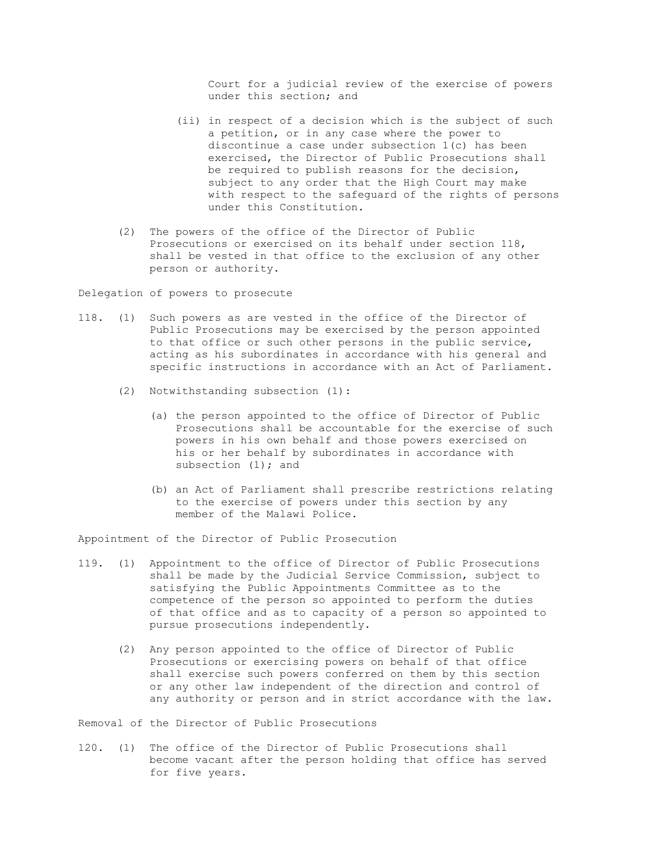Court for a judicial review of the exercise of powers under this section; and

- (ii) in respect of a decision which is the subject of such a petition, or in any case where the power to discontinue a case under subsection 1(c) has been exercised, the Director of Public Prosecutions shall be required to publish reasons for the decision, subject to any order that the High Court may make with respect to the safeguard of the rights of persons under this Constitution.
- (2) The powers of the office of the Director of Public Prosecutions or exercised on its behalf under section 118, shall be vested in that office to the exclusion of any other person or authority.

Delegation of powers to prosecute

- 118. (1) Such powers as are vested in the office of the Director of Public Prosecutions may be exercised by the person appointed to that office or such other persons in the public service, acting as his subordinates in accordance with his general and specific instructions in accordance with an Act of Parliament.
	- (2) Notwithstanding subsection (1):
		- (a) the person appointed to the office of Director of Public Prosecutions shall be accountable for the exercise of such powers in his own behalf and those powers exercised on his or her behalf by subordinates in accordance with subsection (1); and
		- (b) an Act of Parliament shall prescribe restrictions relating to the exercise of powers under this section by any member of the Malawi Police.

Appointment of the Director of Public Prosecution

- 119. (1) Appointment to the office of Director of Public Prosecutions shall be made by the Judicial Service Commission, subject to satisfying the Public Appointments Committee as to the competence of the person so appointed to perform the duties of that office and as to capacity of a person so appointed to pursue prosecutions independently.
	- (2) Any person appointed to the office of Director of Public Prosecutions or exercising powers on behalf of that office shall exercise such powers conferred on them by this section or any other law independent of the direction and control of any authority or person and in strict accordance with the law.

Removal of the Director of Public Prosecutions

120. (1) The office of the Director of Public Prosecutions shall become vacant after the person holding that office has served for five years.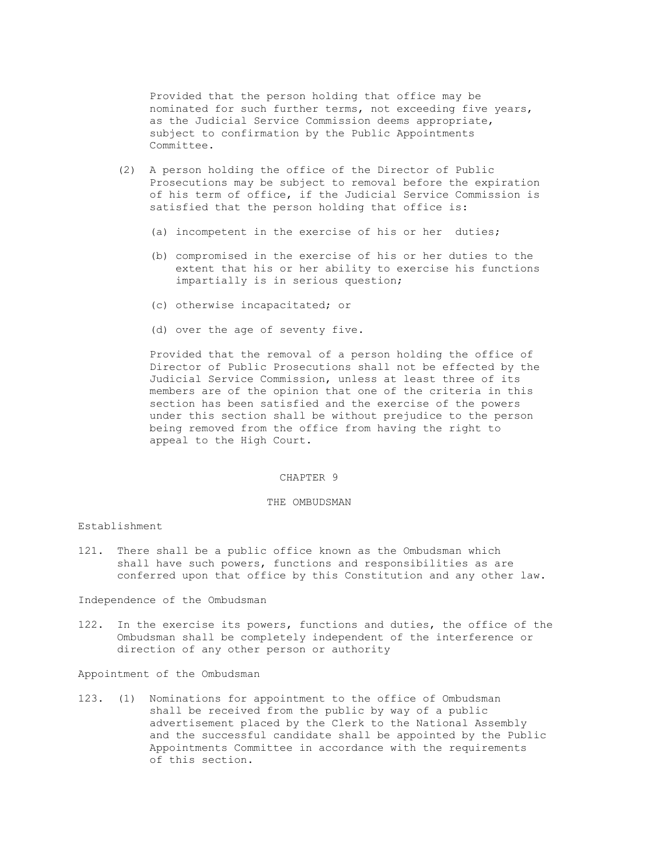Provided that the person holding that office may be nominated for such further terms, not exceeding five years, as the Judicial Service Commission deems appropriate, subject to confirmation by the Public Appointments Committee.

- (2) A person holding the office of the Director of Public Prosecutions may be subject to removal before the expiration of his term of office, if the Judicial Service Commission is satisfied that the person holding that office is:
	- (a) incompetent in the exercise of his or her duties;
	- (b) compromised in the exercise of his or her duties to the extent that his or her ability to exercise his functions impartially is in serious question;
	- (c) otherwise incapacitated; or
	- (d) over the age of seventy five.

 Provided that the removal of a person holding the office of Director of Public Prosecutions shall not be effected by the Judicial Service Commission, unless at least three of its members are of the opinion that one of the criteria in this section has been satisfied and the exercise of the powers under this section shall be without prejudice to the person being removed from the office from having the right to appeal to the High Court.

### CHAPTER 9

# THE OMBUDSMAN

## Establishment

121. There shall be a public office known as the Ombudsman which shall have such powers, functions and responsibilities as are conferred upon that office by this Constitution and any other law.

Independence of the Ombudsman

122. In the exercise its powers, functions and duties, the office of the Ombudsman shall be completely independent of the interference or direction of any other person or authority

Appointment of the Ombudsman

123. (1) Nominations for appointment to the office of Ombudsman shall be received from the public by way of a public advertisement placed by the Clerk to the National Assembly and the successful candidate shall be appointed by the Public Appointments Committee in accordance with the requirements of this section.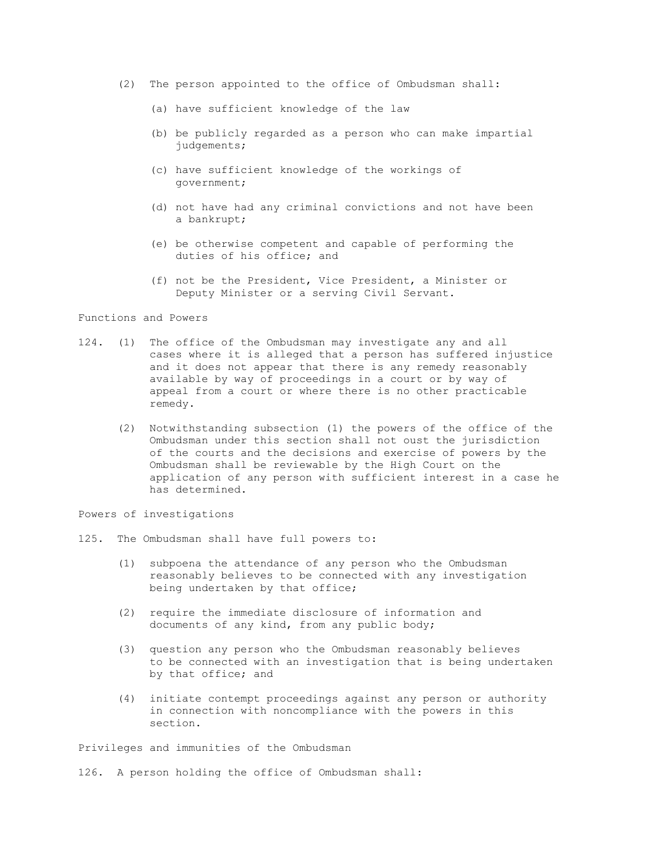- (2) The person appointed to the office of Ombudsman shall:
	- (a) have sufficient knowledge of the law
	- (b) be publicly regarded as a person who can make impartial judgements;
	- (c) have sufficient knowledge of the workings of government;
	- (d) not have had any criminal convictions and not have been a bankrupt;
	- (e) be otherwise competent and capable of performing the duties of his office; and
	- (f) not be the President, Vice President, a Minister or Deputy Minister or a serving Civil Servant.

Functions and Powers

- 124. (1) The office of the Ombudsman may investigate any and all cases where it is alleged that a person has suffered injustice and it does not appear that there is any remedy reasonably available by way of proceedings in a court or by way of appeal from a court or where there is no other practicable remedy.
	- (2) Notwithstanding subsection (1) the powers of the office of the Ombudsman under this section shall not oust the jurisdiction of the courts and the decisions and exercise of powers by the Ombudsman shall be reviewable by the High Court on the application of any person with sufficient interest in a case he has determined.

Powers of investigations

- 125. The Ombudsman shall have full powers to:
	- (1) subpoena the attendance of any person who the Ombudsman reasonably believes to be connected with any investigation being undertaken by that office;
	- (2) require the immediate disclosure of information and documents of any kind, from any public body;
	- (3) question any person who the Ombudsman reasonably believes to be connected with an investigation that is being undertaken by that office; and
	- (4) initiate contempt proceedings against any person or authority in connection with noncompliance with the powers in this section.

Privileges and immunities of the Ombudsman

126. A person holding the office of Ombudsman shall: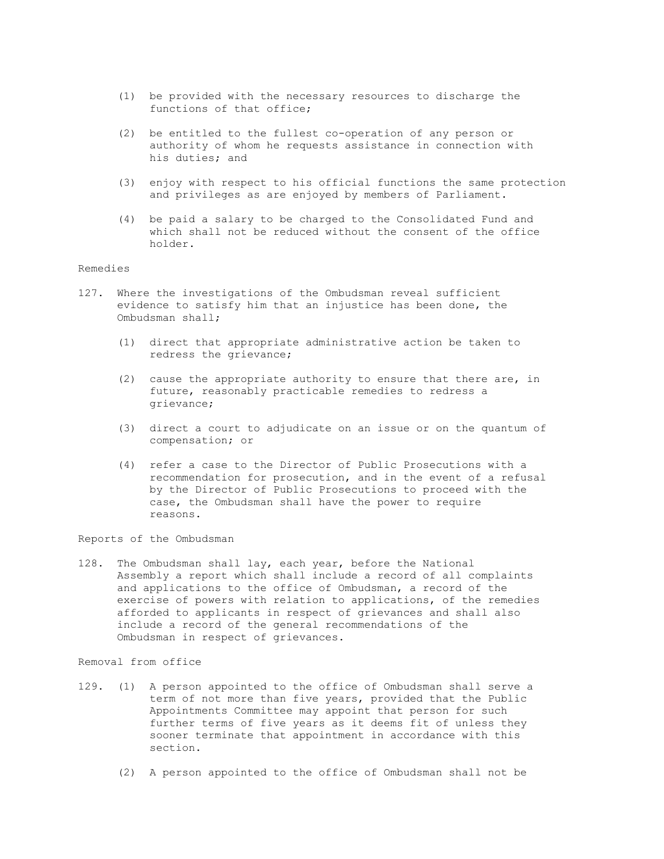- (1) be provided with the necessary resources to discharge the functions of that office;
- (2) be entitled to the fullest co-operation of any person or authority of whom he requests assistance in connection with his duties; and
- (3) enjoy with respect to his official functions the same protection and privileges as are enjoyed by members of Parliament.
- (4) be paid a salary to be charged to the Consolidated Fund and which shall not be reduced without the consent of the office holder.

## Remedies

- 127. Where the investigations of the Ombudsman reveal sufficient evidence to satisfy him that an injustice has been done, the Ombudsman shall;
	- (1) direct that appropriate administrative action be taken to redress the grievance;
	- (2) cause the appropriate authority to ensure that there are, in future, reasonably practicable remedies to redress a grievance;
	- (3) direct a court to adjudicate on an issue or on the quantum of compensation; or
	- (4) refer a case to the Director of Public Prosecutions with a recommendation for prosecution, and in the event of a refusal by the Director of Public Prosecutions to proceed with the case, the Ombudsman shall have the power to require reasons.

Reports of the Ombudsman

128. The Ombudsman shall lay, each year, before the National Assembly a report which shall include a record of all complaints and applications to the office of Ombudsman, a record of the exercise of powers with relation to applications, of the remedies afforded to applicants in respect of grievances and shall also include a record of the general recommendations of the Ombudsman in respect of grievances.

#### Removal from office

- 129. (1) A person appointed to the office of Ombudsman shall serve a term of not more than five years, provided that the Public Appointments Committee may appoint that person for such further terms of five years as it deems fit of unless they sooner terminate that appointment in accordance with this section.
	- (2) A person appointed to the office of Ombudsman shall not be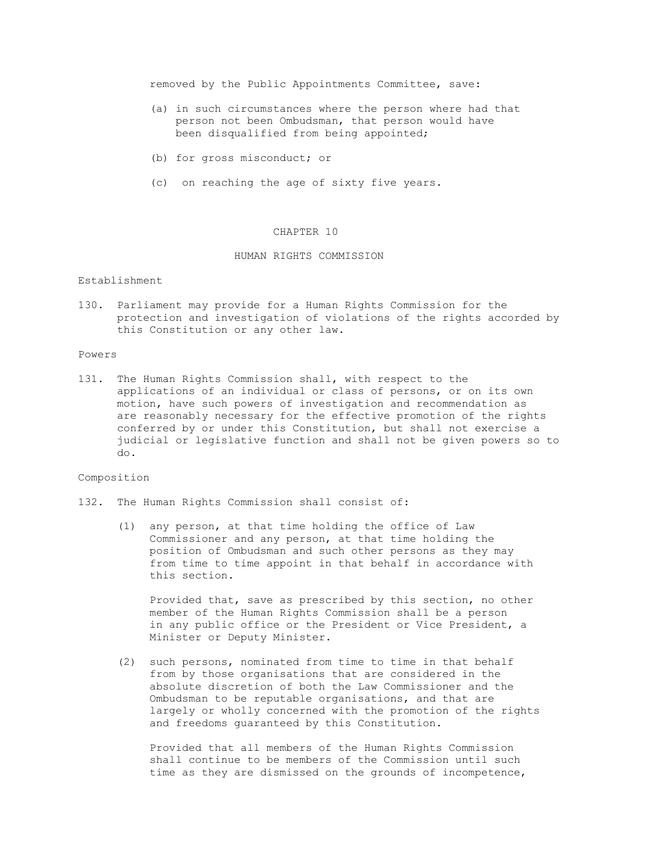removed by the Public Appointments Committee, save:

- (a) in such circumstances where the person where had that person not been Ombudsman, that person would have been disqualified from being appointed;
- (b) for gross misconduct; or
- (c) on reaching the age of sixty five years.

### CHAPTER 10

## HUMAN RIGHTS COMMISSION

## Establishment

130. Parliament may provide for a Human Rights Commission for the protection and investigation of violations of the rights accorded by this Constitution or any other law.

#### Powers

131. The Human Rights Commission shall, with respect to the applications of an individual or class of persons, or on its own motion, have such powers of investigation and recommendation as are reasonably necessary for the effective promotion of the rights conferred by or under this Constitution, but shall not exercise a judicial or legislative function and shall not be given powers so to do.

### Composition

- 132. The Human Rights Commission shall consist of:
	- (1) any person, at that time holding the office of Law Commissioner and any person, at that time holding the position of Ombudsman and such other persons as they may from time to time appoint in that behalf in accordance with this section.

 Provided that, save as prescribed by this section, no other member of the Human Rights Commission shall be a person in any public office or the President or Vice President, a Minister or Deputy Minister.

 (2) such persons, nominated from time to time in that behalf from by those organisations that are considered in the absolute discretion of both the Law Commissioner and the Ombudsman to be reputable organisations, and that are largely or wholly concerned with the promotion of the rights and freedoms guaranteed by this Constitution.

 Provided that all members of the Human Rights Commission shall continue to be members of the Commission until such time as they are dismissed on the grounds of incompetence,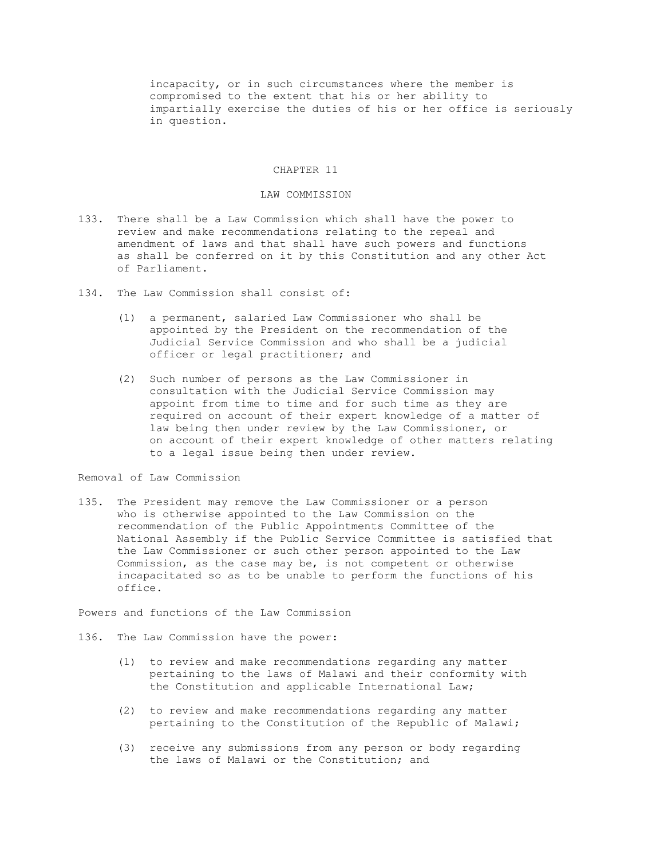incapacity, or in such circumstances where the member is compromised to the extent that his or her ability to impartially exercise the duties of his or her office is seriously in question.

### CHAPTER 11

### LAW COMMISSION

- 133. There shall be a Law Commission which shall have the power to review and make recommendations relating to the repeal and amendment of laws and that shall have such powers and functions as shall be conferred on it by this Constitution and any other Act of Parliament.
- 134. The Law Commission shall consist of:
	- (1) a permanent, salaried Law Commissioner who shall be appointed by the President on the recommendation of the Judicial Service Commission and who shall be a judicial officer or legal practitioner; and
	- (2) Such number of persons as the Law Commissioner in consultation with the Judicial Service Commission may appoint from time to time and for such time as they are required on account of their expert knowledge of a matter of law being then under review by the Law Commissioner, or on account of their expert knowledge of other matters relating to a legal issue being then under review.

# Removal of Law Commission

135. The President may remove the Law Commissioner or a person who is otherwise appointed to the Law Commission on the recommendation of the Public Appointments Committee of the National Assembly if the Public Service Committee is satisfied that the Law Commissioner or such other person appointed to the Law Commission, as the case may be, is not competent or otherwise incapacitated so as to be unable to perform the functions of his office.

Powers and functions of the Law Commission

- 136. The Law Commission have the power:
	- (1) to review and make recommendations regarding any matter pertaining to the laws of Malawi and their conformity with the Constitution and applicable International Law;
	- (2) to review and make recommendations regarding any matter pertaining to the Constitution of the Republic of Malawi;
	- (3) receive any submissions from any person or body regarding the laws of Malawi or the Constitution; and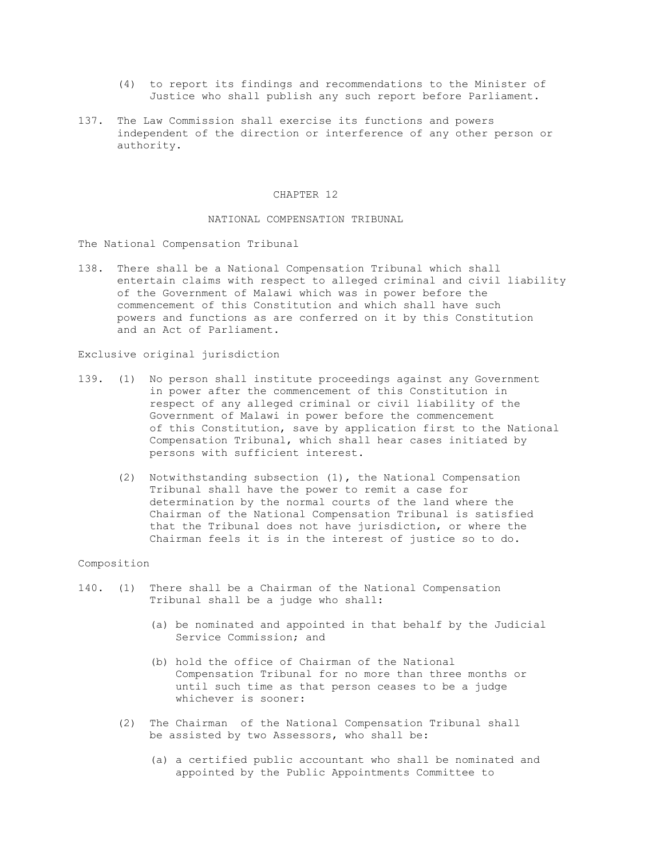- (4) to report its findings and recommendations to the Minister of Justice who shall publish any such report before Parliament.
- 137. The Law Commission shall exercise its functions and powers independent of the direction or interference of any other person or authority.

### CHAPTER 12

### NATIONAL COMPENSATION TRIBUNAL

The National Compensation Tribunal

138. There shall be a National Compensation Tribunal which shall entertain claims with respect to alleged criminal and civil liability of the Government of Malawi which was in power before the commencement of this Constitution and which shall have such powers and functions as are conferred on it by this Constitution and an Act of Parliament.

Exclusive original jurisdiction

- 139. (1) No person shall institute proceedings against any Government in power after the commencement of this Constitution in respect of any alleged criminal or civil liability of the Government of Malawi in power before the commencement of this Constitution, save by application first to the National Compensation Tribunal, which shall hear cases initiated by persons with sufficient interest.
	- (2) Notwithstanding subsection (1), the National Compensation Tribunal shall have the power to remit a case for determination by the normal courts of the land where the Chairman of the National Compensation Tribunal is satisfied that the Tribunal does not have jurisdiction, or where the Chairman feels it is in the interest of justice so to do.

#### Composition

- 140. (1) There shall be a Chairman of the National Compensation Tribunal shall be a judge who shall:
	- (a) be nominated and appointed in that behalf by the Judicial Service Commission; and
	- (b) hold the office of Chairman of the National Compensation Tribunal for no more than three months or until such time as that person ceases to be a judge whichever is sooner:
	- (2) The Chairman of the National Compensation Tribunal shall be assisted by two Assessors, who shall be:
		- (a) a certified public accountant who shall be nominated and appointed by the Public Appointments Committee to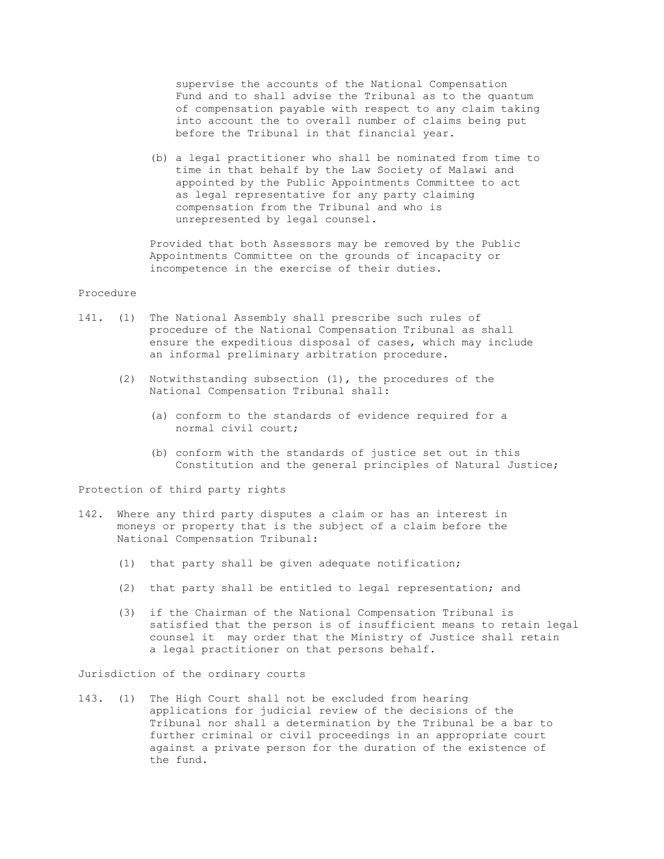supervise the accounts of the National Compensation Fund and to shall advise the Tribunal as to the quantum of compensation payable with respect to any claim taking into account the to overall number of claims being put before the Tribunal in that financial year.

 (b) a legal practitioner who shall be nominated from time to time in that behalf by the Law Society of Malawi and appointed by the Public Appointments Committee to act as legal representative for any party claiming compensation from the Tribunal and who is unrepresented by legal counsel.

 Provided that both Assessors may be removed by the Public Appointments Committee on the grounds of incapacity or incompetence in the exercise of their duties.

# Procedure

- 141. (1) The National Assembly shall prescribe such rules of procedure of the National Compensation Tribunal as shall ensure the expeditious disposal of cases, which may include an informal preliminary arbitration procedure.
	- (2) Notwithstanding subsection (1), the procedures of the National Compensation Tribunal shall:
		- (a) conform to the standards of evidence required for a normal civil court;
		- (b) conform with the standards of justice set out in this Constitution and the general principles of Natural Justice;

Protection of third party rights

- 142. Where any third party disputes a claim or has an interest in moneys or property that is the subject of a claim before the National Compensation Tribunal:
	- (1) that party shall be given adequate notification;
	- (2) that party shall be entitled to legal representation; and
	- (3) if the Chairman of the National Compensation Tribunal is satisfied that the person is of insufficient means to retain legal counsel it may order that the Ministry of Justice shall retain a legal practitioner on that persons behalf.

Jurisdiction of the ordinary courts

143. (1) The High Court shall not be excluded from hearing applications for judicial review of the decisions of the Tribunal nor shall a determination by the Tribunal be a bar to further criminal or civil proceedings in an appropriate court against a private person for the duration of the existence of the fund.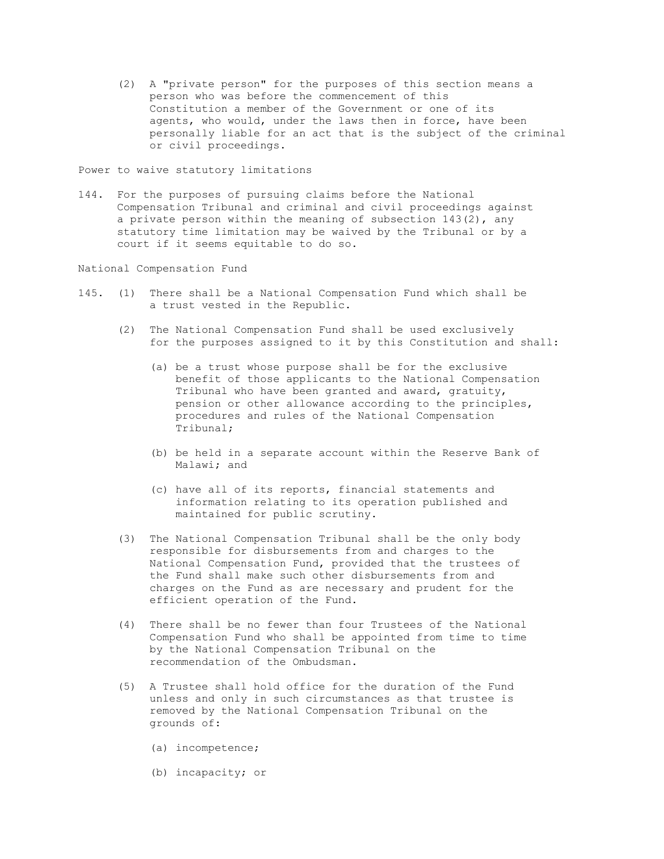(2) A "private person" for the purposes of this section means a person who was before the commencement of this Constitution a member of the Government or one of its agents, who would, under the laws then in force, have been personally liable for an act that is the subject of the criminal or civil proceedings.

Power to waive statutory limitations

144. For the purposes of pursuing claims before the National Compensation Tribunal and criminal and civil proceedings against a private person within the meaning of subsection  $143(2)$ , any statutory time limitation may be waived by the Tribunal or by a court if it seems equitable to do so.

National Compensation Fund

- 145. (1) There shall be a National Compensation Fund which shall be a trust vested in the Republic.
	- (2) The National Compensation Fund shall be used exclusively for the purposes assigned to it by this Constitution and shall:
		- (a) be a trust whose purpose shall be for the exclusive benefit of those applicants to the National Compensation Tribunal who have been granted and award, gratuity, pension or other allowance according to the principles, procedures and rules of the National Compensation Tribunal;
		- (b) be held in a separate account within the Reserve Bank of Malawi; and
		- (c) have all of its reports, financial statements and information relating to its operation published and maintained for public scrutiny.
	- (3) The National Compensation Tribunal shall be the only body responsible for disbursements from and charges to the National Compensation Fund, provided that the trustees of the Fund shall make such other disbursements from and charges on the Fund as are necessary and prudent for the efficient operation of the Fund.
	- (4) There shall be no fewer than four Trustees of the National Compensation Fund who shall be appointed from time to time by the National Compensation Tribunal on the recommendation of the Ombudsman.
	- (5) A Trustee shall hold office for the duration of the Fund unless and only in such circumstances as that trustee is removed by the National Compensation Tribunal on the grounds of:
		- (a) incompetence;
		- (b) incapacity; or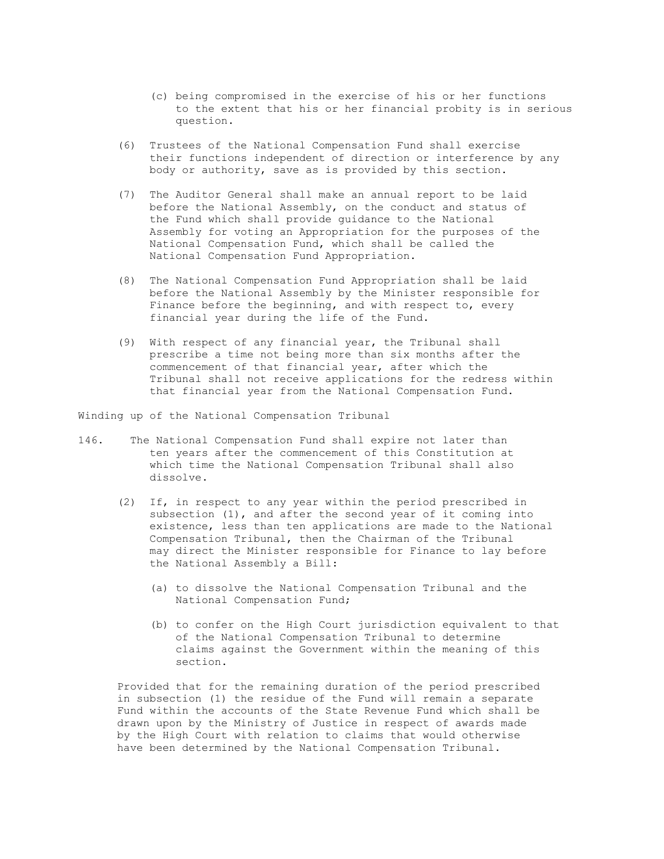- (c) being compromised in the exercise of his or her functions to the extent that his or her financial probity is in serious question.
- (6) Trustees of the National Compensation Fund shall exercise their functions independent of direction or interference by any body or authority, save as is provided by this section.
- (7) The Auditor General shall make an annual report to be laid before the National Assembly, on the conduct and status of the Fund which shall provide guidance to the National Assembly for voting an Appropriation for the purposes of the National Compensation Fund, which shall be called the National Compensation Fund Appropriation.
- (8) The National Compensation Fund Appropriation shall be laid before the National Assembly by the Minister responsible for Finance before the beginning, and with respect to, every financial year during the life of the Fund.
- (9) With respect of any financial year, the Tribunal shall prescribe a time not being more than six months after the commencement of that financial year, after which the Tribunal shall not receive applications for the redress within that financial year from the National Compensation Fund.

Winding up of the National Compensation Tribunal

- 146. The National Compensation Fund shall expire not later than ten years after the commencement of this Constitution at which time the National Compensation Tribunal shall also dissolve.
	- (2) If, in respect to any year within the period prescribed in subsection (1), and after the second year of it coming into existence, less than ten applications are made to the National Compensation Tribunal, then the Chairman of the Tribunal may direct the Minister responsible for Finance to lay before the National Assembly a Bill:
		- (a) to dissolve the National Compensation Tribunal and the National Compensation Fund;
		- (b) to confer on the High Court jurisdiction equivalent to that of the National Compensation Tribunal to determine claims against the Government within the meaning of this section.

 Provided that for the remaining duration of the period prescribed in subsection (1) the residue of the Fund will remain a separate Fund within the accounts of the State Revenue Fund which shall be drawn upon by the Ministry of Justice in respect of awards made by the High Court with relation to claims that would otherwise have been determined by the National Compensation Tribunal.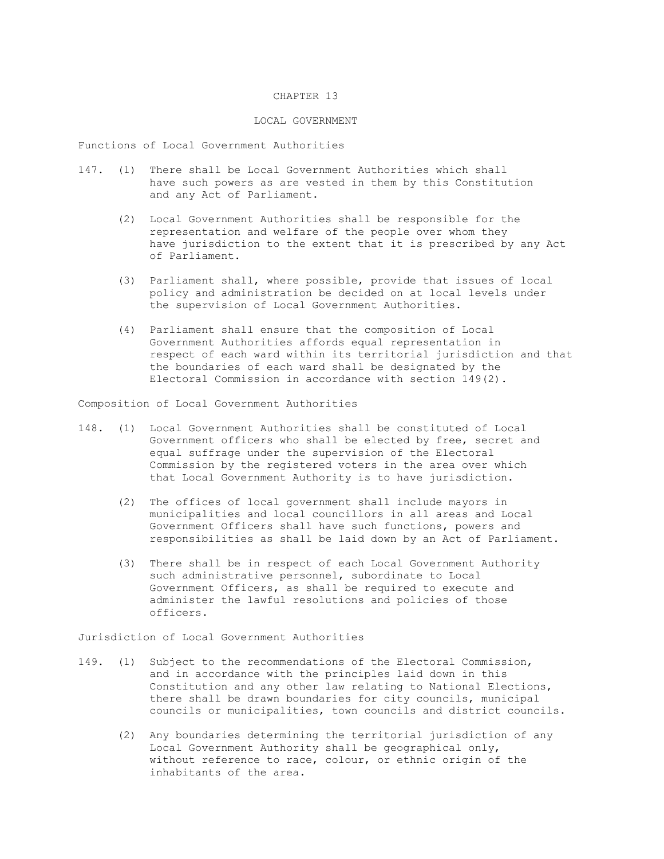## CHAPTER 13

### LOCAL GOVERNMENT

Functions of Local Government Authorities

- 147. (1) There shall be Local Government Authorities which shall have such powers as are vested in them by this Constitution and any Act of Parliament.
	- (2) Local Government Authorities shall be responsible for the representation and welfare of the people over whom they have jurisdiction to the extent that it is prescribed by any Act of Parliament.
	- (3) Parliament shall, where possible, provide that issues of local policy and administration be decided on at local levels under the supervision of Local Government Authorities.
	- (4) Parliament shall ensure that the composition of Local Government Authorities affords equal representation in respect of each ward within its territorial jurisdiction and that the boundaries of each ward shall be designated by the Electoral Commission in accordance with section 149(2).

Composition of Local Government Authorities

- 148. (1) Local Government Authorities shall be constituted of Local Government officers who shall be elected by free, secret and equal suffrage under the supervision of the Electoral Commission by the registered voters in the area over which that Local Government Authority is to have jurisdiction.
	- (2) The offices of local government shall include mayors in municipalities and local councillors in all areas and Local Government Officers shall have such functions, powers and responsibilities as shall be laid down by an Act of Parliament.
	- (3) There shall be in respect of each Local Government Authority such administrative personnel, subordinate to Local Government Officers, as shall be required to execute and administer the lawful resolutions and policies of those officers.

Jurisdiction of Local Government Authorities

- 149. (1) Subject to the recommendations of the Electoral Commission, and in accordance with the principles laid down in this Constitution and any other law relating to National Elections, there shall be drawn boundaries for city councils, municipal councils or municipalities, town councils and district councils.
	- (2) Any boundaries determining the territorial jurisdiction of any Local Government Authority shall be geographical only, without reference to race, colour, or ethnic origin of the inhabitants of the area.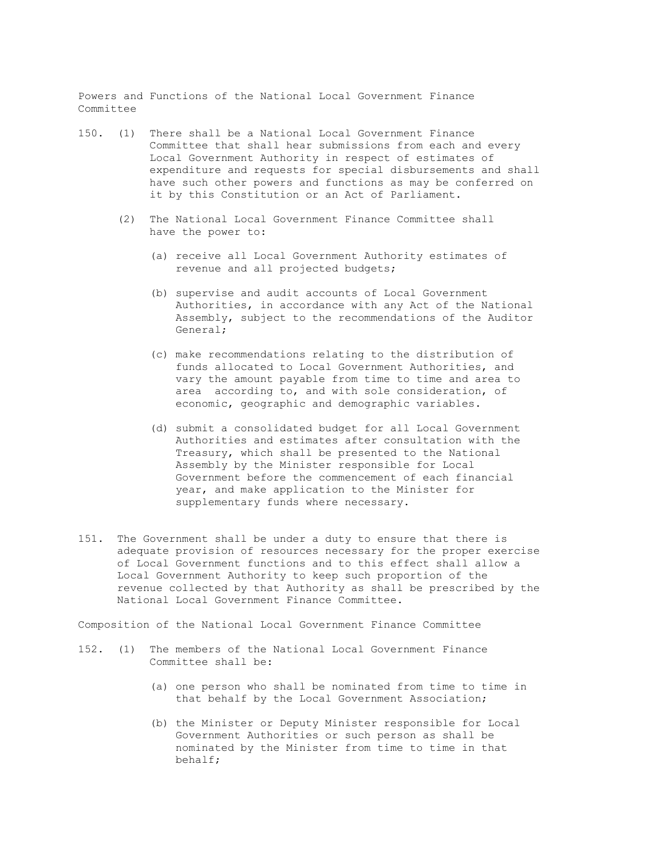Powers and Functions of the National Local Government Finance Committee

- 150. (1) There shall be a National Local Government Finance Committee that shall hear submissions from each and every Local Government Authority in respect of estimates of expenditure and requests for special disbursements and shall have such other powers and functions as may be conferred on it by this Constitution or an Act of Parliament.
	- (2) The National Local Government Finance Committee shall have the power to:
		- (a) receive all Local Government Authority estimates of revenue and all projected budgets;
		- (b) supervise and audit accounts of Local Government Authorities, in accordance with any Act of the National Assembly, subject to the recommendations of the Auditor General;
		- (c) make recommendations relating to the distribution of funds allocated to Local Government Authorities, and vary the amount payable from time to time and area to area according to, and with sole consideration, of economic, geographic and demographic variables.
		- (d) submit a consolidated budget for all Local Government Authorities and estimates after consultation with the Treasury, which shall be presented to the National Assembly by the Minister responsible for Local Government before the commencement of each financial year, and make application to the Minister for supplementary funds where necessary.
- 151. The Government shall be under a duty to ensure that there is adequate provision of resources necessary for the proper exercise of Local Government functions and to this effect shall allow a Local Government Authority to keep such proportion of the revenue collected by that Authority as shall be prescribed by the National Local Government Finance Committee.

Composition of the National Local Government Finance Committee

- 152. (1) The members of the National Local Government Finance Committee shall be:
	- (a) one person who shall be nominated from time to time in that behalf by the Local Government Association;
	- (b) the Minister or Deputy Minister responsible for Local Government Authorities or such person as shall be nominated by the Minister from time to time in that behalf;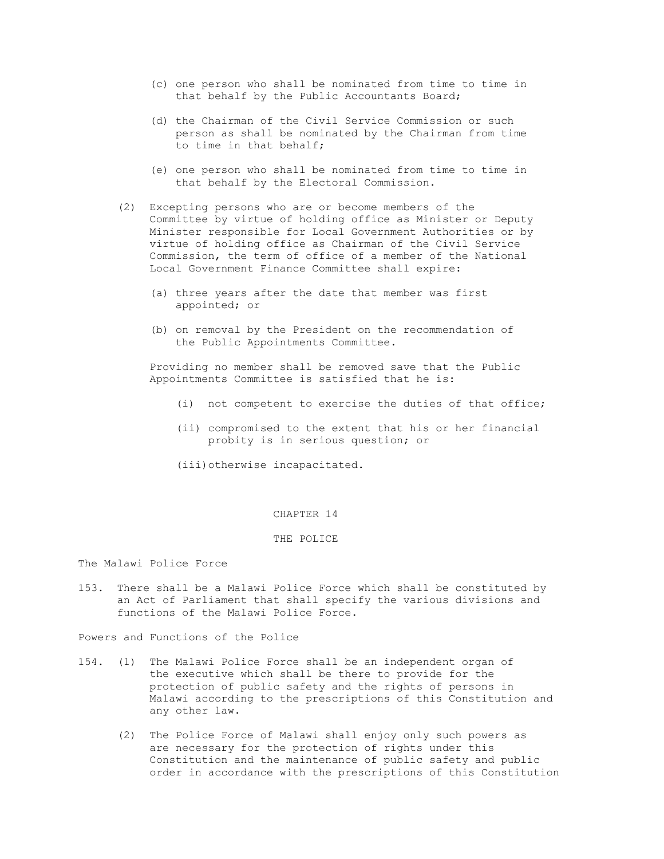- (c) one person who shall be nominated from time to time in that behalf by the Public Accountants Board;
- (d) the Chairman of the Civil Service Commission or such person as shall be nominated by the Chairman from time to time in that behalf;
- (e) one person who shall be nominated from time to time in that behalf by the Electoral Commission.
- (2) Excepting persons who are or become members of the Committee by virtue of holding office as Minister or Deputy Minister responsible for Local Government Authorities or by virtue of holding office as Chairman of the Civil Service Commission, the term of office of a member of the National Local Government Finance Committee shall expire:
	- (a) three years after the date that member was first appointed; or
	- (b) on removal by the President on the recommendation of the Public Appointments Committee.

 Providing no member shall be removed save that the Public Appointments Committee is satisfied that he is:

- (i) not competent to exercise the duties of that office;
- (ii) compromised to the extent that his or her financial probity is in serious question; or
- (iii)otherwise incapacitated.

# CHAPTER 14

#### THE POLICE

The Malawi Police Force

153. There shall be a Malawi Police Force which shall be constituted by an Act of Parliament that shall specify the various divisions and functions of the Malawi Police Force.

Powers and Functions of the Police

- 154. (1) The Malawi Police Force shall be an independent organ of the executive which shall be there to provide for the protection of public safety and the rights of persons in Malawi according to the prescriptions of this Constitution and any other law.
	- (2) The Police Force of Malawi shall enjoy only such powers as are necessary for the protection of rights under this Constitution and the maintenance of public safety and public order in accordance with the prescriptions of this Constitution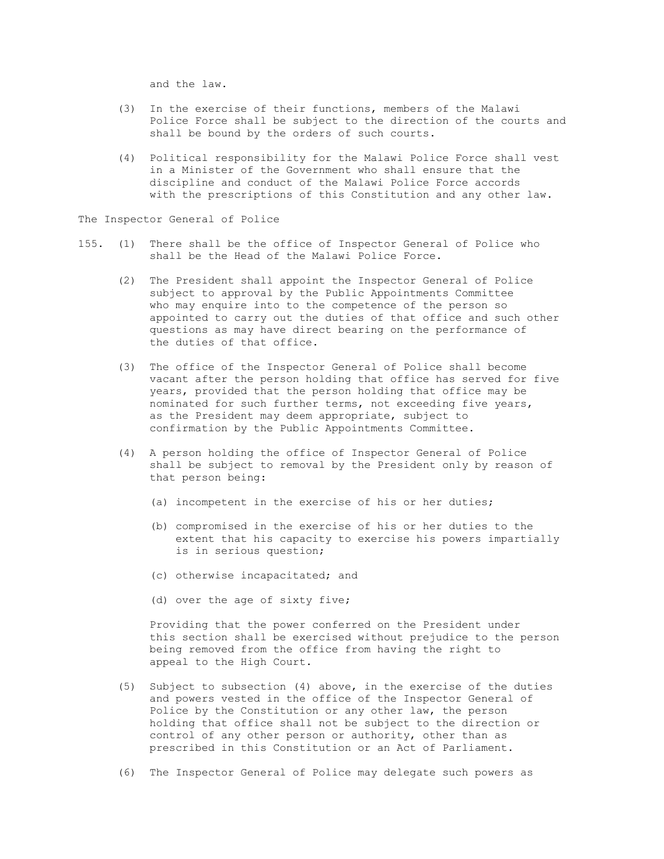and the law.

- (3) In the exercise of their functions, members of the Malawi Police Force shall be subject to the direction of the courts and shall be bound by the orders of such courts.
- (4) Political responsibility for the Malawi Police Force shall vest in a Minister of the Government who shall ensure that the discipline and conduct of the Malawi Police Force accords with the prescriptions of this Constitution and any other law.

The Inspector General of Police

- 155. (1) There shall be the office of Inspector General of Police who shall be the Head of the Malawi Police Force.
	- (2) The President shall appoint the Inspector General of Police subject to approval by the Public Appointments Committee who may enquire into to the competence of the person so appointed to carry out the duties of that office and such other questions as may have direct bearing on the performance of the duties of that office.
	- (3) The office of the Inspector General of Police shall become vacant after the person holding that office has served for five years, provided that the person holding that office may be nominated for such further terms, not exceeding five years, as the President may deem appropriate, subject to confirmation by the Public Appointments Committee.
	- (4) A person holding the office of Inspector General of Police shall be subject to removal by the President only by reason of that person being:
		- (a) incompetent in the exercise of his or her duties;
		- (b) compromised in the exercise of his or her duties to the extent that his capacity to exercise his powers impartially is in serious question;
		- (c) otherwise incapacitated; and
		- (d) over the age of sixty five;

 Providing that the power conferred on the President under this section shall be exercised without prejudice to the person being removed from the office from having the right to appeal to the High Court.

- (5) Subject to subsection (4) above, in the exercise of the duties and powers vested in the office of the Inspector General of Police by the Constitution or any other law, the person holding that office shall not be subject to the direction or control of any other person or authority, other than as prescribed in this Constitution or an Act of Parliament.
- (6) The Inspector General of Police may delegate such powers as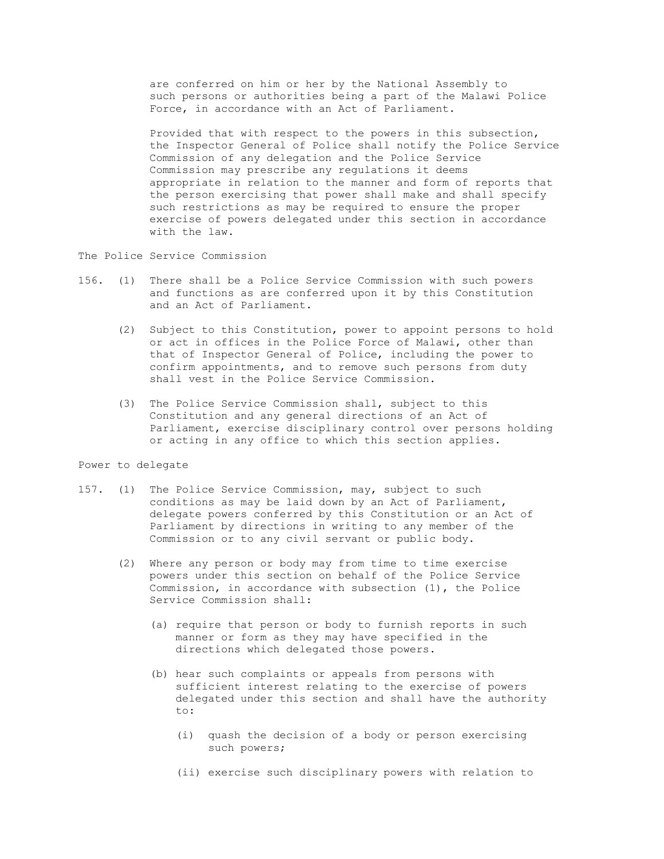are conferred on him or her by the National Assembly to such persons or authorities being a part of the Malawi Police Force, in accordance with an Act of Parliament.

 Provided that with respect to the powers in this subsection, the Inspector General of Police shall notify the Police Service Commission of any delegation and the Police Service Commission may prescribe any regulations it deems appropriate in relation to the manner and form of reports that the person exercising that power shall make and shall specify such restrictions as may be required to ensure the proper exercise of powers delegated under this section in accordance with the law.

The Police Service Commission

- 156. (1) There shall be a Police Service Commission with such powers and functions as are conferred upon it by this Constitution and an Act of Parliament.
	- (2) Subject to this Constitution, power to appoint persons to hold or act in offices in the Police Force of Malawi, other than that of Inspector General of Police, including the power to confirm appointments, and to remove such persons from duty shall vest in the Police Service Commission.
	- (3) The Police Service Commission shall, subject to this Constitution and any general directions of an Act of Parliament, exercise disciplinary control over persons holding or acting in any office to which this section applies.

# Power to delegate

- 157. (1) The Police Service Commission, may, subject to such conditions as may be laid down by an Act of Parliament, delegate powers conferred by this Constitution or an Act of Parliament by directions in writing to any member of the Commission or to any civil servant or public body.
	- (2) Where any person or body may from time to time exercise powers under this section on behalf of the Police Service Commission, in accordance with subsection (1), the Police Service Commission shall:
		- (a) require that person or body to furnish reports in such manner or form as they may have specified in the directions which delegated those powers.
		- (b) hear such complaints or appeals from persons with sufficient interest relating to the exercise of powers delegated under this section and shall have the authority to:
			- (i) quash the decision of a body or person exercising such powers;
			- (ii) exercise such disciplinary powers with relation to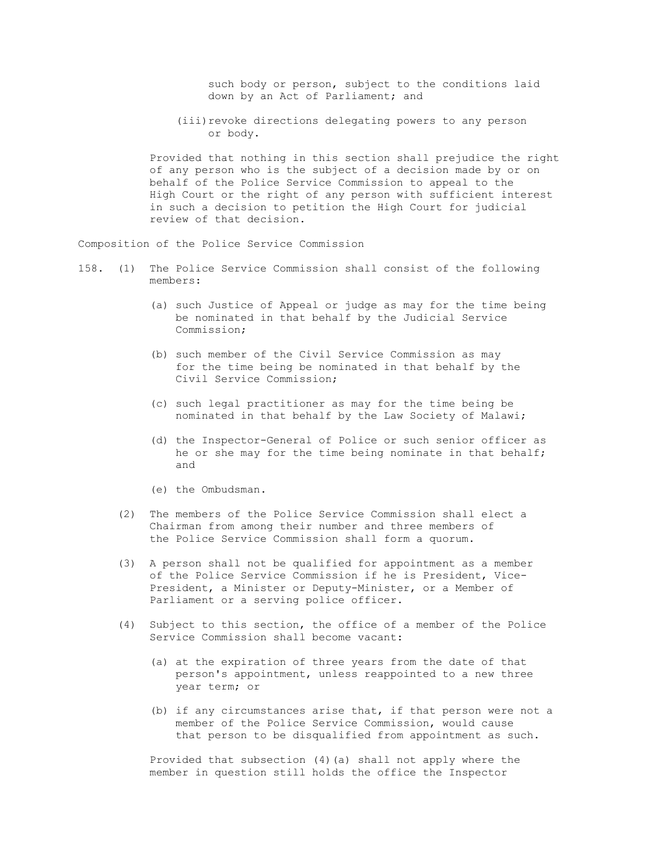such body or person, subject to the conditions laid down by an Act of Parliament; and

 (iii)revoke directions delegating powers to any person or body.

 Provided that nothing in this section shall prejudice the right of any person who is the subject of a decision made by or on behalf of the Police Service Commission to appeal to the High Court or the right of any person with sufficient interest in such a decision to petition the High Court for judicial review of that decision.

Composition of the Police Service Commission

- 158. (1) The Police Service Commission shall consist of the following members:
	- (a) such Justice of Appeal or judge as may for the time being be nominated in that behalf by the Judicial Service Commission;
	- (b) such member of the Civil Service Commission as may for the time being be nominated in that behalf by the Civil Service Commission;
	- (c) such legal practitioner as may for the time being be nominated in that behalf by the Law Society of Malawi;
	- (d) the Inspector-General of Police or such senior officer as he or she may for the time being nominate in that behalf; and
	- (e) the Ombudsman.
	- (2) The members of the Police Service Commission shall elect a Chairman from among their number and three members of the Police Service Commission shall form a quorum.
	- (3) A person shall not be qualified for appointment as a member of the Police Service Commission if he is President, Vice- President, a Minister or Deputy-Minister, or a Member of Parliament or a serving police officer.
	- (4) Subject to this section, the office of a member of the Police Service Commission shall become vacant:
		- (a) at the expiration of three years from the date of that person's appointment, unless reappointed to a new three year term; or
		- (b) if any circumstances arise that, if that person were not a member of the Police Service Commission, would cause that person to be disqualified from appointment as such.

 Provided that subsection (4)(a) shall not apply where the member in question still holds the office the Inspector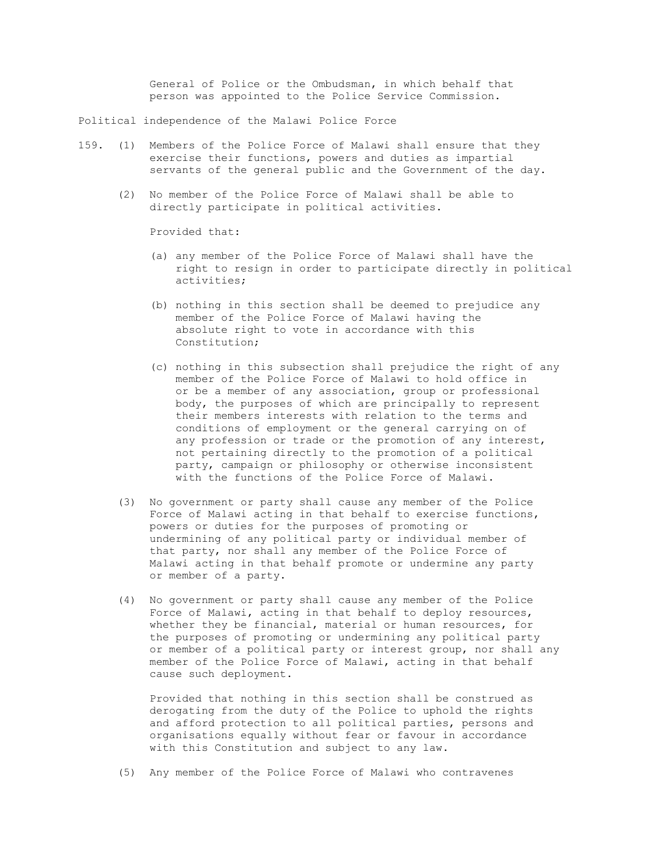General of Police or the Ombudsman, in which behalf that person was appointed to the Police Service Commission.

Political independence of the Malawi Police Force

- 159. (1) Members of the Police Force of Malawi shall ensure that they exercise their functions, powers and duties as impartial servants of the general public and the Government of the day.
	- (2) No member of the Police Force of Malawi shall be able to directly participate in political activities.

Provided that:

- (a) any member of the Police Force of Malawi shall have the right to resign in order to participate directly in political activities;
- (b) nothing in this section shall be deemed to prejudice any member of the Police Force of Malawi having the absolute right to vote in accordance with this Constitution;
- (c) nothing in this subsection shall prejudice the right of any member of the Police Force of Malawi to hold office in or be a member of any association, group or professional body, the purposes of which are principally to represent their members interests with relation to the terms and conditions of employment or the general carrying on of any profession or trade or the promotion of any interest, not pertaining directly to the promotion of a political party, campaign or philosophy or otherwise inconsistent with the functions of the Police Force of Malawi.
- (3) No government or party shall cause any member of the Police Force of Malawi acting in that behalf to exercise functions, powers or duties for the purposes of promoting or undermining of any political party or individual member of that party, nor shall any member of the Police Force of Malawi acting in that behalf promote or undermine any party or member of a party.
- (4) No government or party shall cause any member of the Police Force of Malawi, acting in that behalf to deploy resources, whether they be financial, material or human resources, for the purposes of promoting or undermining any political party or member of a political party or interest group, nor shall any member of the Police Force of Malawi, acting in that behalf cause such deployment.

 Provided that nothing in this section shall be construed as derogating from the duty of the Police to uphold the rights and afford protection to all political parties, persons and organisations equally without fear or favour in accordance with this Constitution and subject to any law.

(5) Any member of the Police Force of Malawi who contravenes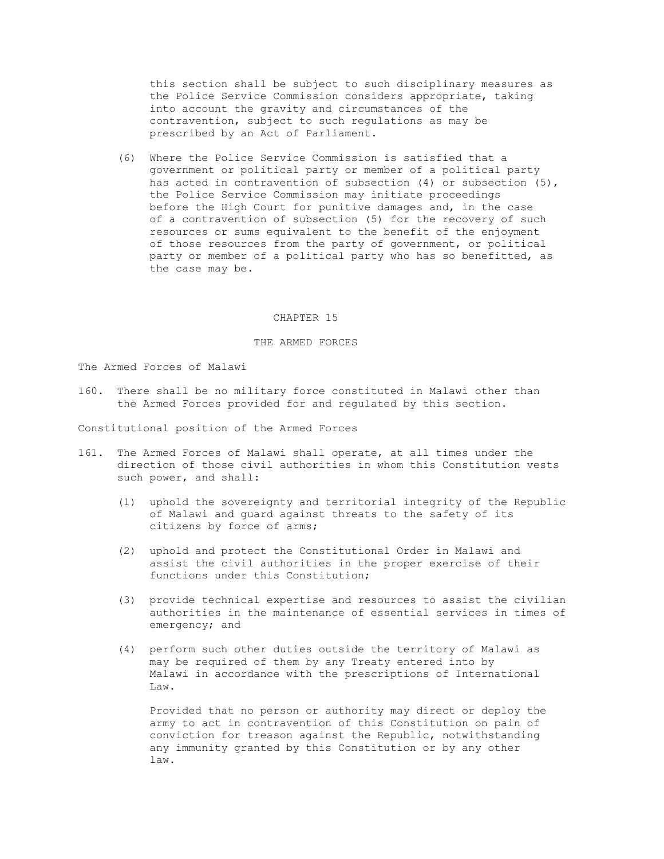this section shall be subject to such disciplinary measures as the Police Service Commission considers appropriate, taking into account the gravity and circumstances of the contravention, subject to such regulations as may be prescribed by an Act of Parliament.

 (6) Where the Police Service Commission is satisfied that a government or political party or member of a political party has acted in contravention of subsection (4) or subsection (5), the Police Service Commission may initiate proceedings before the High Court for punitive damages and, in the case of a contravention of subsection (5) for the recovery of such resources or sums equivalent to the benefit of the enjoyment of those resources from the party of government, or political party or member of a political party who has so benefitted, as the case may be.

### CHAPTER 15

### THE ARMED FORCES

The Armed Forces of Malawi

160. There shall be no military force constituted in Malawi other than the Armed Forces provided for and regulated by this section.

Constitutional position of the Armed Forces

- 161. The Armed Forces of Malawi shall operate, at all times under the direction of those civil authorities in whom this Constitution vests such power, and shall:
	- (1) uphold the sovereignty and territorial integrity of the Republic of Malawi and guard against threats to the safety of its citizens by force of arms;
	- (2) uphold and protect the Constitutional Order in Malawi and assist the civil authorities in the proper exercise of their functions under this Constitution;
	- (3) provide technical expertise and resources to assist the civilian authorities in the maintenance of essential services in times of emergency; and
	- (4) perform such other duties outside the territory of Malawi as may be required of them by any Treaty entered into by Malawi in accordance with the prescriptions of International Law.

 Provided that no person or authority may direct or deploy the army to act in contravention of this Constitution on pain of conviction for treason against the Republic, notwithstanding any immunity granted by this Constitution or by any other law.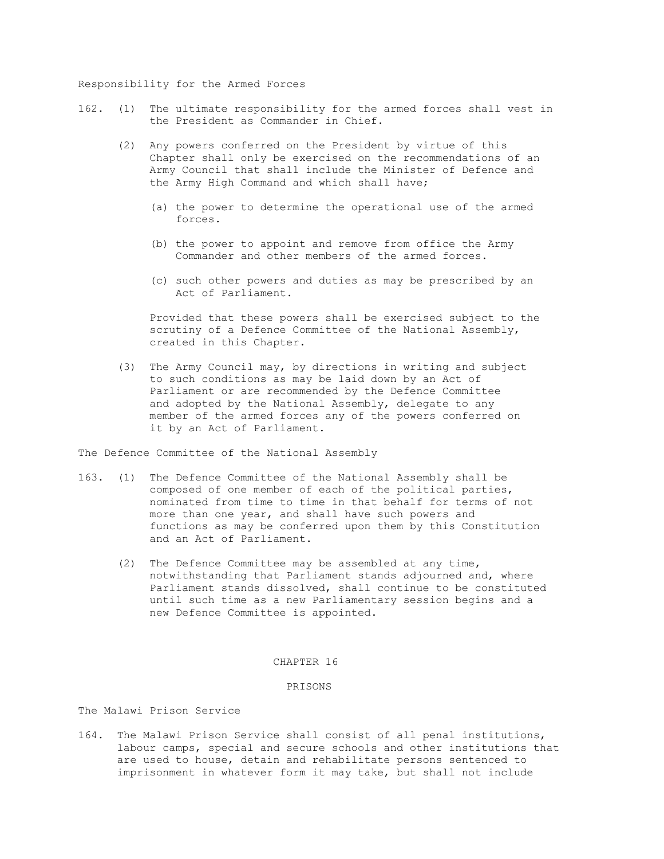### Responsibility for the Armed Forces

- 162. (1) The ultimate responsibility for the armed forces shall vest in the President as Commander in Chief.
	- (2) Any powers conferred on the President by virtue of this Chapter shall only be exercised on the recommendations of an Army Council that shall include the Minister of Defence and the Army High Command and which shall have;
		- (a) the power to determine the operational use of the armed forces.
		- (b) the power to appoint and remove from office the Army Commander and other members of the armed forces.
		- (c) such other powers and duties as may be prescribed by an Act of Parliament.

 Provided that these powers shall be exercised subject to the scrutiny of a Defence Committee of the National Assembly, created in this Chapter.

 (3) The Army Council may, by directions in writing and subject to such conditions as may be laid down by an Act of Parliament or are recommended by the Defence Committee and adopted by the National Assembly, delegate to any member of the armed forces any of the powers conferred on it by an Act of Parliament.

The Defence Committee of the National Assembly

- 163. (1) The Defence Committee of the National Assembly shall be composed of one member of each of the political parties, nominated from time to time in that behalf for terms of not more than one year, and shall have such powers and functions as may be conferred upon them by this Constitution and an Act of Parliament.
	- (2) The Defence Committee may be assembled at any time, notwithstanding that Parliament stands adjourned and, where Parliament stands dissolved, shall continue to be constituted until such time as a new Parliamentary session begins and a new Defence Committee is appointed.

### CHAPTER 16

#### PRISONS

The Malawi Prison Service

164. The Malawi Prison Service shall consist of all penal institutions, labour camps, special and secure schools and other institutions that are used to house, detain and rehabilitate persons sentenced to imprisonment in whatever form it may take, but shall not include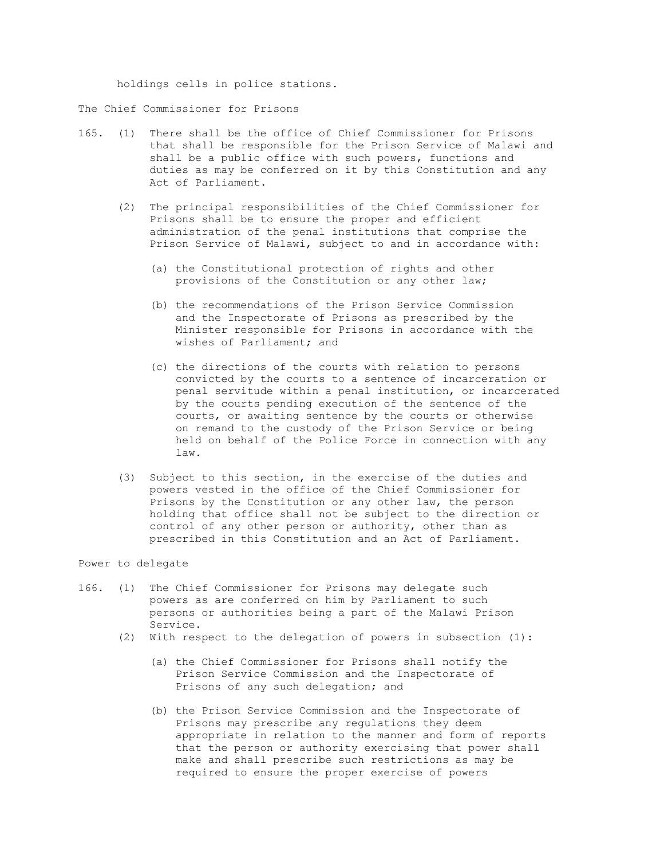holdings cells in police stations.

The Chief Commissioner for Prisons

- 165. (1) There shall be the office of Chief Commissioner for Prisons that shall be responsible for the Prison Service of Malawi and shall be a public office with such powers, functions and duties as may be conferred on it by this Constitution and any Act of Parliament.
	- (2) The principal responsibilities of the Chief Commissioner for Prisons shall be to ensure the proper and efficient administration of the penal institutions that comprise the Prison Service of Malawi, subject to and in accordance with:
		- (a) the Constitutional protection of rights and other provisions of the Constitution or any other law;
		- (b) the recommendations of the Prison Service Commission and the Inspectorate of Prisons as prescribed by the Minister responsible for Prisons in accordance with the wishes of Parliament; and
		- (c) the directions of the courts with relation to persons convicted by the courts to a sentence of incarceration or penal servitude within a penal institution, or incarcerated by the courts pending execution of the sentence of the courts, or awaiting sentence by the courts or otherwise on remand to the custody of the Prison Service or being held on behalf of the Police Force in connection with any law.
	- (3) Subject to this section, in the exercise of the duties and powers vested in the office of the Chief Commissioner for Prisons by the Constitution or any other law, the person holding that office shall not be subject to the direction or control of any other person or authority, other than as prescribed in this Constitution and an Act of Parliament.

### Power to delegate

- 166. (1) The Chief Commissioner for Prisons may delegate such powers as are conferred on him by Parliament to such persons or authorities being a part of the Malawi Prison Service.
	- (2) With respect to the delegation of powers in subsection (1):
		- (a) the Chief Commissioner for Prisons shall notify the Prison Service Commission and the Inspectorate of Prisons of any such delegation; and
		- (b) the Prison Service Commission and the Inspectorate of Prisons may prescribe any regulations they deem appropriate in relation to the manner and form of reports that the person or authority exercising that power shall make and shall prescribe such restrictions as may be required to ensure the proper exercise of powers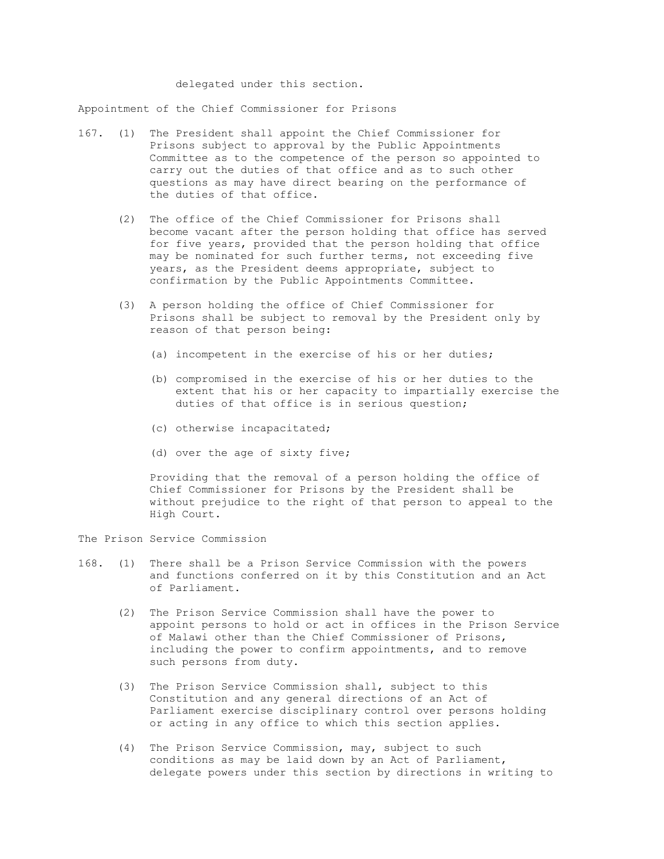delegated under this section.

Appointment of the Chief Commissioner for Prisons

- 167. (1) The President shall appoint the Chief Commissioner for Prisons subject to approval by the Public Appointments Committee as to the competence of the person so appointed to carry out the duties of that office and as to such other questions as may have direct bearing on the performance of the duties of that office.
	- (2) The office of the Chief Commissioner for Prisons shall become vacant after the person holding that office has served for five years, provided that the person holding that office may be nominated for such further terms, not exceeding five years, as the President deems appropriate, subject to confirmation by the Public Appointments Committee.
	- (3) A person holding the office of Chief Commissioner for Prisons shall be subject to removal by the President only by reason of that person being:
		- (a) incompetent in the exercise of his or her duties;
		- (b) compromised in the exercise of his or her duties to the extent that his or her capacity to impartially exercise the duties of that office is in serious question;
		- (c) otherwise incapacitated;
		- (d) over the age of sixty five;

 Providing that the removal of a person holding the office of Chief Commissioner for Prisons by the President shall be without prejudice to the right of that person to appeal to the High Court.

The Prison Service Commission

- 168. (1) There shall be a Prison Service Commission with the powers and functions conferred on it by this Constitution and an Act of Parliament.
	- (2) The Prison Service Commission shall have the power to appoint persons to hold or act in offices in the Prison Service of Malawi other than the Chief Commissioner of Prisons, including the power to confirm appointments, and to remove such persons from duty.
	- (3) The Prison Service Commission shall, subject to this Constitution and any general directions of an Act of Parliament exercise disciplinary control over persons holding or acting in any office to which this section applies.
	- (4) The Prison Service Commission, may, subject to such conditions as may be laid down by an Act of Parliament, delegate powers under this section by directions in writing to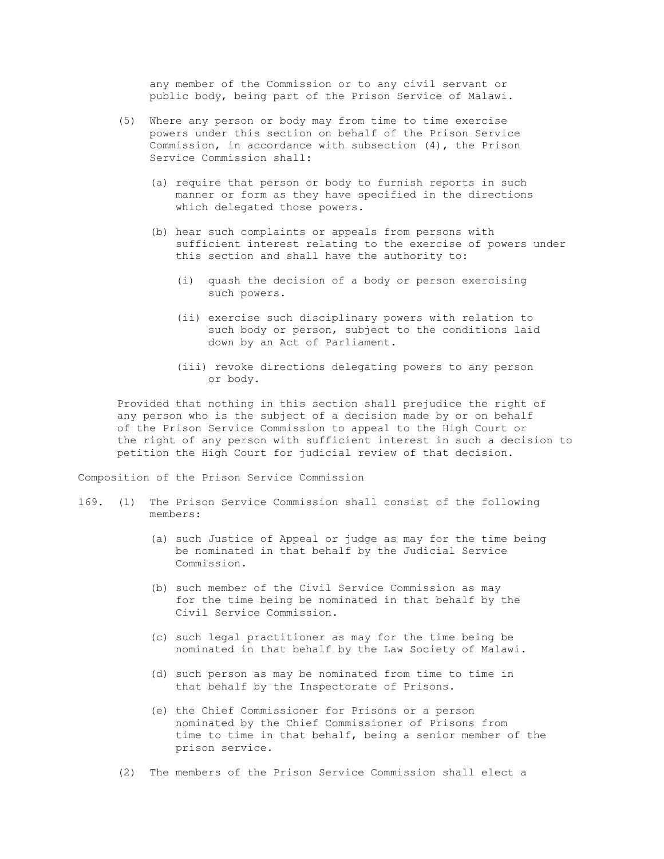any member of the Commission or to any civil servant or public body, being part of the Prison Service of Malawi.

- (5) Where any person or body may from time to time exercise powers under this section on behalf of the Prison Service Commission, in accordance with subsection (4), the Prison Service Commission shall:
	- (a) require that person or body to furnish reports in such manner or form as they have specified in the directions which delegated those powers.
	- (b) hear such complaints or appeals from persons with sufficient interest relating to the exercise of powers under this section and shall have the authority to:
		- (i) quash the decision of a body or person exercising such powers.
		- (ii) exercise such disciplinary powers with relation to such body or person, subject to the conditions laid down by an Act of Parliament.
		- (iii) revoke directions delegating powers to any person or body.

 Provided that nothing in this section shall prejudice the right of any person who is the subject of a decision made by or on behalf of the Prison Service Commission to appeal to the High Court or the right of any person with sufficient interest in such a decision to petition the High Court for judicial review of that decision.

Composition of the Prison Service Commission

- 169. (1) The Prison Service Commission shall consist of the following members:
	- (a) such Justice of Appeal or judge as may for the time being be nominated in that behalf by the Judicial Service Commission.
	- (b) such member of the Civil Service Commission as may for the time being be nominated in that behalf by the Civil Service Commission.
	- (c) such legal practitioner as may for the time being be nominated in that behalf by the Law Society of Malawi.
	- (d) such person as may be nominated from time to time in that behalf by the Inspectorate of Prisons.
	- (e) the Chief Commissioner for Prisons or a person nominated by the Chief Commissioner of Prisons from time to time in that behalf, being a senior member of the prison service.
	- (2) The members of the Prison Service Commission shall elect a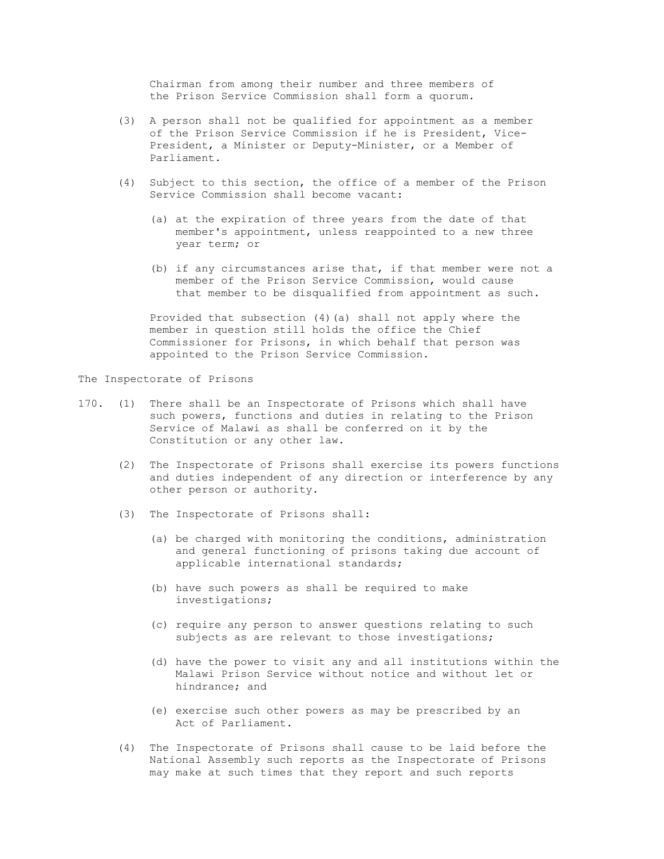Chairman from among their number and three members of the Prison Service Commission shall form a quorum.

- (3) A person shall not be qualified for appointment as a member of the Prison Service Commission if he is President, Vice- President, a Minister or Deputy-Minister, or a Member of Parliament.
- (4) Subject to this section, the office of a member of the Prison Service Commission shall become vacant:
	- (a) at the expiration of three years from the date of that member's appointment, unless reappointed to a new three year term; or
	- (b) if any circumstances arise that, if that member were not a member of the Prison Service Commission, would cause that member to be disqualified from appointment as such.

 Provided that subsection (4)(a) shall not apply where the member in question still holds the office the Chief Commissioner for Prisons, in which behalf that person was appointed to the Prison Service Commission.

The Inspectorate of Prisons

- 170. (1) There shall be an Inspectorate of Prisons which shall have such powers, functions and duties in relating to the Prison Service of Malawi as shall be conferred on it by the Constitution or any other law.
	- (2) The Inspectorate of Prisons shall exercise its powers functions and duties independent of any direction or interference by any other person or authority.
	- (3) The Inspectorate of Prisons shall:
		- (a) be charged with monitoring the conditions, administration and general functioning of prisons taking due account of applicable international standards;
		- (b) have such powers as shall be required to make investigations;
		- (c) require any person to answer questions relating to such subjects as are relevant to those investigations;
		- (d) have the power to visit any and all institutions within the Malawi Prison Service without notice and without let or hindrance; and
		- (e) exercise such other powers as may be prescribed by an Act of Parliament.
	- (4) The Inspectorate of Prisons shall cause to be laid before the National Assembly such reports as the Inspectorate of Prisons may make at such times that they report and such reports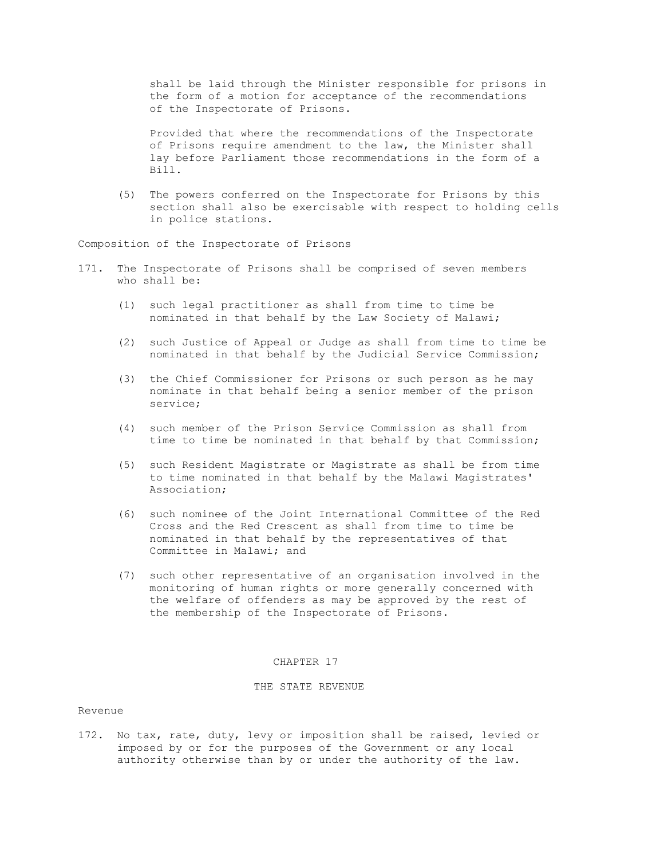shall be laid through the Minister responsible for prisons in the form of a motion for acceptance of the recommendations of the Inspectorate of Prisons.

 Provided that where the recommendations of the Inspectorate of Prisons require amendment to the law, the Minister shall lay before Parliament those recommendations in the form of a Bill.

 (5) The powers conferred on the Inspectorate for Prisons by this section shall also be exercisable with respect to holding cells in police stations.

Composition of the Inspectorate of Prisons

- 171. The Inspectorate of Prisons shall be comprised of seven members who shall be:
	- (1) such legal practitioner as shall from time to time be nominated in that behalf by the Law Society of Malawi;
	- (2) such Justice of Appeal or Judge as shall from time to time be nominated in that behalf by the Judicial Service Commission;
	- (3) the Chief Commissioner for Prisons or such person as he may nominate in that behalf being a senior member of the prison service;
	- (4) such member of the Prison Service Commission as shall from time to time be nominated in that behalf by that Commission;
	- (5) such Resident Magistrate or Magistrate as shall be from time to time nominated in that behalf by the Malawi Magistrates' Association;
	- (6) such nominee of the Joint International Committee of the Red Cross and the Red Crescent as shall from time to time be nominated in that behalf by the representatives of that Committee in Malawi; and
	- (7) such other representative of an organisation involved in the monitoring of human rights or more generally concerned with the welfare of offenders as may be approved by the rest of the membership of the Inspectorate of Prisons.

#### CHAPTER 17

### THE STATE REVENUE

# Revenue

172. No tax, rate, duty, levy or imposition shall be raised, levied or imposed by or for the purposes of the Government or any local authority otherwise than by or under the authority of the law.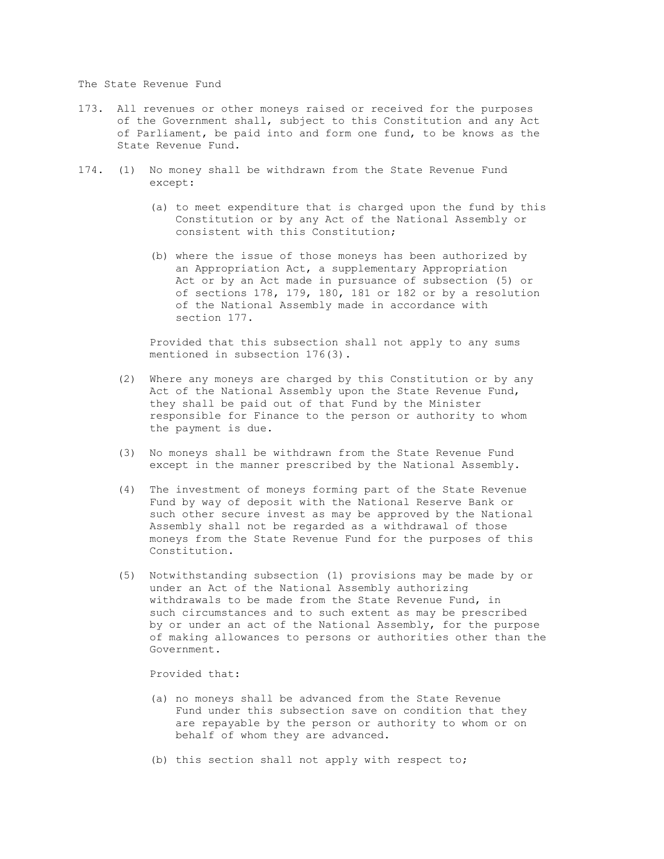The State Revenue Fund

- 173. All revenues or other moneys raised or received for the purposes of the Government shall, subject to this Constitution and any Act of Parliament, be paid into and form one fund, to be knows as the State Revenue Fund.
- 174. (1) No money shall be withdrawn from the State Revenue Fund except:
	- (a) to meet expenditure that is charged upon the fund by this Constitution or by any Act of the National Assembly or consistent with this Constitution;
	- (b) where the issue of those moneys has been authorized by an Appropriation Act, a supplementary Appropriation Act or by an Act made in pursuance of subsection (5) or of sections 178, 179, 180, 181 or 182 or by a resolution of the National Assembly made in accordance with section 177.

 Provided that this subsection shall not apply to any sums mentioned in subsection 176(3).

- (2) Where any moneys are charged by this Constitution or by any Act of the National Assembly upon the State Revenue Fund, they shall be paid out of that Fund by the Minister responsible for Finance to the person or authority to whom the payment is due.
- (3) No moneys shall be withdrawn from the State Revenue Fund except in the manner prescribed by the National Assembly.
- (4) The investment of moneys forming part of the State Revenue Fund by way of deposit with the National Reserve Bank or such other secure invest as may be approved by the National Assembly shall not be regarded as a withdrawal of those moneys from the State Revenue Fund for the purposes of this Constitution.
- (5) Notwithstanding subsection (1) provisions may be made by or under an Act of the National Assembly authorizing withdrawals to be made from the State Revenue Fund, in such circumstances and to such extent as may be prescribed by or under an act of the National Assembly, for the purpose of making allowances to persons or authorities other than the Government.

Provided that:

- (a) no moneys shall be advanced from the State Revenue Fund under this subsection save on condition that they are repayable by the person or authority to whom or on behalf of whom they are advanced.
- (b) this section shall not apply with respect to;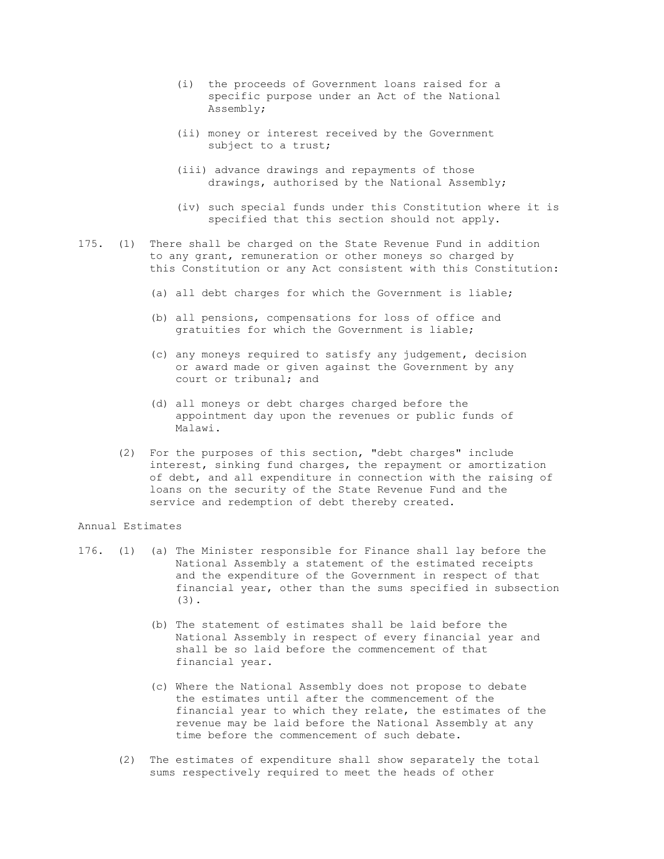- (i) the proceeds of Government loans raised for a specific purpose under an Act of the National Assembly;
- (ii) money or interest received by the Government subject to a trust;
- (iii) advance drawings and repayments of those drawings, authorised by the National Assembly;
- (iv) such special funds under this Constitution where it is specified that this section should not apply.
- 175. (1) There shall be charged on the State Revenue Fund in addition to any grant, remuneration or other moneys so charged by this Constitution or any Act consistent with this Constitution:
	- (a) all debt charges for which the Government is liable;
	- (b) all pensions, compensations for loss of office and gratuities for which the Government is liable;
	- (c) any moneys required to satisfy any judgement, decision or award made or given against the Government by any court or tribunal; and
	- (d) all moneys or debt charges charged before the appointment day upon the revenues or public funds of Malawi.
	- (2) For the purposes of this section, "debt charges" include interest, sinking fund charges, the repayment or amortization of debt, and all expenditure in connection with the raising of loans on the security of the State Revenue Fund and the service and redemption of debt thereby created.

Annual Estimates

- 176. (1) (a) The Minister responsible for Finance shall lay before the National Assembly a statement of the estimated receipts and the expenditure of the Government in respect of that financial year, other than the sums specified in subsection (3).
	- (b) The statement of estimates shall be laid before the National Assembly in respect of every financial year and shall be so laid before the commencement of that financial year.
	- (c) Where the National Assembly does not propose to debate the estimates until after the commencement of the financial year to which they relate, the estimates of the revenue may be laid before the National Assembly at any time before the commencement of such debate.
	- (2) The estimates of expenditure shall show separately the total sums respectively required to meet the heads of other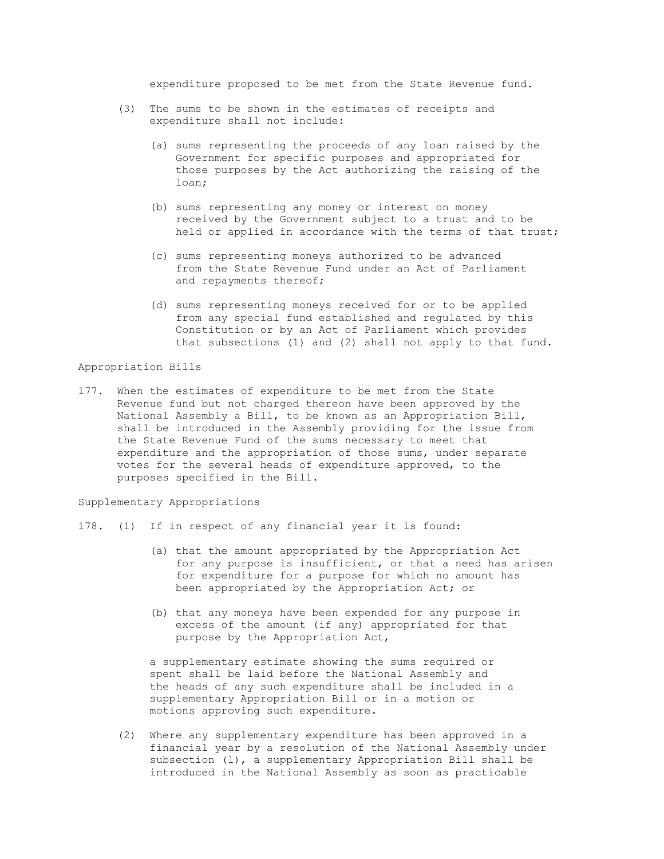expenditure proposed to be met from the State Revenue fund.

- (3) The sums to be shown in the estimates of receipts and expenditure shall not include:
	- (a) sums representing the proceeds of any loan raised by the Government for specific purposes and appropriated for those purposes by the Act authorizing the raising of the loan;
	- (b) sums representing any money or interest on money received by the Government subject to a trust and to be held or applied in accordance with the terms of that trust;
	- (c) sums representing moneys authorized to be advanced from the State Revenue Fund under an Act of Parliament and repayments thereof;
	- (d) sums representing moneys received for or to be applied from any special fund established and regulated by this Constitution or by an Act of Parliament which provides that subsections (1) and (2) shall not apply to that fund.

Appropriation Bills

177. When the estimates of expenditure to be met from the State Revenue fund but not charged thereon have been approved by the National Assembly a Bill, to be known as an Appropriation Bill, shall be introduced in the Assembly providing for the issue from the State Revenue Fund of the sums necessary to meet that expenditure and the appropriation of those sums, under separate votes for the several heads of expenditure approved, to the purposes specified in the Bill.

Supplementary Appropriations

- 178. (1) If in respect of any financial year it is found:
	- (a) that the amount appropriated by the Appropriation Act for any purpose is insufficient, or that a need has arisen for expenditure for a purpose for which no amount has been appropriated by the Appropriation Act; or
	- (b) that any moneys have been expended for any purpose in excess of the amount (if any) appropriated for that purpose by the Appropriation Act,

 a supplementary estimate showing the sums required or spent shall be laid before the National Assembly and the heads of any such expenditure shall be included in a supplementary Appropriation Bill or in a motion or motions approving such expenditure.

 (2) Where any supplementary expenditure has been approved in a financial year by a resolution of the National Assembly under subsection (1), a supplementary Appropriation Bill shall be introduced in the National Assembly as soon as practicable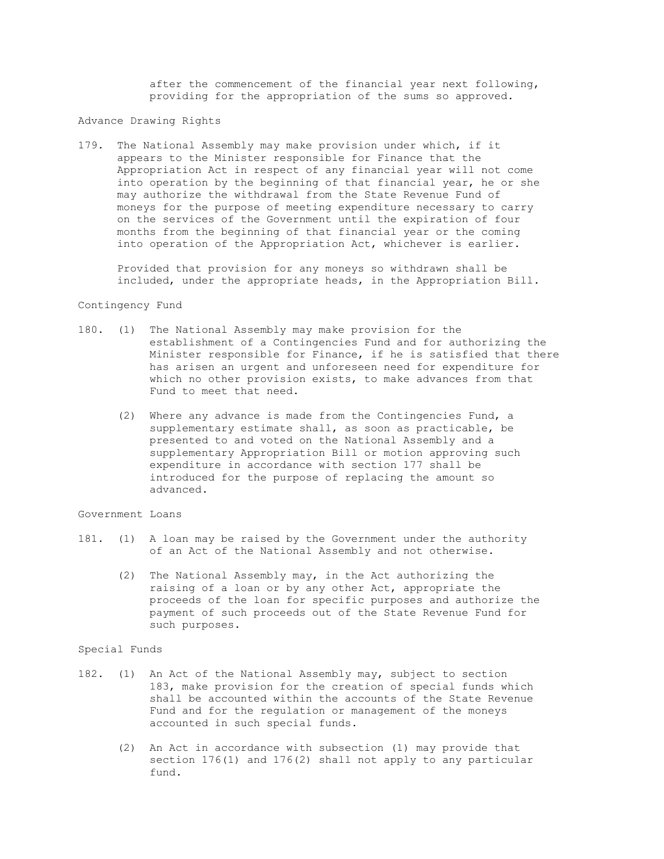after the commencement of the financial year next following, providing for the appropriation of the sums so approved.

Advance Drawing Rights

179. The National Assembly may make provision under which, if it appears to the Minister responsible for Finance that the Appropriation Act in respect of any financial year will not come into operation by the beginning of that financial year, he or she may authorize the withdrawal from the State Revenue Fund of moneys for the purpose of meeting expenditure necessary to carry on the services of the Government until the expiration of four months from the beginning of that financial year or the coming into operation of the Appropriation Act, whichever is earlier.

 Provided that provision for any moneys so withdrawn shall be included, under the appropriate heads, in the Appropriation Bill.

# Contingency Fund

- 180. (1) The National Assembly may make provision for the establishment of a Contingencies Fund and for authorizing the Minister responsible for Finance, if he is satisfied that there has arisen an urgent and unforeseen need for expenditure for which no other provision exists, to make advances from that Fund to meet that need.
	- (2) Where any advance is made from the Contingencies Fund, a supplementary estimate shall, as soon as practicable, be presented to and voted on the National Assembly and a supplementary Appropriation Bill or motion approving such expenditure in accordance with section 177 shall be introduced for the purpose of replacing the amount so advanced.

# Government Loans

- 181. (1) A loan may be raised by the Government under the authority of an Act of the National Assembly and not otherwise.
	- (2) The National Assembly may, in the Act authorizing the raising of a loan or by any other Act, appropriate the proceeds of the loan for specific purposes and authorize the payment of such proceeds out of the State Revenue Fund for such purposes.

#### Special Funds

- 182. (1) An Act of the National Assembly may, subject to section 183, make provision for the creation of special funds which shall be accounted within the accounts of the State Revenue Fund and for the regulation or management of the moneys accounted in such special funds.
	- (2) An Act in accordance with subsection (1) may provide that section 176(1) and 176(2) shall not apply to any particular fund.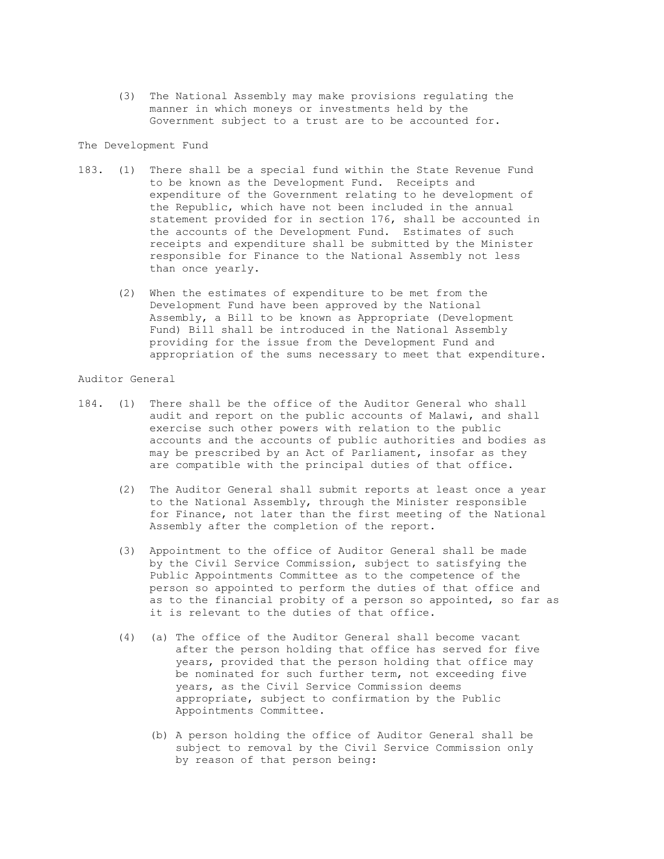(3) The National Assembly may make provisions regulating the manner in which moneys or investments held by the Government subject to a trust are to be accounted for.

The Development Fund

- 183. (1) There shall be a special fund within the State Revenue Fund to be known as the Development Fund. Receipts and expenditure of the Government relating to he development of the Republic, which have not been included in the annual statement provided for in section 176, shall be accounted in the accounts of the Development Fund. Estimates of such receipts and expenditure shall be submitted by the Minister responsible for Finance to the National Assembly not less than once yearly.
	- (2) When the estimates of expenditure to be met from the Development Fund have been approved by the National Assembly, a Bill to be known as Appropriate (Development Fund) Bill shall be introduced in the National Assembly providing for the issue from the Development Fund and appropriation of the sums necessary to meet that expenditure.

Auditor General

- 184. (1) There shall be the office of the Auditor General who shall audit and report on the public accounts of Malawi, and shall exercise such other powers with relation to the public accounts and the accounts of public authorities and bodies as may be prescribed by an Act of Parliament, insofar as they are compatible with the principal duties of that office.
	- (2) The Auditor General shall submit reports at least once a year to the National Assembly, through the Minister responsible for Finance, not later than the first meeting of the National Assembly after the completion of the report.
	- (3) Appointment to the office of Auditor General shall be made by the Civil Service Commission, subject to satisfying the Public Appointments Committee as to the competence of the person so appointed to perform the duties of that office and as to the financial probity of a person so appointed, so far as it is relevant to the duties of that office.
	- (4) (a) The office of the Auditor General shall become vacant after the person holding that office has served for five years, provided that the person holding that office may be nominated for such further term, not exceeding five years, as the Civil Service Commission deems appropriate, subject to confirmation by the Public Appointments Committee.
		- (b) A person holding the office of Auditor General shall be subject to removal by the Civil Service Commission only by reason of that person being: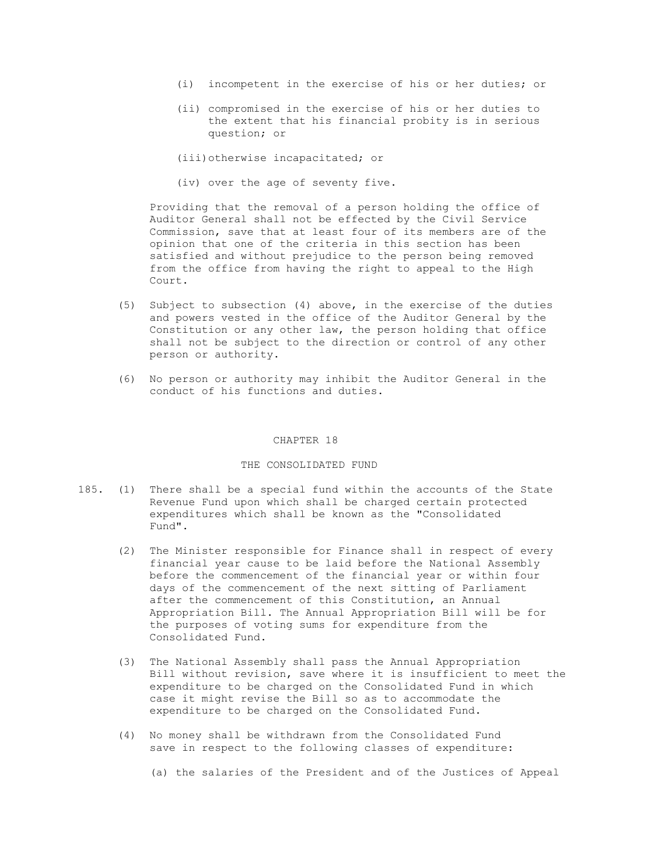- (i) incompetent in the exercise of his or her duties; or
- (ii) compromised in the exercise of his or her duties to the extent that his financial probity is in serious question; or

(iii)otherwise incapacitated; or

(iv) over the age of seventy five.

 Providing that the removal of a person holding the office of Auditor General shall not be effected by the Civil Service Commission, save that at least four of its members are of the opinion that one of the criteria in this section has been satisfied and without prejudice to the person being removed from the office from having the right to appeal to the High Court.

- (5) Subject to subsection (4) above, in the exercise of the duties and powers vested in the office of the Auditor General by the Constitution or any other law, the person holding that office shall not be subject to the direction or control of any other person or authority.
- (6) No person or authority may inhibit the Auditor General in the conduct of his functions and duties.

#### CHAPTER 18

## THE CONSOLIDATED FUND

- 185. (1) There shall be a special fund within the accounts of the State Revenue Fund upon which shall be charged certain protected expenditures which shall be known as the "Consolidated Fund".
	- (2) The Minister responsible for Finance shall in respect of every financial year cause to be laid before the National Assembly before the commencement of the financial year or within four days of the commencement of the next sitting of Parliament after the commencement of this Constitution, an Annual Appropriation Bill. The Annual Appropriation Bill will be for the purposes of voting sums for expenditure from the Consolidated Fund.
	- (3) The National Assembly shall pass the Annual Appropriation Bill without revision, save where it is insufficient to meet the expenditure to be charged on the Consolidated Fund in which case it might revise the Bill so as to accommodate the expenditure to be charged on the Consolidated Fund.
	- (4) No money shall be withdrawn from the Consolidated Fund save in respect to the following classes of expenditure:
		- (a) the salaries of the President and of the Justices of Appeal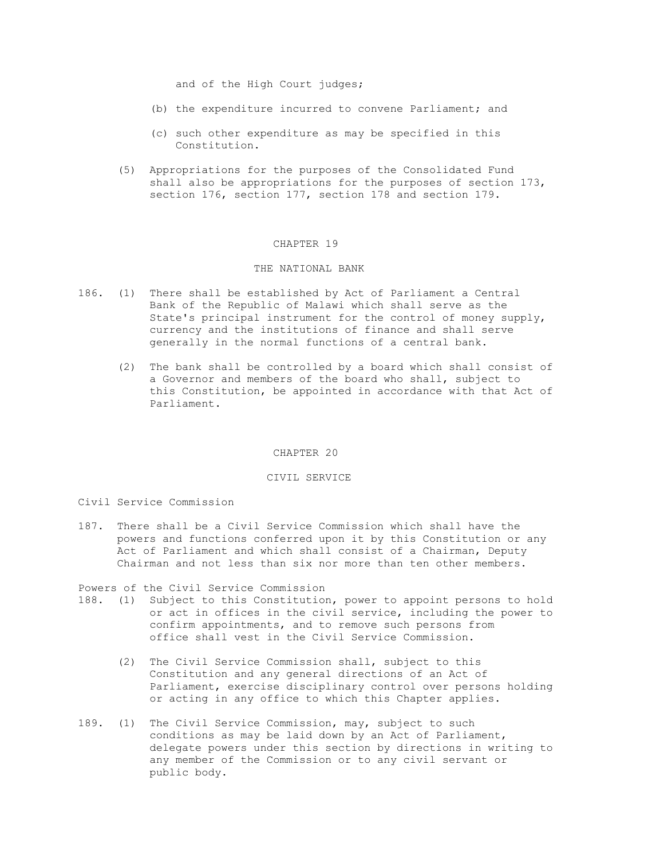and of the High Court judges;

- (b) the expenditure incurred to convene Parliament; and
- (c) such other expenditure as may be specified in this Constitution.
- (5) Appropriations for the purposes of the Consolidated Fund shall also be appropriations for the purposes of section 173, section 176, section 177, section 178 and section 179.

#### CHAPTER 19

## THE NATIONAL BANK

- 186. (1) There shall be established by Act of Parliament a Central Bank of the Republic of Malawi which shall serve as the State's principal instrument for the control of money supply, currency and the institutions of finance and shall serve generally in the normal functions of a central bank.
	- (2) The bank shall be controlled by a board which shall consist of a Governor and members of the board who shall, subject to this Constitution, be appointed in accordance with that Act of Parliament.

#### CHAPTER 20

#### CIVIL SERVICE

## Civil Service Commission

187. There shall be a Civil Service Commission which shall have the powers and functions conferred upon it by this Constitution or any Act of Parliament and which shall consist of a Chairman, Deputy Chairman and not less than six nor more than ten other members.

Powers of the Civil Service Commission

- 188. (1) Subject to this Constitution, power to appoint persons to hold or act in offices in the civil service, including the power to confirm appointments, and to remove such persons from office shall vest in the Civil Service Commission.
	- (2) The Civil Service Commission shall, subject to this Constitution and any general directions of an Act of Parliament, exercise disciplinary control over persons holding or acting in any office to which this Chapter applies.
- 189. (1) The Civil Service Commission, may, subject to such conditions as may be laid down by an Act of Parliament, delegate powers under this section by directions in writing to any member of the Commission or to any civil servant or public body.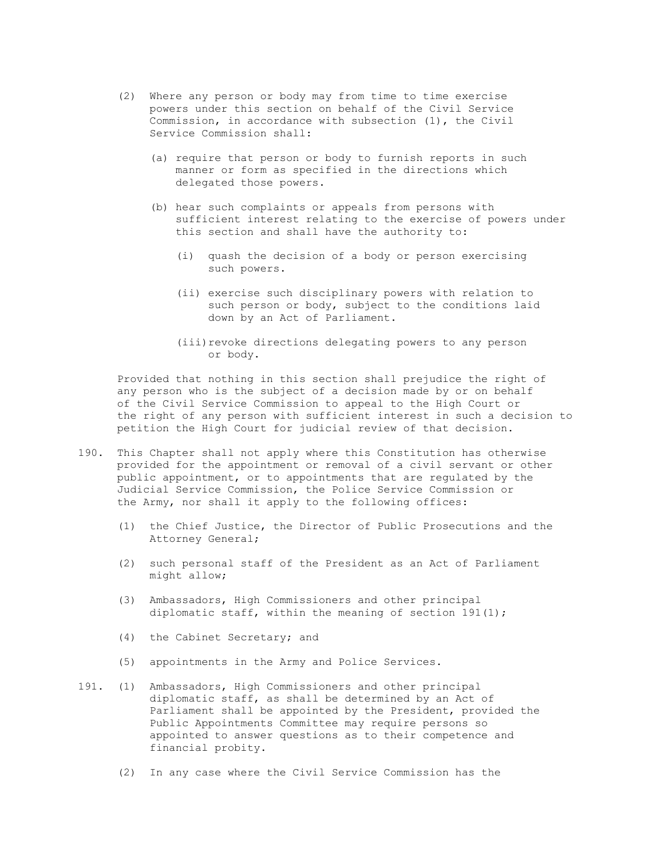- (2) Where any person or body may from time to time exercise powers under this section on behalf of the Civil Service Commission, in accordance with subsection (1), the Civil Service Commission shall:
	- (a) require that person or body to furnish reports in such manner or form as specified in the directions which delegated those powers.
	- (b) hear such complaints or appeals from persons with sufficient interest relating to the exercise of powers under this section and shall have the authority to:
		- (i) quash the decision of a body or person exercising such powers.
		- (ii) exercise such disciplinary powers with relation to such person or body, subject to the conditions laid down by an Act of Parliament.
		- (iii)revoke directions delegating powers to any person or body.

 Provided that nothing in this section shall prejudice the right of any person who is the subject of a decision made by or on behalf of the Civil Service Commission to appeal to the High Court or the right of any person with sufficient interest in such a decision to petition the High Court for judicial review of that decision.

- 190. This Chapter shall not apply where this Constitution has otherwise provided for the appointment or removal of a civil servant or other public appointment, or to appointments that are regulated by the Judicial Service Commission, the Police Service Commission or the Army, nor shall it apply to the following offices:
	- (1) the Chief Justice, the Director of Public Prosecutions and the Attorney General;
	- (2) such personal staff of the President as an Act of Parliament might allow;
	- (3) Ambassadors, High Commissioners and other principal diplomatic staff, within the meaning of section  $191(1)$ ;
	- (4) the Cabinet Secretary; and
	- (5) appointments in the Army and Police Services.
- 191. (1) Ambassadors, High Commissioners and other principal diplomatic staff, as shall be determined by an Act of Parliament shall be appointed by the President, provided the Public Appointments Committee may require persons so appointed to answer questions as to their competence and financial probity.
	- (2) In any case where the Civil Service Commission has the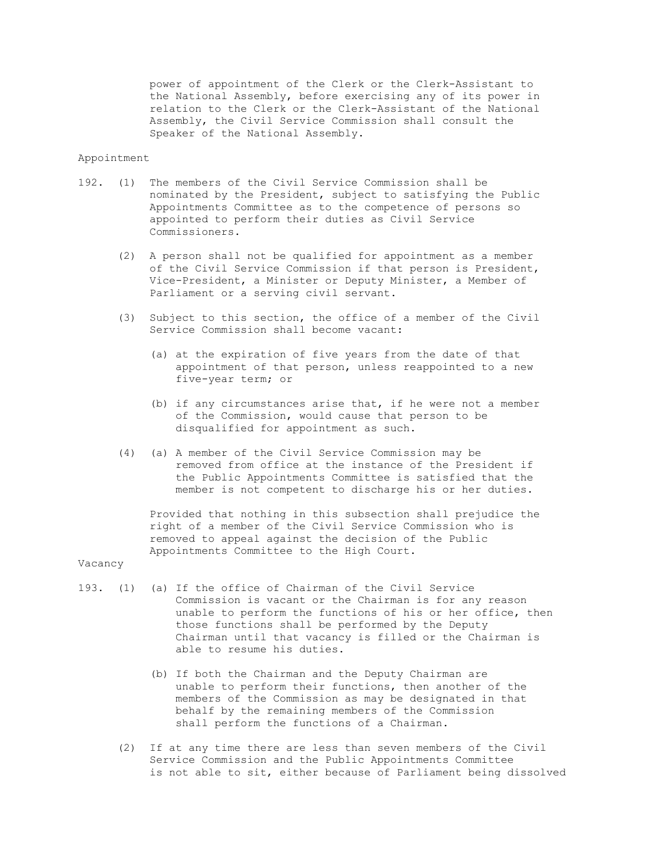power of appointment of the Clerk or the Clerk-Assistant to the National Assembly, before exercising any of its power in relation to the Clerk or the Clerk-Assistant of the National Assembly, the Civil Service Commission shall consult the Speaker of the National Assembly.

#### Appointment

- 192. (1) The members of the Civil Service Commission shall be nominated by the President, subject to satisfying the Public Appointments Committee as to the competence of persons so appointed to perform their duties as Civil Service Commissioners.
	- (2) A person shall not be qualified for appointment as a member of the Civil Service Commission if that person is President, Vice-President, a Minister or Deputy Minister, a Member of Parliament or a serving civil servant.
	- (3) Subject to this section, the office of a member of the Civil Service Commission shall become vacant:
		- (a) at the expiration of five years from the date of that appointment of that person, unless reappointed to a new five-year term; or
		- (b) if any circumstances arise that, if he were not a member of the Commission, would cause that person to be disqualified for appointment as such.
	- (4) (a) A member of the Civil Service Commission may be removed from office at the instance of the President if the Public Appointments Committee is satisfied that the member is not competent to discharge his or her duties.

 Provided that nothing in this subsection shall prejudice the right of a member of the Civil Service Commission who is removed to appeal against the decision of the Public Appointments Committee to the High Court.

#### Vacancy

- 193. (1) (a) If the office of Chairman of the Civil Service Commission is vacant or the Chairman is for any reason unable to perform the functions of his or her office, then those functions shall be performed by the Deputy Chairman until that vacancy is filled or the Chairman is able to resume his duties.
	- (b) If both the Chairman and the Deputy Chairman are unable to perform their functions, then another of the members of the Commission as may be designated in that behalf by the remaining members of the Commission shall perform the functions of a Chairman.
	- (2) If at any time there are less than seven members of the Civil Service Commission and the Public Appointments Committee is not able to sit, either because of Parliament being dissolved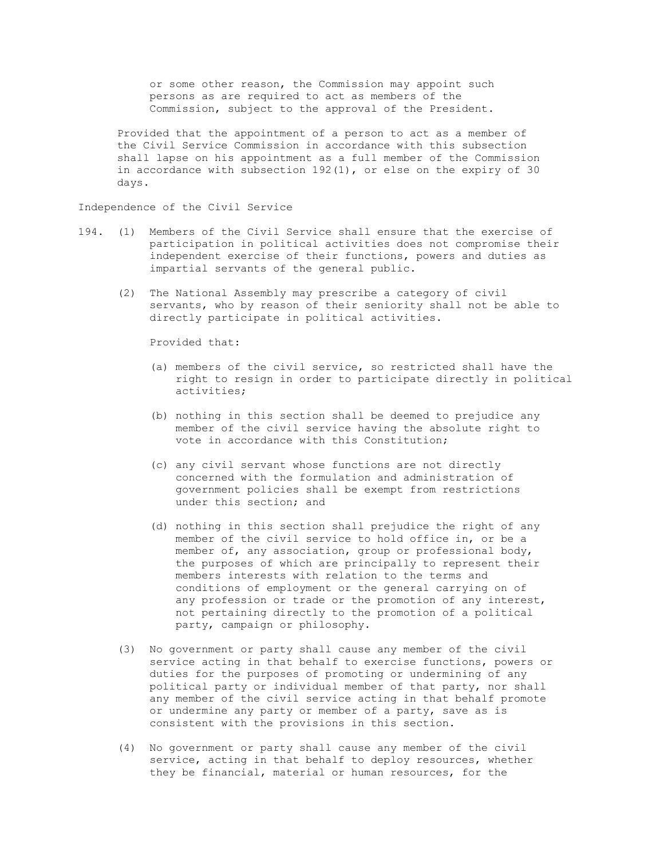or some other reason, the Commission may appoint such persons as are required to act as members of the Commission, subject to the approval of the President.

 Provided that the appointment of a person to act as a member of the Civil Service Commission in accordance with this subsection shall lapse on his appointment as a full member of the Commission in accordance with subsection 192(1), or else on the expiry of 30 days.

Independence of the Civil Service

- 194. (1) Members of the Civil Service shall ensure that the exercise of participation in political activities does not compromise their independent exercise of their functions, powers and duties as impartial servants of the general public.
	- (2) The National Assembly may prescribe a category of civil servants, who by reason of their seniority shall not be able to directly participate in political activities.

Provided that:

- (a) members of the civil service, so restricted shall have the right to resign in order to participate directly in political activities;
- (b) nothing in this section shall be deemed to prejudice any member of the civil service having the absolute right to vote in accordance with this Constitution;
- (c) any civil servant whose functions are not directly concerned with the formulation and administration of government policies shall be exempt from restrictions under this section; and
- (d) nothing in this section shall prejudice the right of any member of the civil service to hold office in, or be a member of, any association, group or professional body, the purposes of which are principally to represent their members interests with relation to the terms and conditions of employment or the general carrying on of any profession or trade or the promotion of any interest, not pertaining directly to the promotion of a political party, campaign or philosophy.
- (3) No government or party shall cause any member of the civil service acting in that behalf to exercise functions, powers or duties for the purposes of promoting or undermining of any political party or individual member of that party, nor shall any member of the civil service acting in that behalf promote or undermine any party or member of a party, save as is consistent with the provisions in this section.
- (4) No government or party shall cause any member of the civil service, acting in that behalf to deploy resources, whether they be financial, material or human resources, for the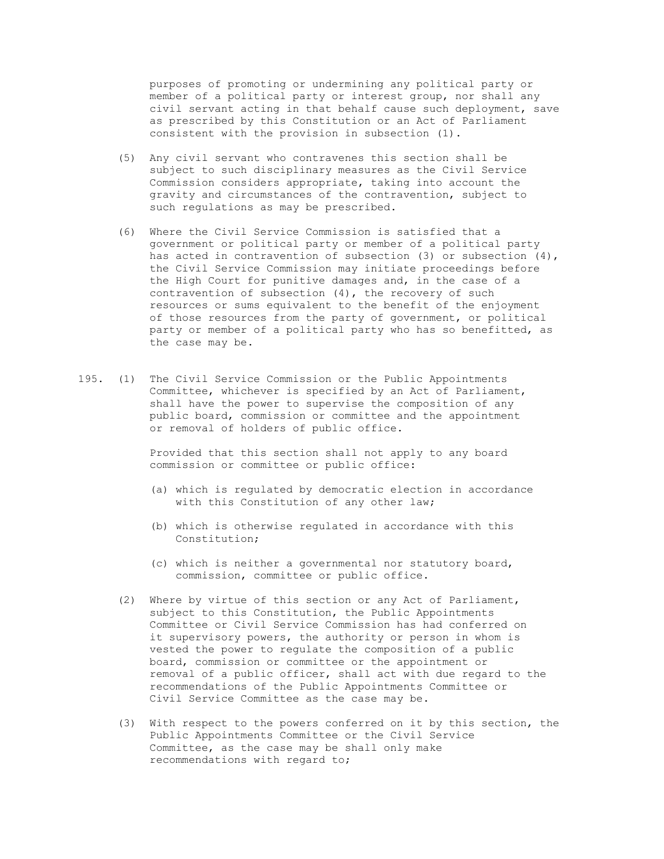purposes of promoting or undermining any political party or member of a political party or interest group, nor shall any civil servant acting in that behalf cause such deployment, save as prescribed by this Constitution or an Act of Parliament consistent with the provision in subsection (1).

- (5) Any civil servant who contravenes this section shall be subject to such disciplinary measures as the Civil Service Commission considers appropriate, taking into account the gravity and circumstances of the contravention, subject to such regulations as may be prescribed.
- (6) Where the Civil Service Commission is satisfied that a government or political party or member of a political party has acted in contravention of subsection (3) or subsection (4), the Civil Service Commission may initiate proceedings before the High Court for punitive damages and, in the case of a contravention of subsection (4), the recovery of such resources or sums equivalent to the benefit of the enjoyment of those resources from the party of government, or political party or member of a political party who has so benefitted, as the case may be.
- 195. (1) The Civil Service Commission or the Public Appointments Committee, whichever is specified by an Act of Parliament, shall have the power to supervise the composition of any public board, commission or committee and the appointment or removal of holders of public office.

 Provided that this section shall not apply to any board commission or committee or public office:

- (a) which is regulated by democratic election in accordance with this Constitution of any other law;
- (b) which is otherwise regulated in accordance with this Constitution;
- (c) which is neither a governmental nor statutory board, commission, committee or public office.
- (2) Where by virtue of this section or any Act of Parliament, subject to this Constitution, the Public Appointments Committee or Civil Service Commission has had conferred on it supervisory powers, the authority or person in whom is vested the power to regulate the composition of a public board, commission or committee or the appointment or removal of a public officer, shall act with due regard to the recommendations of the Public Appointments Committee or Civil Service Committee as the case may be.
- (3) With respect to the powers conferred on it by this section, the Public Appointments Committee or the Civil Service Committee, as the case may be shall only make recommendations with regard to;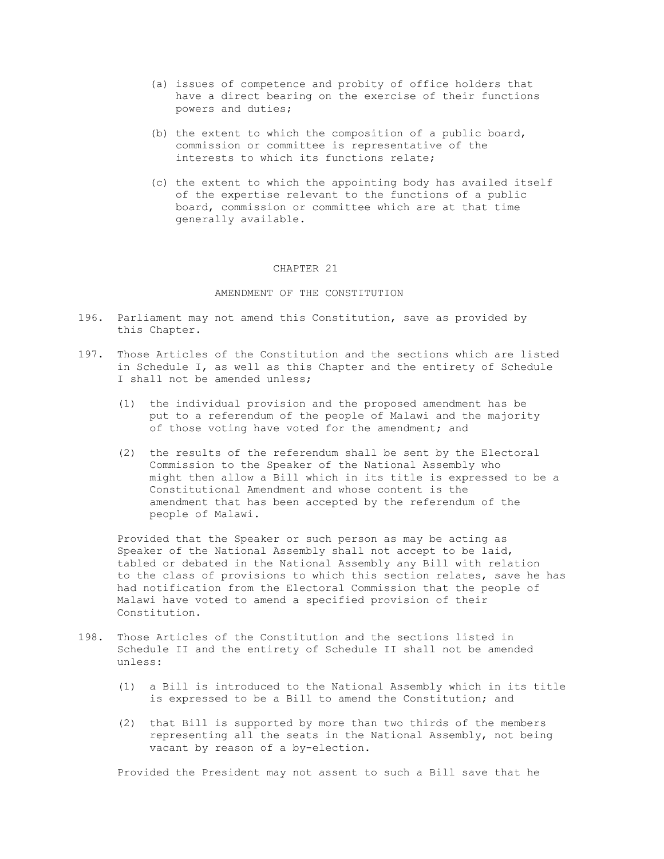- (a) issues of competence and probity of office holders that have a direct bearing on the exercise of their functions powers and duties;
- (b) the extent to which the composition of a public board, commission or committee is representative of the interests to which its functions relate;
- (c) the extent to which the appointing body has availed itself of the expertise relevant to the functions of a public board, commission or committee which are at that time generally available.

#### CHAPTER 21

## AMENDMENT OF THE CONSTITUTION

- 196. Parliament may not amend this Constitution, save as provided by this Chapter.
- 197. Those Articles of the Constitution and the sections which are listed in Schedule I, as well as this Chapter and the entirety of Schedule I shall not be amended unless;
	- (1) the individual provision and the proposed amendment has be put to a referendum of the people of Malawi and the majority of those voting have voted for the amendment; and
	- (2) the results of the referendum shall be sent by the Electoral Commission to the Speaker of the National Assembly who might then allow a Bill which in its title is expressed to be a Constitutional Amendment and whose content is the amendment that has been accepted by the referendum of the people of Malawi.

 Provided that the Speaker or such person as may be acting as Speaker of the National Assembly shall not accept to be laid, tabled or debated in the National Assembly any Bill with relation to the class of provisions to which this section relates, save he has had notification from the Electoral Commission that the people of Malawi have voted to amend a specified provision of their Constitution.

- 198. Those Articles of the Constitution and the sections listed in Schedule II and the entirety of Schedule II shall not be amended unless:
	- (1) a Bill is introduced to the National Assembly which in its title is expressed to be a Bill to amend the Constitution; and
	- (2) that Bill is supported by more than two thirds of the members representing all the seats in the National Assembly, not being vacant by reason of a by-election.

Provided the President may not assent to such a Bill save that he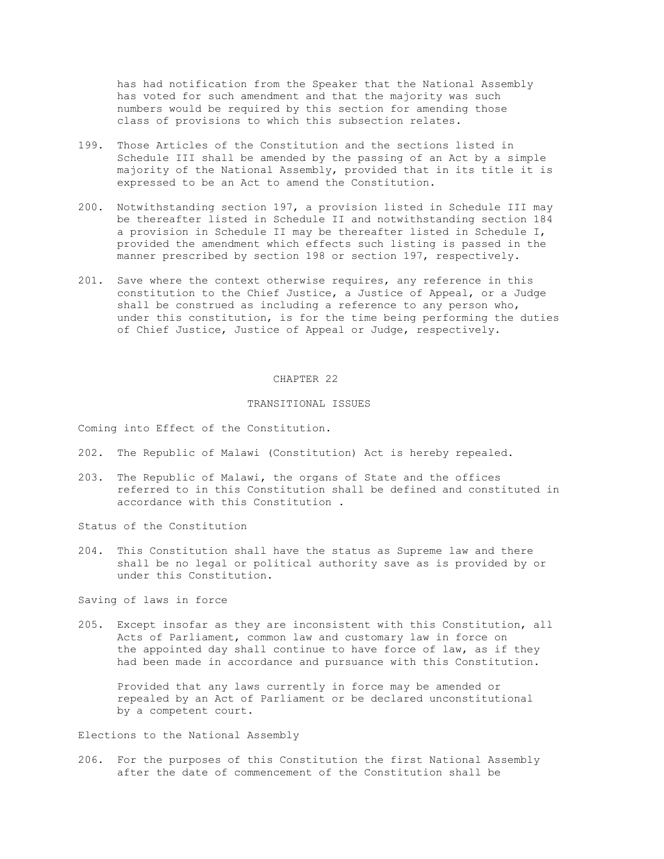has had notification from the Speaker that the National Assembly has voted for such amendment and that the majority was such numbers would be required by this section for amending those class of provisions to which this subsection relates.

- 199. Those Articles of the Constitution and the sections listed in Schedule III shall be amended by the passing of an Act by a simple majority of the National Assembly, provided that in its title it is expressed to be an Act to amend the Constitution.
- 200. Notwithstanding section 197, a provision listed in Schedule III may be thereafter listed in Schedule II and notwithstanding section 184 a provision in Schedule II may be thereafter listed in Schedule I, provided the amendment which effects such listing is passed in the manner prescribed by section 198 or section 197, respectively.
- 201. Save where the context otherwise requires, any reference in this constitution to the Chief Justice, a Justice of Appeal, or a Judge shall be construed as including a reference to any person who, under this constitution, is for the time being performing the duties of Chief Justice, Justice of Appeal or Judge, respectively.

#### CHAPTER 22

#### TRANSITIONAL ISSUES

Coming into Effect of the Constitution.

- 202. The Republic of Malawi (Constitution) Act is hereby repealed.
- 203. The Republic of Malawi, the organs of State and the offices referred to in this Constitution shall be defined and constituted in accordance with this Constitution .

Status of the Constitution

204. This Constitution shall have the status as Supreme law and there shall be no legal or political authority save as is provided by or under this Constitution.

Saving of laws in force

205. Except insofar as they are inconsistent with this Constitution, all Acts of Parliament, common law and customary law in force on the appointed day shall continue to have force of law, as if they had been made in accordance and pursuance with this Constitution.

 Provided that any laws currently in force may be amended or repealed by an Act of Parliament or be declared unconstitutional by a competent court.

Elections to the National Assembly

206. For the purposes of this Constitution the first National Assembly after the date of commencement of the Constitution shall be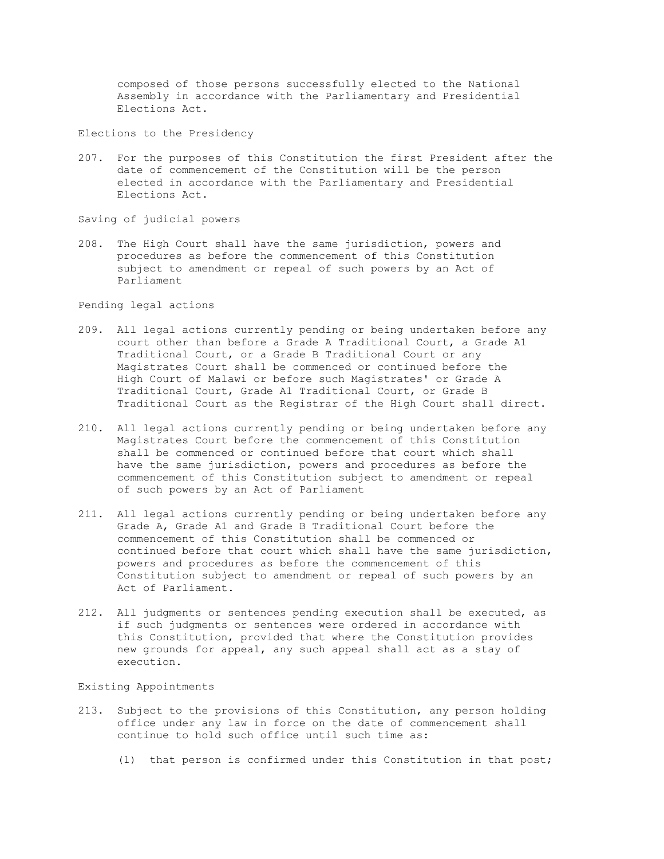composed of those persons successfully elected to the National Assembly in accordance with the Parliamentary and Presidential Elections Act.

Elections to the Presidency

207. For the purposes of this Constitution the first President after the date of commencement of the Constitution will be the person elected in accordance with the Parliamentary and Presidential Elections Act.

Saving of judicial powers

208. The High Court shall have the same jurisdiction, powers and procedures as before the commencement of this Constitution subject to amendment or repeal of such powers by an Act of Parliament

Pending legal actions

- 209. All legal actions currently pending or being undertaken before any court other than before a Grade A Traditional Court, a Grade A1 Traditional Court, or a Grade B Traditional Court or any Magistrates Court shall be commenced or continued before the High Court of Malawi or before such Magistrates' or Grade A Traditional Court, Grade A1 Traditional Court, or Grade B Traditional Court as the Registrar of the High Court shall direct.
- 210. All legal actions currently pending or being undertaken before any Magistrates Court before the commencement of this Constitution shall be commenced or continued before that court which shall have the same jurisdiction, powers and procedures as before the commencement of this Constitution subject to amendment or repeal of such powers by an Act of Parliament
- 211. All legal actions currently pending or being undertaken before any Grade A, Grade A1 and Grade B Traditional Court before the commencement of this Constitution shall be commenced or continued before that court which shall have the same jurisdiction, powers and procedures as before the commencement of this Constitution subject to amendment or repeal of such powers by an Act of Parliament.
- 212. All judgments or sentences pending execution shall be executed, as if such judgments or sentences were ordered in accordance with this Constitution, provided that where the Constitution provides new grounds for appeal, any such appeal shall act as a stay of execution.

Existing Appointments

- 213. Subject to the provisions of this Constitution, any person holding office under any law in force on the date of commencement shall continue to hold such office until such time as:
	- (1) that person is confirmed under this Constitution in that post;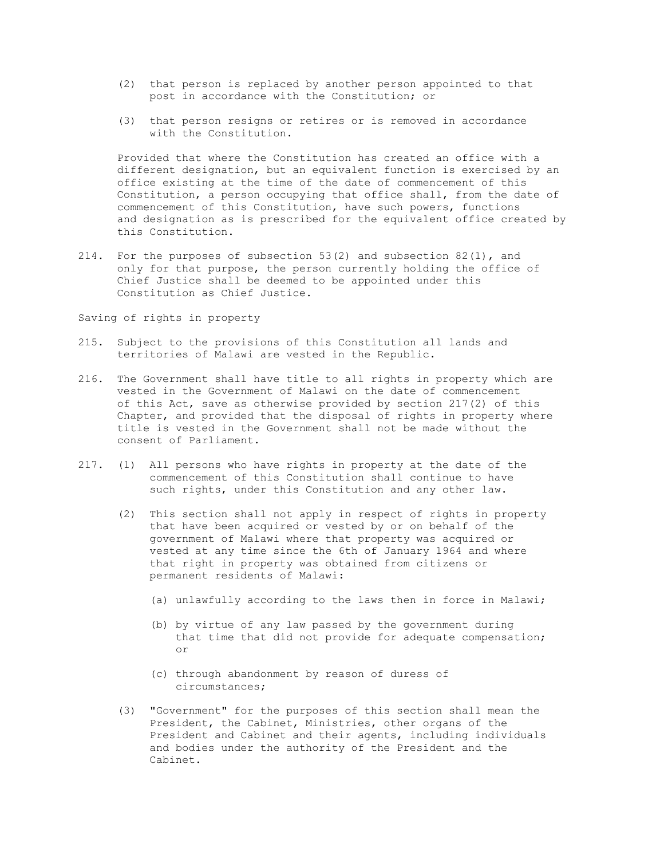- (2) that person is replaced by another person appointed to that post in accordance with the Constitution; or
- (3) that person resigns or retires or is removed in accordance with the Constitution.

 Provided that where the Constitution has created an office with a different designation, but an equivalent function is exercised by an office existing at the time of the date of commencement of this Constitution, a person occupying that office shall, from the date of commencement of this Constitution, have such powers, functions and designation as is prescribed for the equivalent office created by this Constitution.

214. For the purposes of subsection 53(2) and subsection 82(1), and only for that purpose, the person currently holding the office of Chief Justice shall be deemed to be appointed under this Constitution as Chief Justice.

Saving of rights in property

- 215. Subject to the provisions of this Constitution all lands and territories of Malawi are vested in the Republic.
- 216. The Government shall have title to all rights in property which are vested in the Government of Malawi on the date of commencement of this Act, save as otherwise provided by section 217(2) of this Chapter, and provided that the disposal of rights in property where title is vested in the Government shall not be made without the consent of Parliament.
- 217. (1) All persons who have rights in property at the date of the commencement of this Constitution shall continue to have such rights, under this Constitution and any other law.
	- (2) This section shall not apply in respect of rights in property that have been acquired or vested by or on behalf of the government of Malawi where that property was acquired or vested at any time since the 6th of January 1964 and where that right in property was obtained from citizens or permanent residents of Malawi:
		- (a) unlawfully according to the laws then in force in Malawi;
- (b) by virtue of any law passed by the government during that time that did not provide for adequate compensation; or
	- (c) through abandonment by reason of duress of circumstances;
	- (3) "Government" for the purposes of this section shall mean the President, the Cabinet, Ministries, other organs of the President and Cabinet and their agents, including individuals and bodies under the authority of the President and the Cabinet.